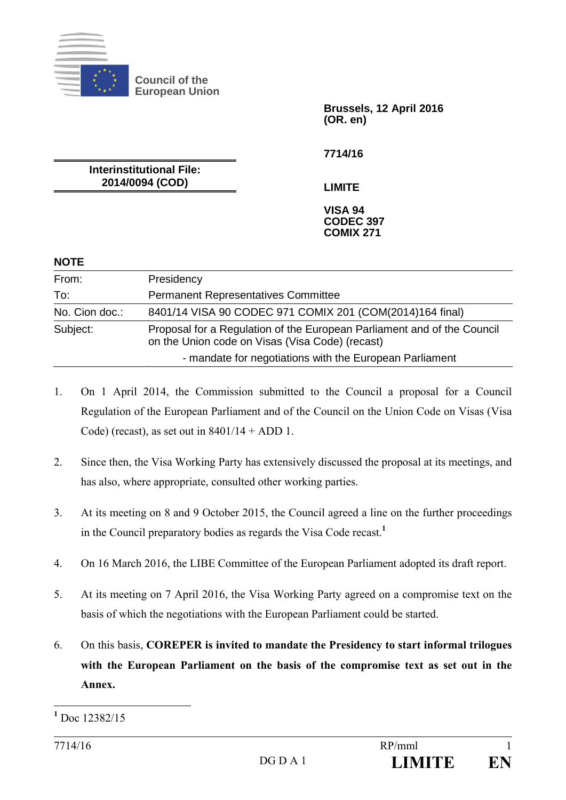

**Council of the European Union** 

> **Brussels, 12 April 2016 (OR. en)**

**7714/16** 

**Interinstitutional File: 2014/0094 (COD)** 

**LIMITE** 

**VISA 94 CODEC 397 COMIX 271** 

#### **NOTE**

| From:          | Presidency                                                                                                                 |
|----------------|----------------------------------------------------------------------------------------------------------------------------|
| To:            | <b>Permanent Representatives Committee</b>                                                                                 |
| No. Cion doc.: | 8401/14 VISA 90 CODEC 971 COMIX 201 (COM(2014)164 final)                                                                   |
| Subject:       | Proposal for a Regulation of the European Parliament and of the Council<br>on the Union code on Visas (Visa Code) (recast) |
|                | - mandate for negotiations with the European Parliament                                                                    |

- 1. On 1 April 2014, the Commission submitted to the Council a proposal for a Council Regulation of the European Parliament and of the Council on the Union Code on Visas (Visa Code) (recast), as set out in  $8401/14 + ADD 1$ .
- 2. Since then, the Visa Working Party has extensively discussed the proposal at its meetings, and has also, where appropriate, consulted other working parties.
- 3. At its meeting on 8 and 9 October 2015, the Council agreed a line on the further proceedings in the Council preparatory bodies as regards the Visa Code recast.**<sup>1</sup>**
- 4. On 16 March 2016, the LIBE Committee of the European Parliament adopted its draft report.
- 5. At its meeting on 7 April 2016, the Visa Working Party agreed on a compromise text on the basis of which the negotiations with the European Parliament could be started.
- 6. On this basis, **COREPER is invited to mandate the Presidency to start informal trilogues with the European Parliament on the basis of the compromise text as set out in the Annex.**

 $\overline{a}$ 

**<sup>1</sup>** Doc 12382/15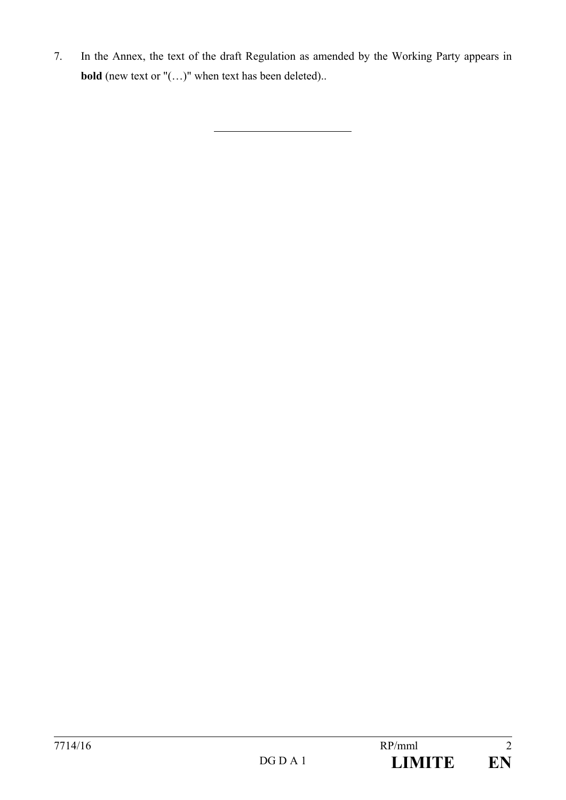7. In the Annex, the text of the draft Regulation as amended by the Working Party appears in **bold** (new text or "(...)" when text has been deleted)..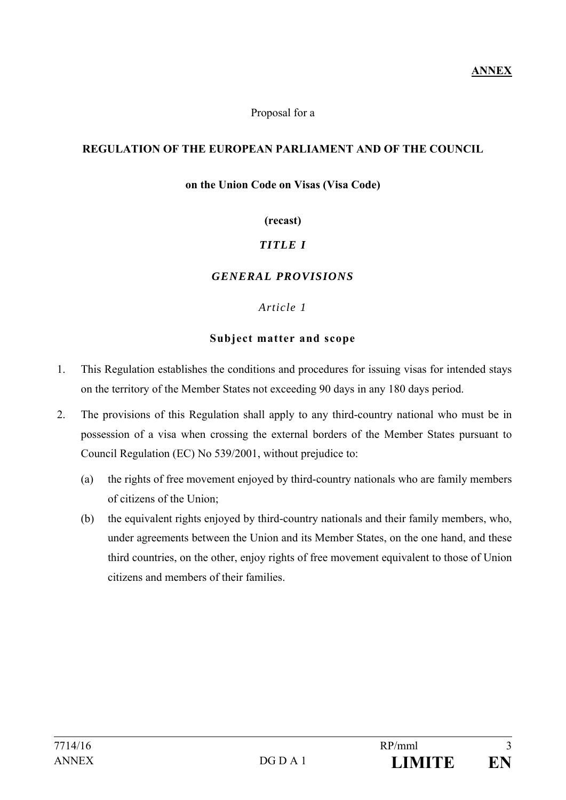#### Proposal for a

#### **REGULATION OF THE EUROPEAN PARLIAMENT AND OF THE COUNCIL**

#### **on the Union Code on Visas (Visa Code)**

#### **(recast)**

## *TITLE I*

#### *GENERAL PROVISIONS*

#### *Article 1*

#### **Subject matter and scope**

- 1. This Regulation establishes the conditions and procedures for issuing visas for intended stays on the territory of the Member States not exceeding 90 days in any 180 days period.
- 2. The provisions of this Regulation shall apply to any third-country national who must be in possession of a visa when crossing the external borders of the Member States pursuant to Council Regulation (EC) No 539/2001, without prejudice to:
	- (a) the rights of free movement enjoyed by third-country nationals who are family members of citizens of the Union;
	- (b) the equivalent rights enjoyed by third-country nationals and their family members, who, under agreements between the Union and its Member States, on the one hand, and these third countries, on the other, enjoy rights of free movement equivalent to those of Union citizens and members of their families.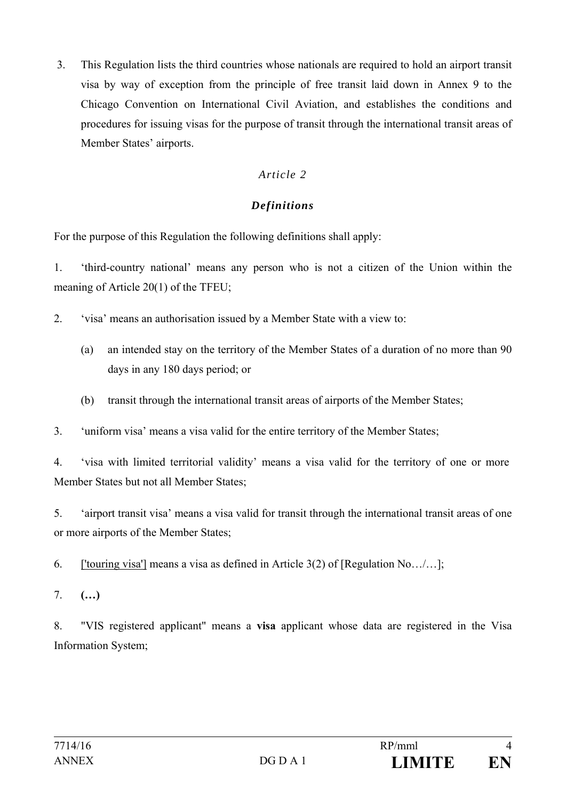3. This Regulation lists the third countries whose nationals are required to hold an airport transit visa by way of exception from the principle of free transit laid down in Annex 9 to the Chicago Convention on International Civil Aviation, and establishes the conditions and procedures for issuing visas for the purpose of transit through the international transit areas of Member States' airports.

# *Article 2*

# *Definitions*

For the purpose of this Regulation the following definitions shall apply:

1. 'third-country national' means any person who is not a citizen of the Union within the meaning of Article 20(1) of the TFEU;

- 2. 'visa' means an authorisation issued by a Member State with a view to:
	- (a) an intended stay on the territory of the Member States of a duration of no more than 90 days in any 180 days period; or
	- (b) transit through the international transit areas of airports of the Member States;

3. 'uniform visa' means a visa valid for the entire territory of the Member States;

4. 'visa with limited territorial validity' means a visa valid for the territory of one or more Member States but not all Member States;

5. 'airport transit visa' means a visa valid for transit through the international transit areas of one or more airports of the Member States;

6. ['touring visa'] means a visa as defined in Article  $3(2)$  of [Regulation No.../...];

7. **(…)** 

8. "VIS registered applicant" means a **visa** applicant whose data are registered in the Visa Information System;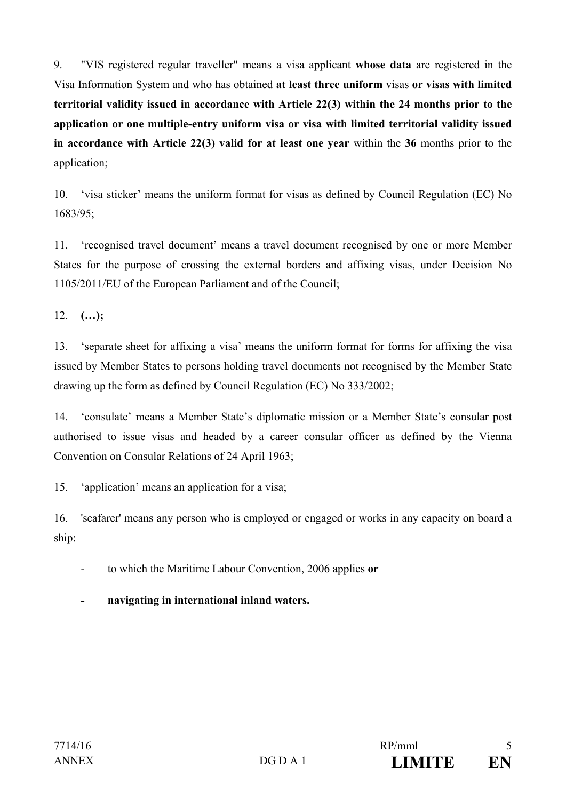9. "VIS registered regular traveller" means a visa applicant **whose data** are registered in the Visa Information System and who has obtained **at least three uniform** visas **or visas with limited territorial validity issued in accordance with Article 22(3) within the 24 months prior to the application or one multiple-entry uniform visa or visa with limited territorial validity issued in accordance with Article 22(3) valid for at least one year** within the **36** months prior to the application;

10. 'visa sticker' means the uniform format for visas as defined by Council Regulation (EC) No 1683/95;

11. 'recognised travel document' means a travel document recognised by one or more Member States for the purpose of crossing the external borders and affixing visas, under Decision No 1105/2011/EU of the European Parliament and of the Council;

12. **(…);**

13. 'separate sheet for affixing a visa' means the uniform format for forms for affixing the visa issued by Member States to persons holding travel documents not recognised by the Member State drawing up the form as defined by Council Regulation (EC) No 333/2002;

14. 'consulate' means a Member State's diplomatic mission or a Member State's consular post authorised to issue visas and headed by a career consular officer as defined by the Vienna Convention on Consular Relations of 24 April 1963;

15. 'application' means an application for a visa;

16. 'seafarer' means any person who is employed or engaged or works in any capacity on board a ship:

- to which the Maritime Labour Convention, 2006 applies **or**
- **navigating in international inland waters.**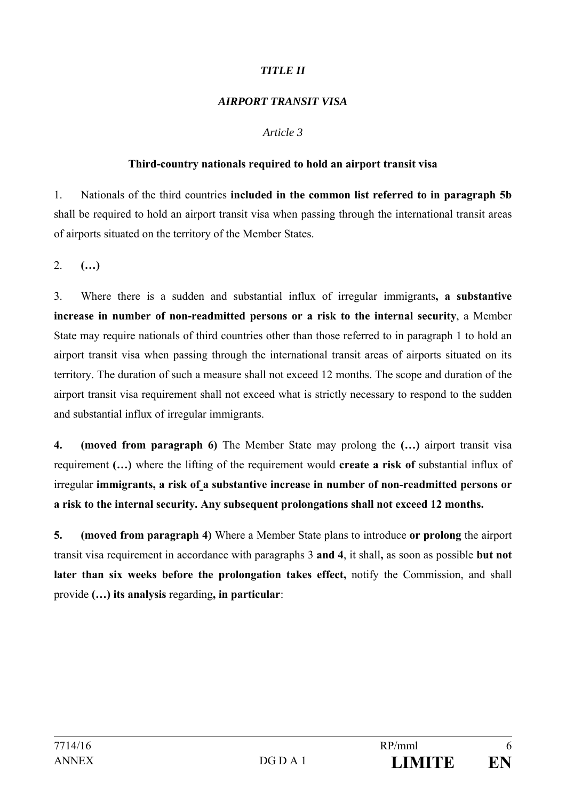# *TITLE II*

#### *AIRPORT TRANSIT VISA*

#### *Article 3*

#### **Third-country nationals required to hold an airport transit visa**

1. Nationals of the third countries **included in the common list referred to in paragraph 5b** shall be required to hold an airport transit visa when passing through the international transit areas of airports situated on the territory of the Member States.

2. **(…)**

3. Where there is a sudden and substantial influx of irregular immigrants**, a substantive increase in number of non-readmitted persons or a risk to the internal security**, a Member State may require nationals of third countries other than those referred to in paragraph 1 to hold an airport transit visa when passing through the international transit areas of airports situated on its territory. The duration of such a measure shall not exceed 12 months. The scope and duration of the airport transit visa requirement shall not exceed what is strictly necessary to respond to the sudden and substantial influx of irregular immigrants.

**4. (moved from paragraph 6)** The Member State may prolong the **(…)** airport transit visa requirement **(…)** where the lifting of the requirement would **create a risk of** substantial influx of irregular **immigrants, a risk of a substantive increase in number of non-readmitted persons or a risk to the internal security. Any subsequent prolongations shall not exceed 12 months.** 

**5. (moved from paragraph 4)** Where a Member State plans to introduce **or prolong** the airport transit visa requirement in accordance with paragraphs 3 **and 4**, it shall**,** as soon as possible **but not later than six weeks before the prolongation takes effect,** notify the Commission, and shall provide **(…) its analysis** regarding**, in particular**: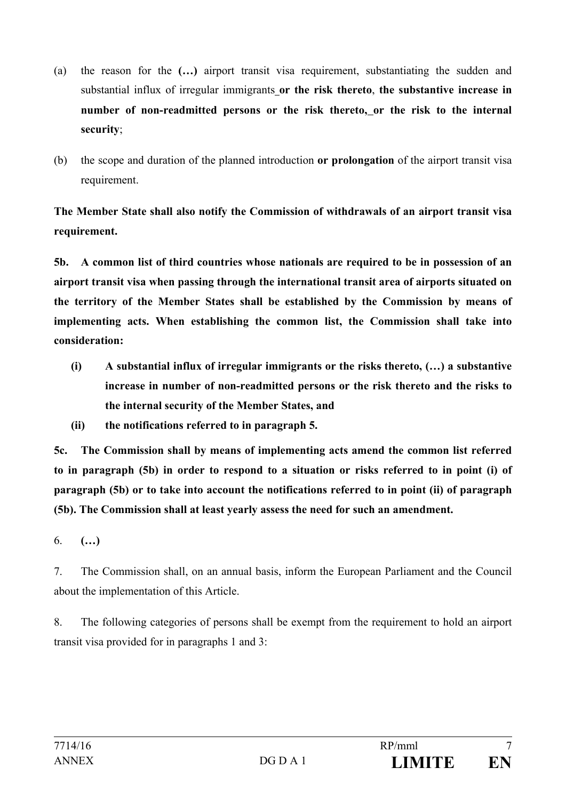- (a) the reason for the **(…)** airport transit visa requirement, substantiating the sudden and substantial influx of irregular immigrants **or the risk thereto**, **the substantive increase in number of non-readmitted persons or the risk thereto, or the risk to the internal security**;
- (b) the scope and duration of the planned introduction **or prolongation** of the airport transit visa requirement.

**The Member State shall also notify the Commission of withdrawals of an airport transit visa requirement.** 

**5b. A common list of third countries whose nationals are required to be in possession of an airport transit visa when passing through the international transit area of airports situated on the territory of the Member States shall be established by the Commission by means of implementing acts. When establishing the common list, the Commission shall take into consideration:** 

- **(i) A substantial influx of irregular immigrants or the risks thereto, (…) a substantive increase in number of non-readmitted persons or the risk thereto and the risks to the internal security of the Member States, and**
- **(ii) the notifications referred to in paragraph 5.**

**5c. The Commission shall by means of implementing acts amend the common list referred to in paragraph (5b) in order to respond to a situation or risks referred to in point (i) of paragraph (5b) or to take into account the notifications referred to in point (ii) of paragraph (5b). The Commission shall at least yearly assess the need for such an amendment.**

6. **(…)**

7. The Commission shall, on an annual basis, inform the European Parliament and the Council about the implementation of this Article.

8. The following categories of persons shall be exempt from the requirement to hold an airport transit visa provided for in paragraphs 1 and 3: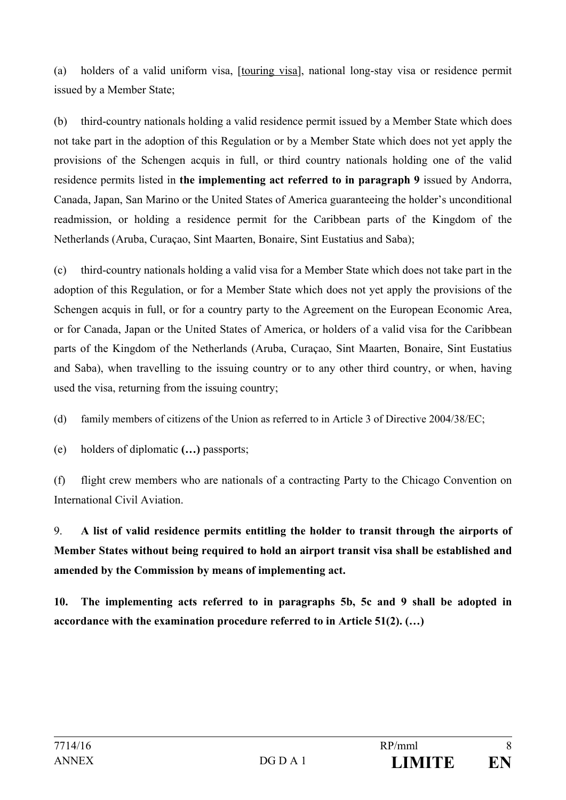(a) holders of a valid uniform visa, [touring visa], national long-stay visa or residence permit issued by a Member State;

(b) third-country nationals holding a valid residence permit issued by a Member State which does not take part in the adoption of this Regulation or by a Member State which does not yet apply the provisions of the Schengen acquis in full, or third country nationals holding one of the valid residence permits listed in **the implementing act referred to in paragraph 9** issued by Andorra, Canada, Japan, San Marino or the United States of America guaranteeing the holder's unconditional readmission, or holding a residence permit for the Caribbean parts of the Kingdom of the Netherlands (Aruba, Curaçao, Sint Maarten, Bonaire, Sint Eustatius and Saba);

(c) third-country nationals holding a valid visa for a Member State which does not take part in the adoption of this Regulation, or for a Member State which does not yet apply the provisions of the Schengen acquis in full, or for a country party to the Agreement on the European Economic Area, or for Canada, Japan or the United States of America, or holders of a valid visa for the Caribbean parts of the Kingdom of the Netherlands (Aruba, Curaçao, Sint Maarten, Bonaire, Sint Eustatius and Saba), when travelling to the issuing country or to any other third country, or when, having used the visa, returning from the issuing country;

(d) family members of citizens of the Union as referred to in Article 3 of Directive 2004/38/EC;

(e) holders of diplomatic **(…)** passports;

(f) flight crew members who are nationals of a contracting Party to the Chicago Convention on International Civil Aviation.

9. **A list of valid residence permits entitling the holder to transit through the airports of Member States without being required to hold an airport transit visa shall be established and amended by the Commission by means of implementing act.** 

**10. The implementing acts referred to in paragraphs 5b, 5c and 9 shall be adopted in accordance with the examination procedure referred to in Article 51(2). (…)**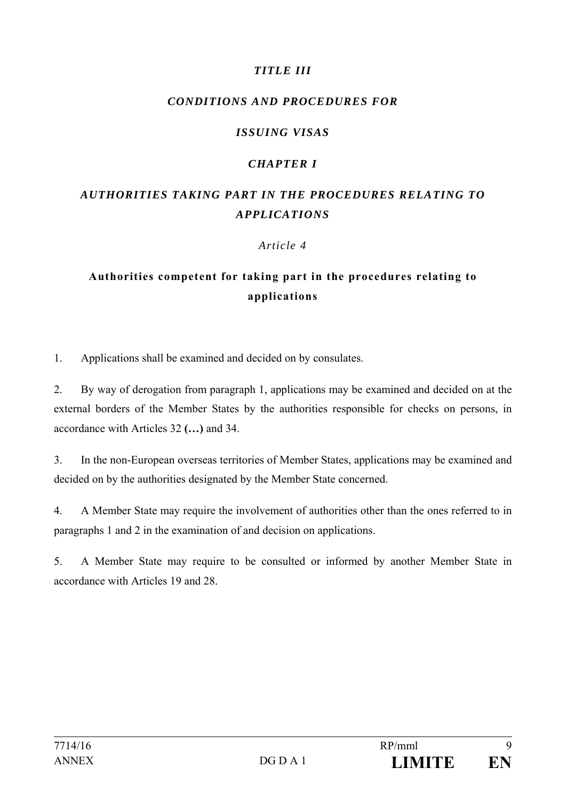# *TITLE III*

# *CONDITIONS AND PROCEDURES FOR*

# *ISSUING VISAS*

# *CHAPTER I*

# *AUTHORITIES TAKING PART IN THE PROCEDURES RELATING TO APPLICATIONS*

## *Article 4*

# **Authorities competent for taking part in the procedures relating to applications**

1. Applications shall be examined and decided on by consulates.

2. By way of derogation from paragraph 1, applications may be examined and decided on at the external borders of the Member States by the authorities responsible for checks on persons, in accordance with Articles 32 **(…)** and 34.

3. In the non-European overseas territories of Member States, applications may be examined and decided on by the authorities designated by the Member State concerned.

4. A Member State may require the involvement of authorities other than the ones referred to in paragraphs 1 and 2 in the examination of and decision on applications.

5. A Member State may require to be consulted or informed by another Member State in accordance with Articles 19 and 28.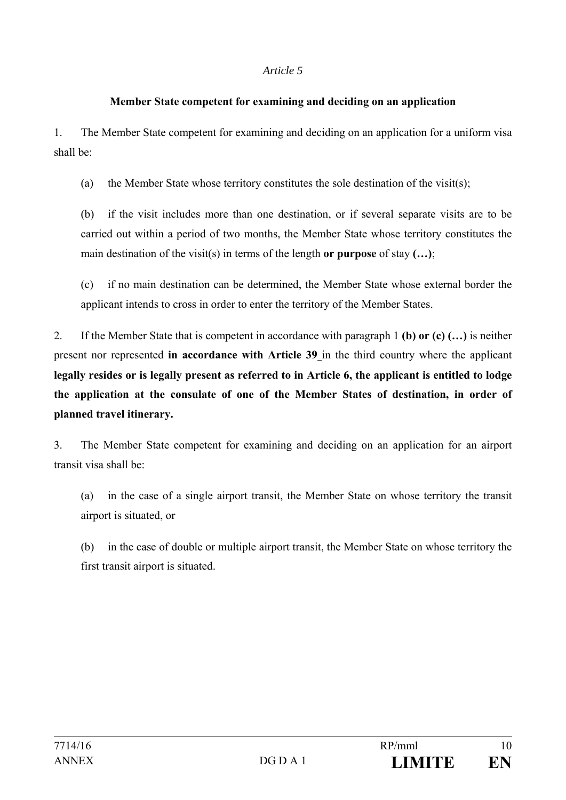#### **Member State competent for examining and deciding on an application**

1. The Member State competent for examining and deciding on an application for a uniform visa shall be:

(a) the Member State whose territory constitutes the sole destination of the visit(s);

(b) if the visit includes more than one destination, or if several separate visits are to be carried out within a period of two months, the Member State whose territory constitutes the main destination of the visit(s) in terms of the length **or purpose** of stay **(…)**;

(c) if no main destination can be determined, the Member State whose external border the applicant intends to cross in order to enter the territory of the Member States.

2. If the Member State that is competent in accordance with paragraph 1 **(b) or (c) (…)** is neither present nor represented **in accordance with Article 39** in the third country where the applicant **legally resides or is legally present as referred to in Article 6, the applicant is entitled to lodge the application at the consulate of one of the Member States of destination, in order of planned travel itinerary.**

3. The Member State competent for examining and deciding on an application for an airport transit visa shall be:

(a) in the case of a single airport transit, the Member State on whose territory the transit airport is situated, or

(b) in the case of double or multiple airport transit, the Member State on whose territory the first transit airport is situated.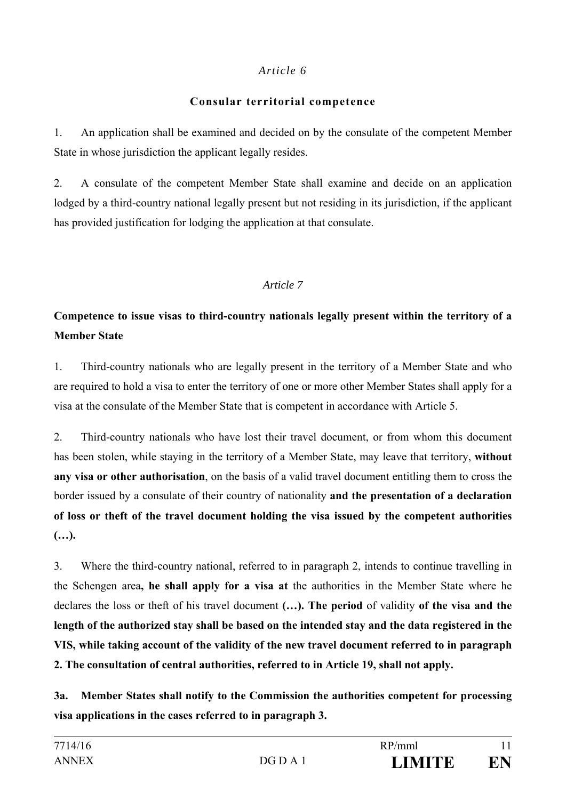## **Consular territorial competence**

1. An application shall be examined and decided on by the consulate of the competent Member State in whose jurisdiction the applicant legally resides.

2. A consulate of the competent Member State shall examine and decide on an application lodged by a third-country national legally present but not residing in its jurisdiction, if the applicant has provided justification for lodging the application at that consulate.

# *Article 7*

# **Competence to issue visas to third-country nationals legally present within the territory of a Member State**

1. Third-country nationals who are legally present in the territory of a Member State and who are required to hold a visa to enter the territory of one or more other Member States shall apply for a visa at the consulate of the Member State that is competent in accordance with Article 5.

2. Third-country nationals who have lost their travel document, or from whom this document has been stolen, while staying in the territory of a Member State, may leave that territory, **without any visa or other authorisation**, on the basis of a valid travel document entitling them to cross the border issued by a consulate of their country of nationality **and the presentation of a declaration of loss or theft of the travel document holding the visa issued by the competent authorities (…).** 

3. Where the third-country national, referred to in paragraph 2, intends to continue travelling in the Schengen area**, he shall apply for a visa at** the authorities in the Member State where he declares the loss or theft of his travel document **(…). The period** of validity **of the visa and the length of the authorized stay shall be based on the intended stay and the data registered in the VIS, while taking account of the validity of the new travel document referred to in paragraph 2. The consultation of central authorities, referred to in Article 19, shall not apply.**

**3a. Member States shall notify to the Commission the authorities competent for processing visa applications in the cases referred to in paragraph 3.**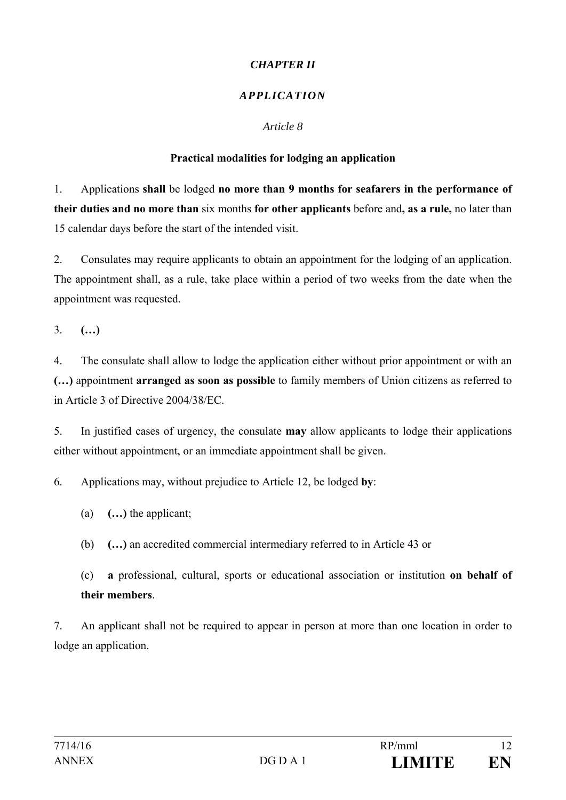# *CHAPTER II*

# *APPLICATION*

## *Article 8*

# **Practical modalities for lodging an application**

1. Applications **shall** be lodged **no more than 9 months for seafarers in the performance of their duties and no more than** six months **for other applicants** before and**, as a rule,** no later than 15 calendar days before the start of the intended visit.

2. Consulates may require applicants to obtain an appointment for the lodging of an application. The appointment shall, as a rule, take place within a period of two weeks from the date when the appointment was requested.

3. **(…)** 

4. The consulate shall allow to lodge the application either without prior appointment or with an **(…)** appointment **arranged as soon as possible** to family members of Union citizens as referred to in Article 3 of Directive 2004/38/EC.

5. In justified cases of urgency, the consulate **may** allow applicants to lodge their applications either without appointment, or an immediate appointment shall be given.

6. Applications may, without prejudice to Article 12, be lodged **by**:

(a) **(…)** the applicant;

(b) **(…)** an accredited commercial intermediary referred to in Article 43 or

(c) **a** professional, cultural, sports or educational association or institution **on behalf of their members**.

7. An applicant shall not be required to appear in person at more than one location in order to lodge an application.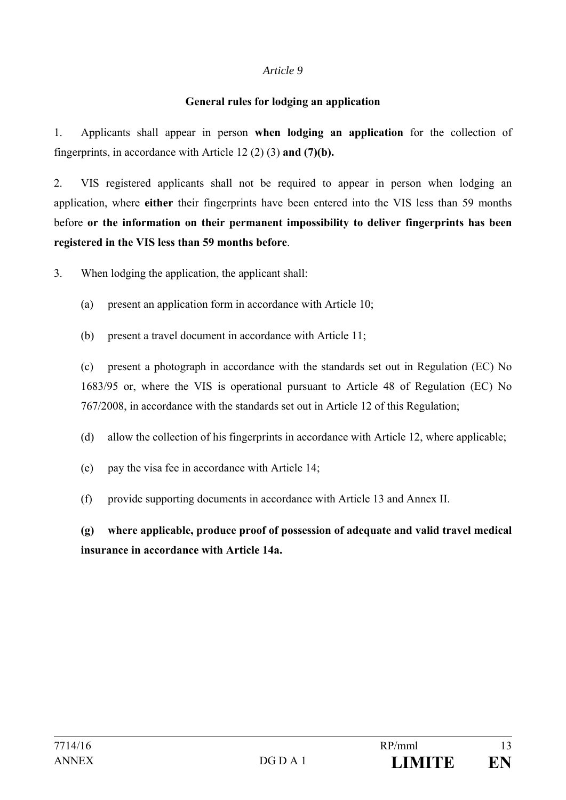#### **General rules for lodging an application**

1. Applicants shall appear in person **when lodging an application** for the collection of fingerprints, in accordance with Article 12 (2) (3) **and (7)(b).**

2. VIS registered applicants shall not be required to appear in person when lodging an application, where **either** their fingerprints have been entered into the VIS less than 59 months before **or the information on their permanent impossibility to deliver fingerprints has been registered in the VIS less than 59 months before**.

3. When lodging the application, the applicant shall:

- (a) present an application form in accordance with Article 10;
- (b) present a travel document in accordance with Article 11;

(c) present a photograph in accordance with the standards set out in Regulation (EC) No 1683/95 or, where the VIS is operational pursuant to Article 48 of Regulation (EC) No 767/2008, in accordance with the standards set out in Article 12 of this Regulation;

(d) allow the collection of his fingerprints in accordance with Article 12, where applicable;

- (e) pay the visa fee in accordance with Article 14;
- (f) provide supporting documents in accordance with Article 13 and Annex II.

**(g) where applicable, produce proof of possession of adequate and valid travel medical insurance in accordance with Article 14a.**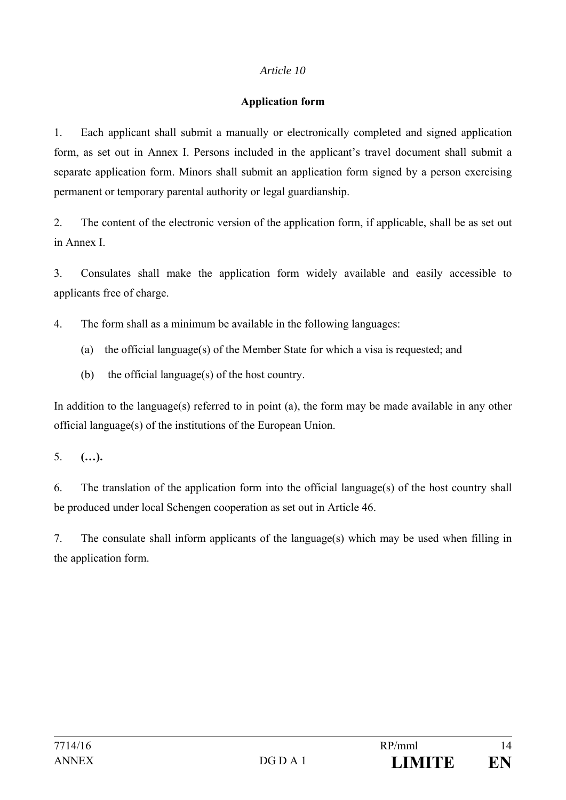#### **Application form**

1. Each applicant shall submit a manually or electronically completed and signed application form, as set out in Annex I. Persons included in the applicant's travel document shall submit a separate application form. Minors shall submit an application form signed by a person exercising permanent or temporary parental authority or legal guardianship.

2. The content of the electronic version of the application form, if applicable, shall be as set out in Annex I.

3. Consulates shall make the application form widely available and easily accessible to applicants free of charge.

4. The form shall as a minimum be available in the following languages:

- (a) the official language(s) of the Member State for which a visa is requested; and
- (b) the official language(s) of the host country.

In addition to the language(s) referred to in point (a), the form may be made available in any other official language(s) of the institutions of the European Union.

5. **(…).**

6. The translation of the application form into the official language(s) of the host country shall be produced under local Schengen cooperation as set out in Article 46.

7. The consulate shall inform applicants of the language(s) which may be used when filling in the application form.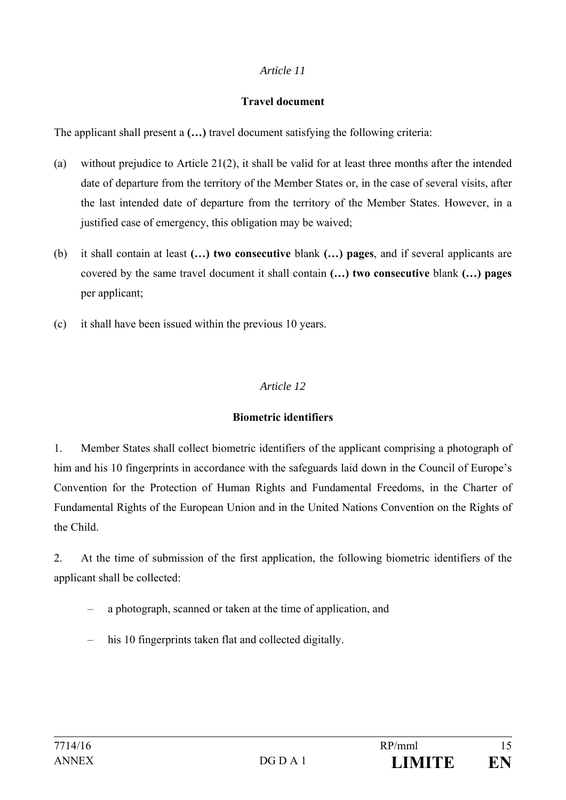#### **Travel document**

The applicant shall present a **(…)** travel document satisfying the following criteria:

- (a) without prejudice to Article 21(2), it shall be valid for at least three months after the intended date of departure from the territory of the Member States or, in the case of several visits, after the last intended date of departure from the territory of the Member States. However, in a justified case of emergency, this obligation may be waived;
- (b) it shall contain at least **(…) two consecutive** blank **(…) pages**, and if several applicants are covered by the same travel document it shall contain **(…) two consecutive** blank **(…) pages** per applicant;
- (c) it shall have been issued within the previous 10 years.

# *Article 12*

#### **Biometric identifiers**

1. Member States shall collect biometric identifiers of the applicant comprising a photograph of him and his 10 fingerprints in accordance with the safeguards laid down in the Council of Europe's Convention for the Protection of Human Rights and Fundamental Freedoms, in the Charter of Fundamental Rights of the European Union and in the United Nations Convention on the Rights of the Child.

2. At the time of submission of the first application, the following biometric identifiers of the applicant shall be collected:

- a photograph, scanned or taken at the time of application, and
- his 10 fingerprints taken flat and collected digitally.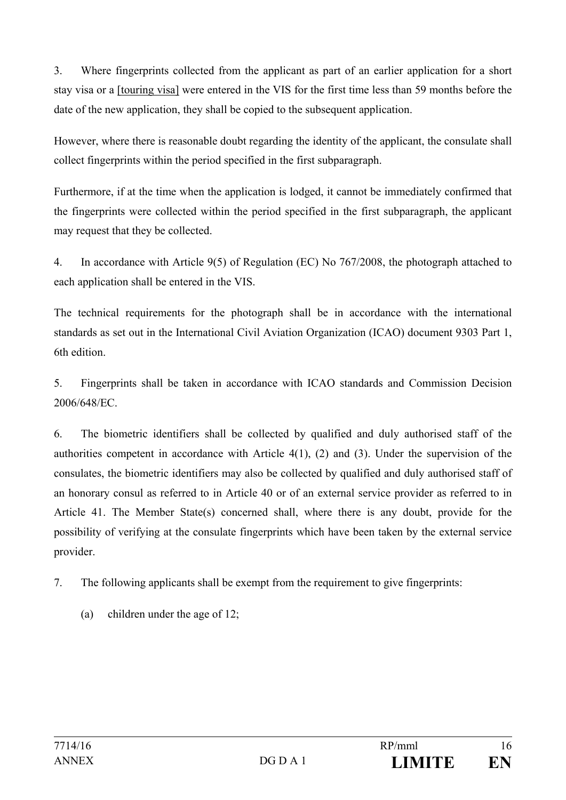3. Where fingerprints collected from the applicant as part of an earlier application for a short stay visa or a [touring visa] were entered in the VIS for the first time less than 59 months before the date of the new application, they shall be copied to the subsequent application.

However, where there is reasonable doubt regarding the identity of the applicant, the consulate shall collect fingerprints within the period specified in the first subparagraph.

Furthermore, if at the time when the application is lodged, it cannot be immediately confirmed that the fingerprints were collected within the period specified in the first subparagraph, the applicant may request that they be collected.

4. In accordance with Article 9(5) of Regulation (EC) No 767/2008, the photograph attached to each application shall be entered in the VIS.

The technical requirements for the photograph shall be in accordance with the international standards as set out in the International Civil Aviation Organization (ICAO) document 9303 Part 1, 6th edition.

5. Fingerprints shall be taken in accordance with ICAO standards and Commission Decision 2006/648/EC.

6. The biometric identifiers shall be collected by qualified and duly authorised staff of the authorities competent in accordance with Article 4(1), (2) and (3). Under the supervision of the consulates, the biometric identifiers may also be collected by qualified and duly authorised staff of an honorary consul as referred to in Article 40 or of an external service provider as referred to in Article 41. The Member State(s) concerned shall, where there is any doubt, provide for the possibility of verifying at the consulate fingerprints which have been taken by the external service provider.

- 7. The following applicants shall be exempt from the requirement to give fingerprints:
	- (a) children under the age of 12;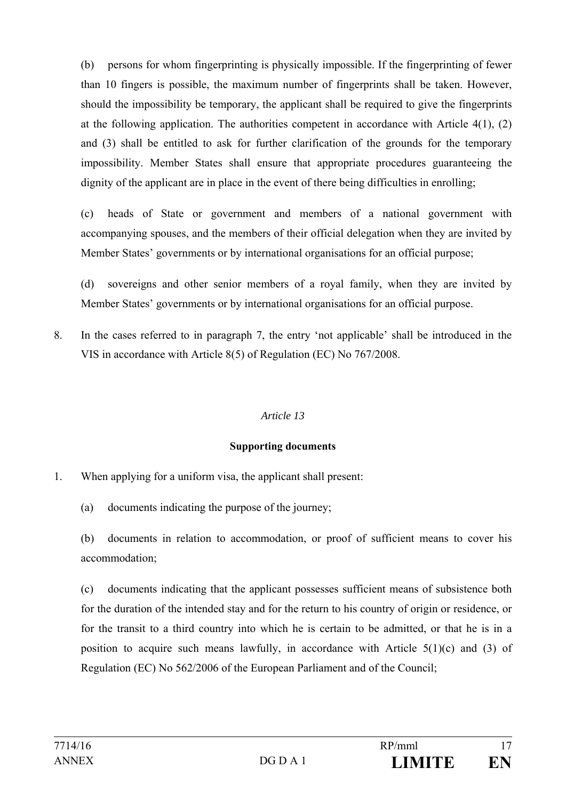(b) persons for whom fingerprinting is physically impossible. If the fingerprinting of fewer than 10 fingers is possible, the maximum number of fingerprints shall be taken. However, should the impossibility be temporary, the applicant shall be required to give the fingerprints at the following application. The authorities competent in accordance with Article 4(1), (2) and (3) shall be entitled to ask for further clarification of the grounds for the temporary impossibility. Member States shall ensure that appropriate procedures guaranteeing the dignity of the applicant are in place in the event of there being difficulties in enrolling;

(c) heads of State or government and members of a national government with accompanying spouses, and the members of their official delegation when they are invited by Member States' governments or by international organisations for an official purpose;

(d) sovereigns and other senior members of a royal family, when they are invited by Member States' governments or by international organisations for an official purpose.

8. In the cases referred to in paragraph 7, the entry 'not applicable' shall be introduced in the VIS in accordance with Article 8(5) of Regulation (EC) No 767/2008.

#### *Article 13*

#### **Supporting documents**

- 1. When applying for a uniform visa, the applicant shall present:
	- (a) documents indicating the purpose of the journey;

(b) documents in relation to accommodation, or proof of sufficient means to cover his accommodation;

(c) documents indicating that the applicant possesses sufficient means of subsistence both for the duration of the intended stay and for the return to his country of origin or residence, or for the transit to a third country into which he is certain to be admitted, or that he is in a position to acquire such means lawfully, in accordance with Article  $5(1)(c)$  and (3) of Regulation (EC) No 562/2006 of the European Parliament and of the Council;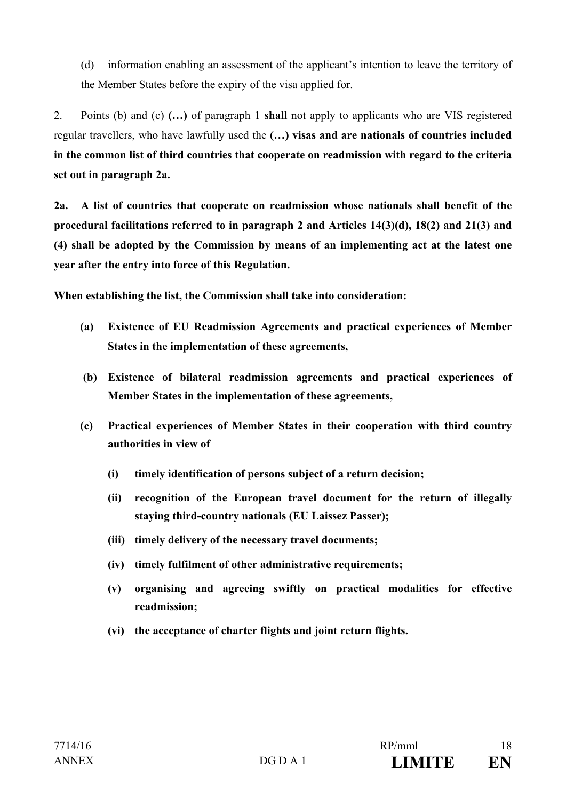(d) information enabling an assessment of the applicant's intention to leave the territory of the Member States before the expiry of the visa applied for.

2. Points (b) and (c) **(…)** of paragraph 1 **shall** not apply to applicants who are VIS registered regular travellers, who have lawfully used the **(…) visas and are nationals of countries included in the common list of third countries that cooperate on readmission with regard to the criteria set out in paragraph 2a.** 

**2a. A list of countries that cooperate on readmission whose nationals shall benefit of the procedural facilitations referred to in paragraph 2 and Articles 14(3)(d), 18(2) and 21(3) and (4) shall be adopted by the Commission by means of an implementing act at the latest one year after the entry into force of this Regulation.** 

**When establishing the list, the Commission shall take into consideration:** 

- **(a) Existence of EU Readmission Agreements and practical experiences of Member States in the implementation of these agreements,**
- **(b) Existence of bilateral readmission agreements and practical experiences of Member States in the implementation of these agreements,**
- **(c) Practical experiences of Member States in their cooperation with third country authorities in view of** 
	- **(i) timely identification of persons subject of a return decision;**
	- **(ii) recognition of the European travel document for the return of illegally staying third-country nationals (EU Laissez Passer);**
	- **(iii) timely delivery of the necessary travel documents;**
	- **(iv) timely fulfilment of other administrative requirements;**
	- **(v) organising and agreeing swiftly on practical modalities for effective readmission;**
	- **(vi) the acceptance of charter flights and joint return flights.**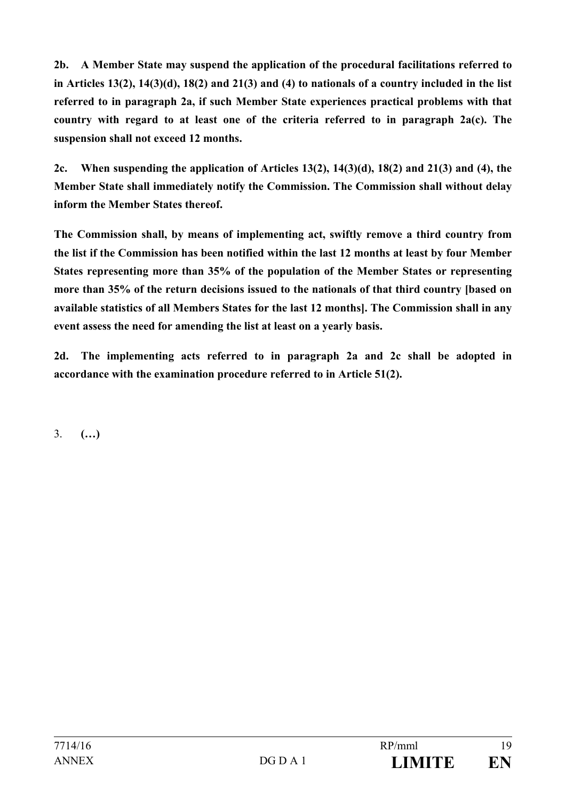**2b. A Member State may suspend the application of the procedural facilitations referred to in Articles 13(2), 14(3)(d), 18(2) and 21(3) and (4) to nationals of a country included in the list referred to in paragraph 2a, if such Member State experiences practical problems with that country with regard to at least one of the criteria referred to in paragraph 2a(c). The suspension shall not exceed 12 months.** 

**2c. When suspending the application of Articles 13(2), 14(3)(d), 18(2) and 21(3) and (4), the Member State shall immediately notify the Commission. The Commission shall without delay inform the Member States thereof.** 

**The Commission shall, by means of implementing act, swiftly remove a third country from the list if the Commission has been notified within the last 12 months at least by four Member States representing more than 35% of the population of the Member States or representing more than 35% of the return decisions issued to the nationals of that third country [based on available statistics of all Members States for the last 12 months]. The Commission shall in any event assess the need for amending the list at least on a yearly basis.** 

**2d. The implementing acts referred to in paragraph 2a and 2c shall be adopted in accordance with the examination procedure referred to in Article 51(2).** 

3. **(…)**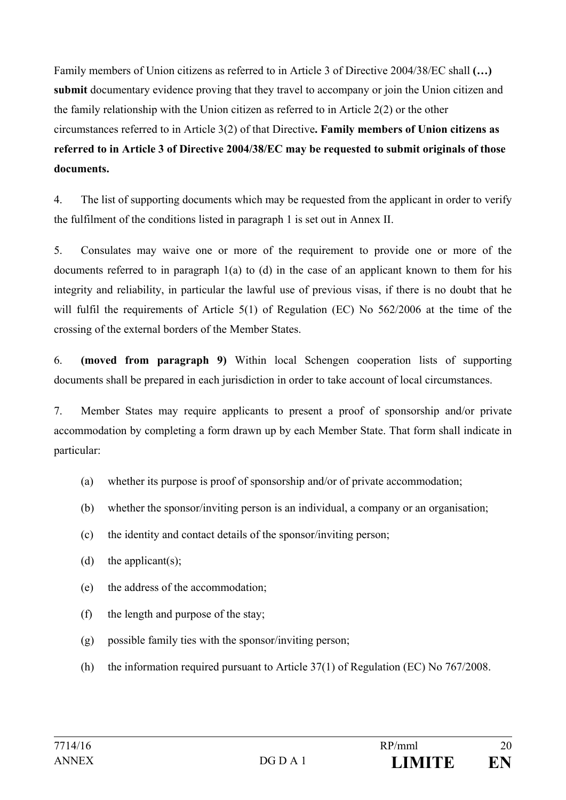Family members of Union citizens as referred to in Article 3 of Directive 2004/38/EC shall **(…) submit** documentary evidence proving that they travel to accompany or join the Union citizen and the family relationship with the Union citizen as referred to in Article 2(2) or the other circumstances referred to in Article 3(2) of that Directive**. Family members of Union citizens as referred to in Article 3 of Directive 2004/38/EC may be requested to submit originals of those documents.** 

4. The list of supporting documents which may be requested from the applicant in order to verify the fulfilment of the conditions listed in paragraph 1 is set out in Annex II.

5. Consulates may waive one or more of the requirement to provide one or more of the documents referred to in paragraph 1(a) to (d) in the case of an applicant known to them for his integrity and reliability, in particular the lawful use of previous visas, if there is no doubt that he will fulfil the requirements of Article 5(1) of Regulation (EC) No 562/2006 at the time of the crossing of the external borders of the Member States.

6. **(moved from paragraph 9)** Within local Schengen cooperation lists of supporting documents shall be prepared in each jurisdiction in order to take account of local circumstances.

7. Member States may require applicants to present a proof of sponsorship and/or private accommodation by completing a form drawn up by each Member State. That form shall indicate in particular:

- (a) whether its purpose is proof of sponsorship and/or of private accommodation;
- (b) whether the sponsor/inviting person is an individual, a company or an organisation;
- (c) the identity and contact details of the sponsor/inviting person;
- (d) the applicant(s);
- (e) the address of the accommodation;
- (f) the length and purpose of the stay;
- (g) possible family ties with the sponsor/inviting person;
- (h) the information required pursuant to Article 37(1) of Regulation (EC) No 767/2008.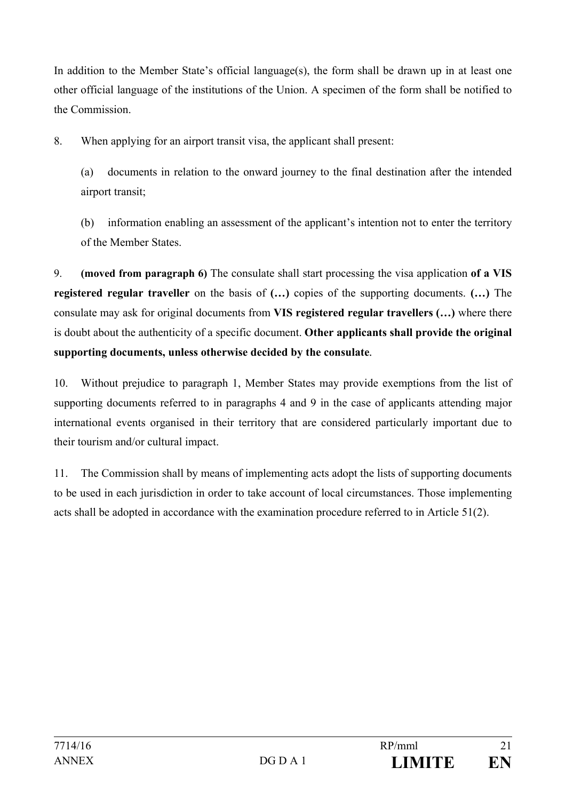In addition to the Member State's official language(s), the form shall be drawn up in at least one other official language of the institutions of the Union. A specimen of the form shall be notified to the Commission.

8. When applying for an airport transit visa, the applicant shall present:

(a) documents in relation to the onward journey to the final destination after the intended airport transit;

(b) information enabling an assessment of the applicant's intention not to enter the territory of the Member States.

9. **(moved from paragraph 6)** The consulate shall start processing the visa application **of a VIS registered regular traveller** on the basis of **(…)** copies of the supporting documents. **(…)** The consulate may ask for original documents from **VIS registered regular travellers (…)** where there is doubt about the authenticity of a specific document. **Other applicants shall provide the original supporting documents, unless otherwise decided by the consulate***.*

10. Without prejudice to paragraph 1, Member States may provide exemptions from the list of supporting documents referred to in paragraphs 4 and 9 in the case of applicants attending major international events organised in their territory that are considered particularly important due to their tourism and/or cultural impact.

11. The Commission shall by means of implementing acts adopt the lists of supporting documents to be used in each jurisdiction in order to take account of local circumstances. Those implementing acts shall be adopted in accordance with the examination procedure referred to in Article 51(2).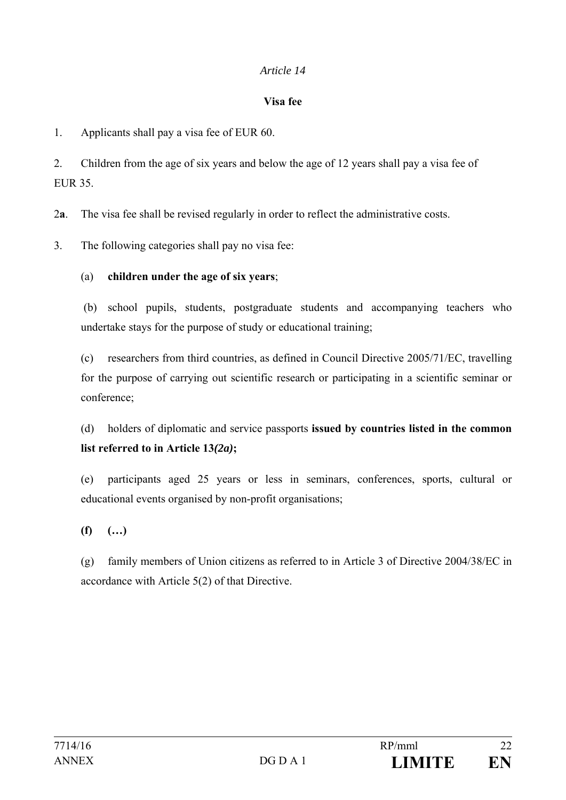#### **Visa fee**

1. Applicants shall pay a visa fee of EUR 60.

2. Children from the age of six years and below the age of 12 years shall pay a visa fee of EUR 35.

2**a**. The visa fee shall be revised regularly in order to reflect the administrative costs.

3. The following categories shall pay no visa fee:

## (a) **children under the age of six years**;

 (b) school pupils, students, postgraduate students and accompanying teachers who undertake stays for the purpose of study or educational training;

(c) researchers from third countries, as defined in Council Directive 2005/71/EC, travelling for the purpose of carrying out scientific research or participating in a scientific seminar or conference;

(d) holders of diplomatic and service passports **issued by countries listed in the common list referred to in Article 13***(2a)***;** 

(e) participants aged 25 years or less in seminars, conferences, sports, cultural or educational events organised by non-profit organisations;

**(f) (…)** 

(g) family members of Union citizens as referred to in Article 3 of Directive 2004/38/EC in accordance with Article 5(2) of that Directive.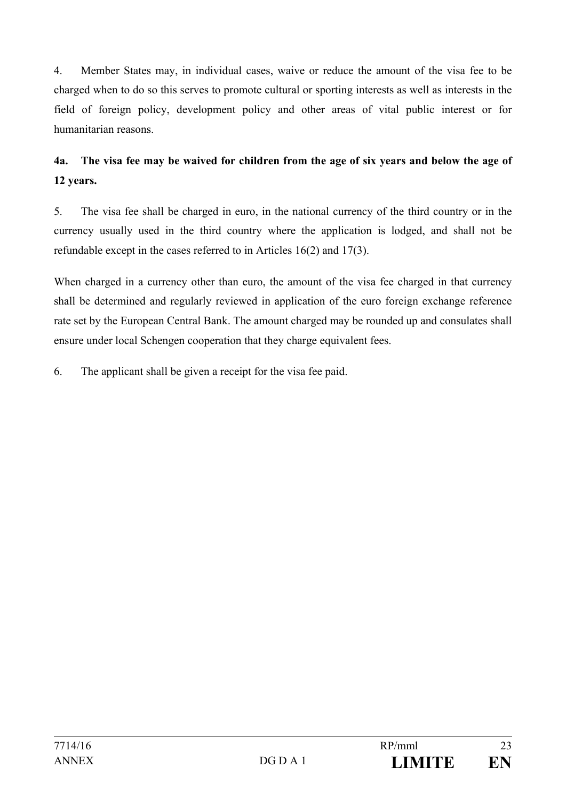4. Member States may, in individual cases, waive or reduce the amount of the visa fee to be charged when to do so this serves to promote cultural or sporting interests as well as interests in the field of foreign policy, development policy and other areas of vital public interest or for humanitarian reasons.

# **4a. The visa fee may be waived for children from the age of six years and below the age of 12 years.**

5. The visa fee shall be charged in euro, in the national currency of the third country or in the currency usually used in the third country where the application is lodged, and shall not be refundable except in the cases referred to in Articles 16(2) and 17(3).

When charged in a currency other than euro, the amount of the visa fee charged in that currency shall be determined and regularly reviewed in application of the euro foreign exchange reference rate set by the European Central Bank. The amount charged may be rounded up and consulates shall ensure under local Schengen cooperation that they charge equivalent fees.

6. The applicant shall be given a receipt for the visa fee paid.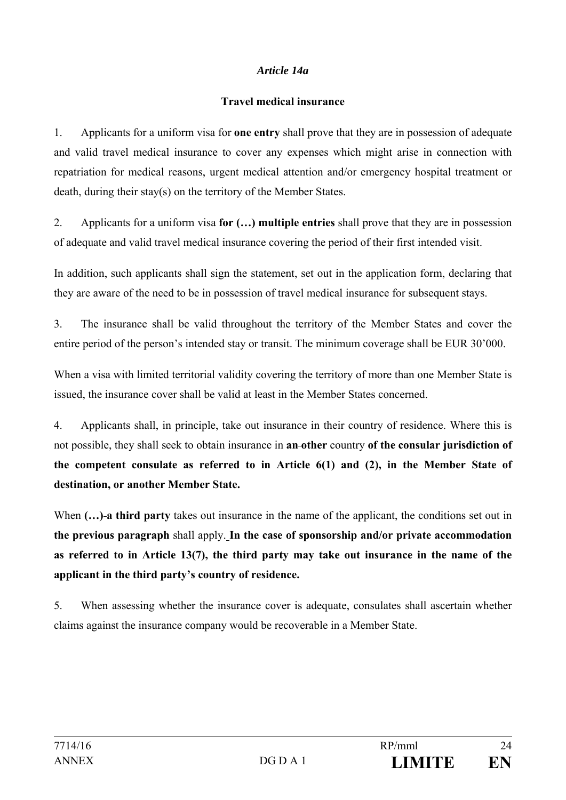#### *Article 14a*

#### **Travel medical insurance**

1. Applicants for a uniform visa for **one entry** shall prove that they are in possession of adequate and valid travel medical insurance to cover any expenses which might arise in connection with repatriation for medical reasons, urgent medical attention and/or emergency hospital treatment or death, during their stay(s) on the territory of the Member States.

2. Applicants for a uniform visa **for (…) multiple entries** shall prove that they are in possession of adequate and valid travel medical insurance covering the period of their first intended visit.

In addition, such applicants shall sign the statement, set out in the application form, declaring that they are aware of the need to be in possession of travel medical insurance for subsequent stays.

3. The insurance shall be valid throughout the territory of the Member States and cover the entire period of the person's intended stay or transit. The minimum coverage shall be EUR 30'000.

When a visa with limited territorial validity covering the territory of more than one Member State is issued, the insurance cover shall be valid at least in the Member States concerned.

4. Applicants shall, in principle, take out insurance in their country of residence. Where this is not possible, they shall seek to obtain insurance in **an other** country **of the consular jurisdiction of the competent consulate as referred to in Article 6(1) and (2), in the Member State of destination, or another Member State.**

When  $(...)$ -a third party takes out insurance in the name of the applicant, the conditions set out in **the previous paragraph** shall apply. **In the case of sponsorship and/or private accommodation as referred to in Article 13(7), the third party may take out insurance in the name of the applicant in the third party's country of residence.**

5. When assessing whether the insurance cover is adequate, consulates shall ascertain whether claims against the insurance company would be recoverable in a Member State.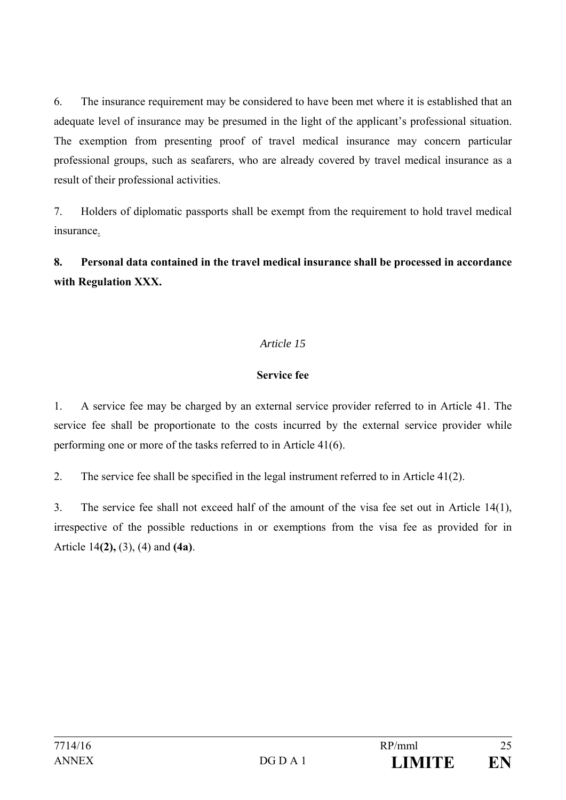6. The insurance requirement may be considered to have been met where it is established that an adequate level of insurance may be presumed in the light of the applicant's professional situation. The exemption from presenting proof of travel medical insurance may concern particular professional groups, such as seafarers, who are already covered by travel medical insurance as a result of their professional activities.

7. Holders of diplomatic passports shall be exempt from the requirement to hold travel medical insurance.

**8. Personal data contained in the travel medical insurance shall be processed in accordance with Regulation XXX.**

# *Article 15*

## **Service fee**

1. A service fee may be charged by an external service provider referred to in Article 41. The service fee shall be proportionate to the costs incurred by the external service provider while performing one or more of the tasks referred to in Article 41(6).

2. The service fee shall be specified in the legal instrument referred to in Article 41(2).

3. The service fee shall not exceed half of the amount of the visa fee set out in Article 14(1), irrespective of the possible reductions in or exemptions from the visa fee as provided for in Article 14**(2),** (3), (4) and **(4a)**.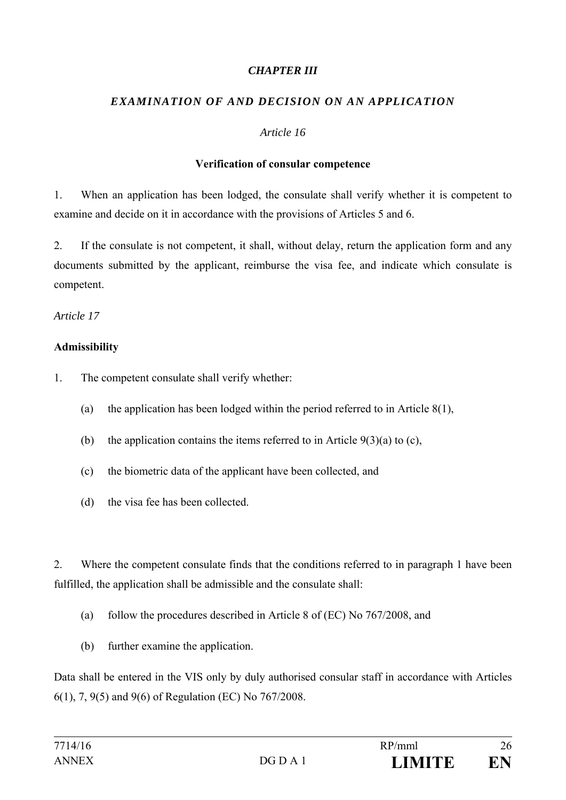#### *CHAPTER III*

# *EXAMINATION OF AND DECISION ON AN APPLICATION*

#### *Article 16*

#### **Verification of consular competence**

1. When an application has been lodged, the consulate shall verify whether it is competent to examine and decide on it in accordance with the provisions of Articles 5 and 6.

2. If the consulate is not competent, it shall, without delay, return the application form and any documents submitted by the applicant, reimburse the visa fee, and indicate which consulate is competent.

*Article 17* 

## **Admissibility**

- 1. The competent consulate shall verify whether:
	- (a) the application has been lodged within the period referred to in Article 8(1),
	- (b) the application contains the items referred to in Article  $9(3)(a)$  to (c),
	- (c) the biometric data of the applicant have been collected, and
	- (d) the visa fee has been collected.

2. Where the competent consulate finds that the conditions referred to in paragraph 1 have been fulfilled, the application shall be admissible and the consulate shall:

- (a) follow the procedures described in Article 8 of (EC) No 767/2008, and
- (b) further examine the application.

Data shall be entered in the VIS only by duly authorised consular staff in accordance with Articles 6(1), 7, 9(5) and 9(6) of Regulation (EC) No 767/2008.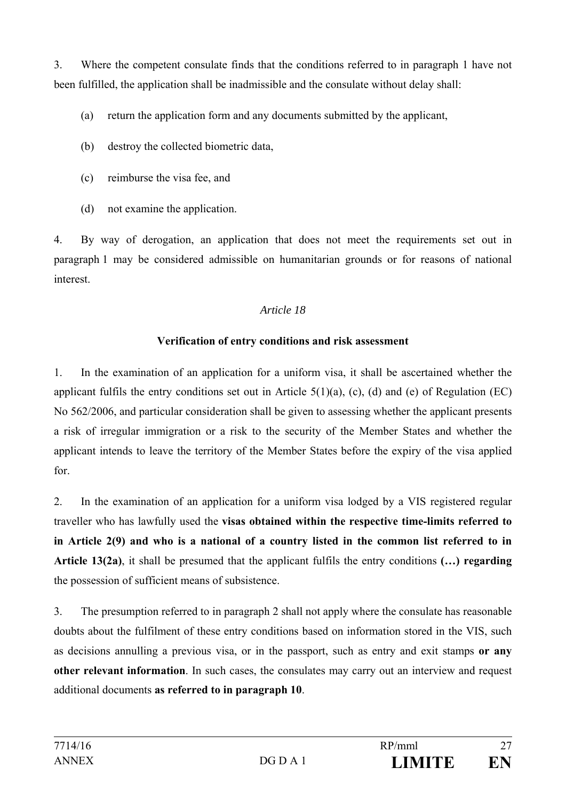3. Where the competent consulate finds that the conditions referred to in paragraph 1 have not been fulfilled, the application shall be inadmissible and the consulate without delay shall:

- (a) return the application form and any documents submitted by the applicant,
- (b) destroy the collected biometric data,
- (c) reimburse the visa fee, and
- (d) not examine the application.

4. By way of derogation, an application that does not meet the requirements set out in paragraph 1 may be considered admissible on humanitarian grounds or for reasons of national interest.

# *Article 18*

# **Verification of entry conditions and risk assessment**

1. In the examination of an application for a uniform visa, it shall be ascertained whether the applicant fulfils the entry conditions set out in Article  $5(1)(a)$ , (c), (d) and (e) of Regulation (EC) No 562/2006, and particular consideration shall be given to assessing whether the applicant presents a risk of irregular immigration or a risk to the security of the Member States and whether the applicant intends to leave the territory of the Member States before the expiry of the visa applied for.

2. In the examination of an application for a uniform visa lodged by a VIS registered regular traveller who has lawfully used the **visas obtained within the respective time-limits referred to in Article 2(9) and who is a national of a country listed in the common list referred to in Article 13(2a)**, it shall be presumed that the applicant fulfils the entry conditions **(…) regarding** the possession of sufficient means of subsistence.

3. The presumption referred to in paragraph 2 shall not apply where the consulate has reasonable doubts about the fulfilment of these entry conditions based on information stored in the VIS, such as decisions annulling a previous visa, or in the passport, such as entry and exit stamps **or any other relevant information**. In such cases, the consulates may carry out an interview and request additional documents **as referred to in paragraph 10**.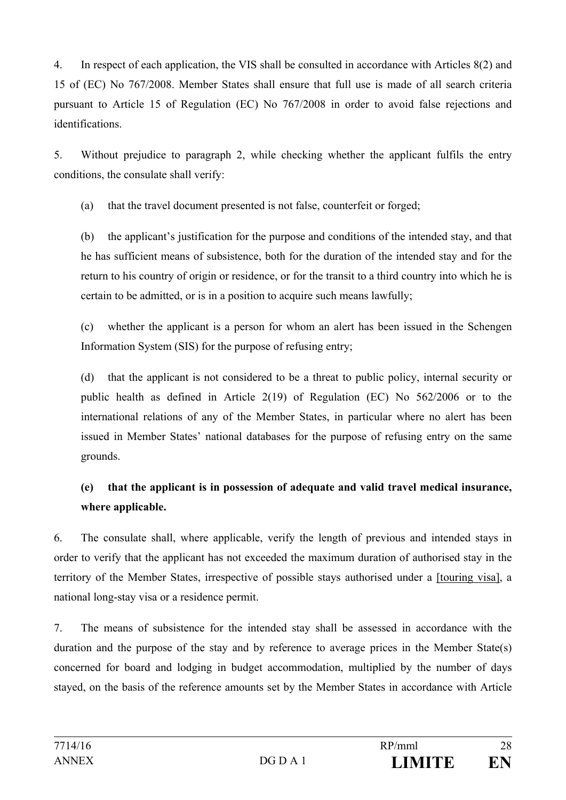4. In respect of each application, the VIS shall be consulted in accordance with Articles 8(2) and 15 of (EC) No 767/2008. Member States shall ensure that full use is made of all search criteria pursuant to Article 15 of Regulation (EC) No 767/2008 in order to avoid false rejections and identifications.

5. Without prejudice to paragraph 2, while checking whether the applicant fulfils the entry conditions, the consulate shall verify:

(a) that the travel document presented is not false, counterfeit or forged;

(b) the applicant's justification for the purpose and conditions of the intended stay, and that he has sufficient means of subsistence, both for the duration of the intended stay and for the return to his country of origin or residence, or for the transit to a third country into which he is certain to be admitted, or is in a position to acquire such means lawfully;

(c) whether the applicant is a person for whom an alert has been issued in the Schengen Information System (SIS) for the purpose of refusing entry;

(d) that the applicant is not considered to be a threat to public policy, internal security or public health as defined in Article 2(19) of Regulation (EC) No 562/2006 or to the international relations of any of the Member States, in particular where no alert has been issued in Member States' national databases for the purpose of refusing entry on the same grounds.

# **(e) that the applicant is in possession of adequate and valid travel medical insurance, where applicable.**

6. The consulate shall, where applicable, verify the length of previous and intended stays in order to verify that the applicant has not exceeded the maximum duration of authorised stay in the territory of the Member States, irrespective of possible stays authorised under a [touring visa], a national long-stay visa or a residence permit.

7. The means of subsistence for the intended stay shall be assessed in accordance with the duration and the purpose of the stay and by reference to average prices in the Member State(s) concerned for board and lodging in budget accommodation, multiplied by the number of days stayed, on the basis of the reference amounts set by the Member States in accordance with Article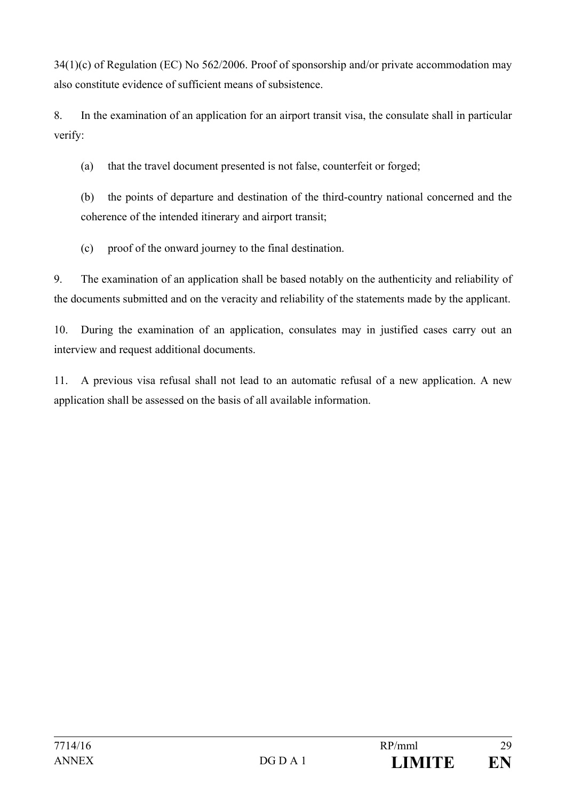34(1)(c) of Regulation (EC) No 562/2006. Proof of sponsorship and/or private accommodation may also constitute evidence of sufficient means of subsistence.

8. In the examination of an application for an airport transit visa, the consulate shall in particular verify:

(a) that the travel document presented is not false, counterfeit or forged;

(b) the points of departure and destination of the third-country national concerned and the coherence of the intended itinerary and airport transit;

(c) proof of the onward journey to the final destination.

9. The examination of an application shall be based notably on the authenticity and reliability of the documents submitted and on the veracity and reliability of the statements made by the applicant.

10. During the examination of an application, consulates may in justified cases carry out an interview and request additional documents.

11. A previous visa refusal shall not lead to an automatic refusal of a new application. A new application shall be assessed on the basis of all available information.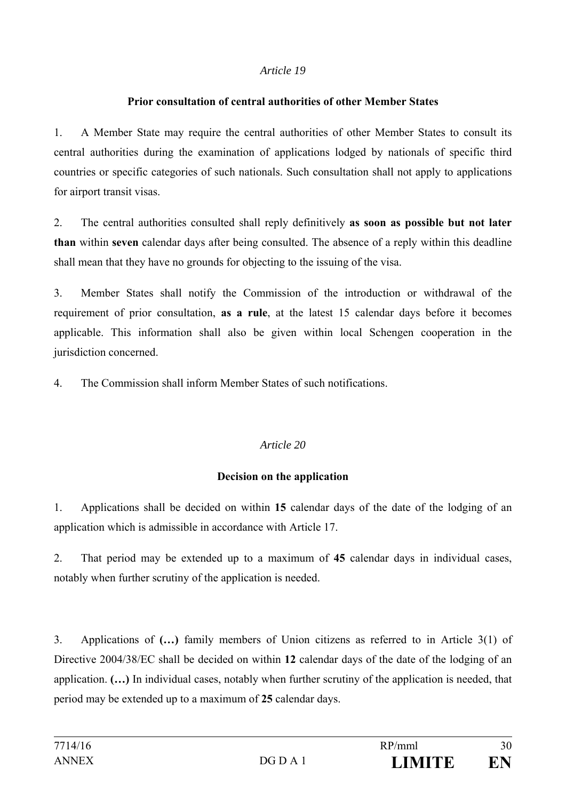# **Prior consultation of central authorities of other Member States**

1. A Member State may require the central authorities of other Member States to consult its central authorities during the examination of applications lodged by nationals of specific third countries or specific categories of such nationals. Such consultation shall not apply to applications for airport transit visas.

2. The central authorities consulted shall reply definitively **as soon as possible but not later than** within **seven** calendar days after being consulted. The absence of a reply within this deadline shall mean that they have no grounds for objecting to the issuing of the visa.

3. Member States shall notify the Commission of the introduction or withdrawal of the requirement of prior consultation, **as a rule**, at the latest 15 calendar days before it becomes applicable. This information shall also be given within local Schengen cooperation in the jurisdiction concerned.

4. The Commission shall inform Member States of such notifications.

# *Article 20*

# **Decision on the application**

1. Applications shall be decided on within **15** calendar days of the date of the lodging of an application which is admissible in accordance with Article 17.

2. That period may be extended up to a maximum of **45** calendar days in individual cases, notably when further scrutiny of the application is needed.

3. Applications of **(…)** family members of Union citizens as referred to in Article 3(1) of Directive 2004/38/EC shall be decided on within **12** calendar days of the date of the lodging of an application. **(…)** In individual cases, notably when further scrutiny of the application is needed, that period may be extended up to a maximum of **25** calendar days.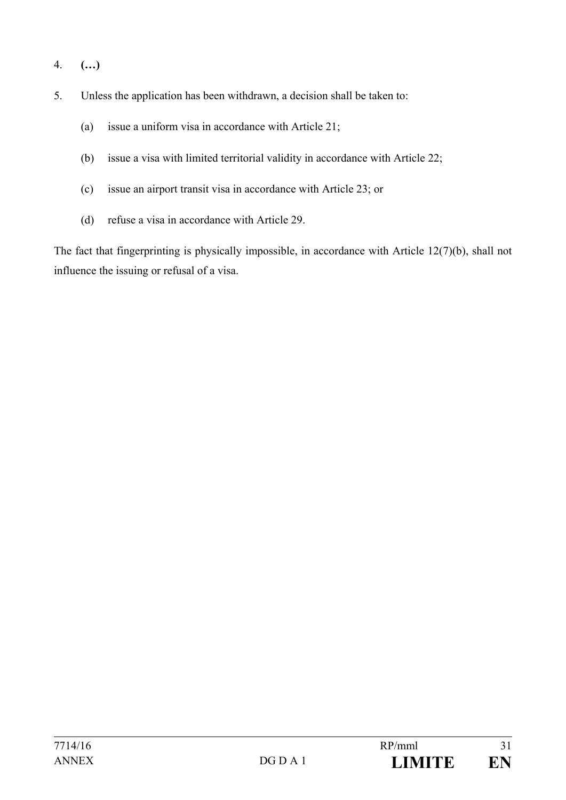- 4. **(…)**
- 5. Unless the application has been withdrawn, a decision shall be taken to:
	- (a) issue a uniform visa in accordance with Article 21;
	- (b) issue a visa with limited territorial validity in accordance with Article 22;
	- (c) issue an airport transit visa in accordance with Article 23; or
	- (d) refuse a visa in accordance with Article 29.

The fact that fingerprinting is physically impossible, in accordance with Article 12(7)(b), shall not influence the issuing or refusal of a visa.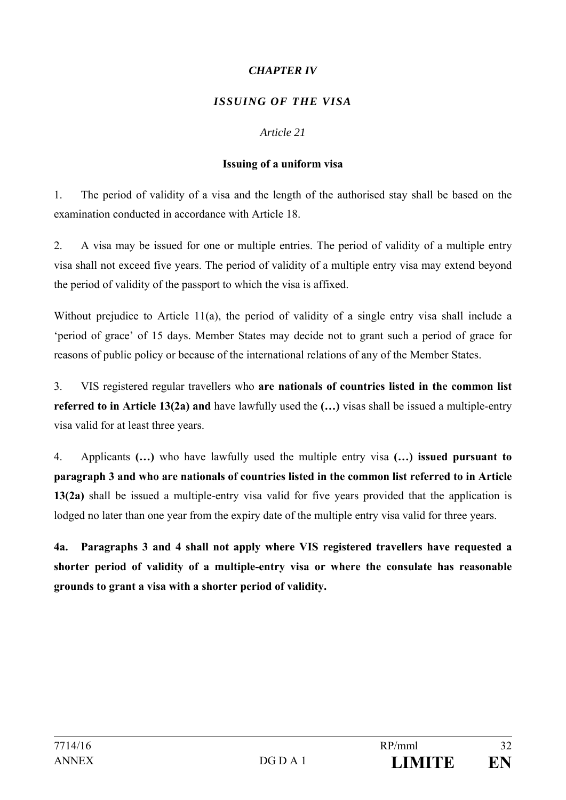# *CHAPTER IV*

# *ISSUING OF THE VISA*

#### *Article 21*

#### **Issuing of a uniform visa**

1. The period of validity of a visa and the length of the authorised stay shall be based on the examination conducted in accordance with Article 18.

2. A visa may be issued for one or multiple entries. The period of validity of a multiple entry visa shall not exceed five years. The period of validity of a multiple entry visa may extend beyond the period of validity of the passport to which the visa is affixed.

Without prejudice to Article 11(a), the period of validity of a single entry visa shall include a 'period of grace' of 15 days. Member States may decide not to grant such a period of grace for reasons of public policy or because of the international relations of any of the Member States.

3. VIS registered regular travellers who **are nationals of countries listed in the common list referred to in Article 13(2a) and** have lawfully used the **(…)** visas shall be issued a multiple-entry visa valid for at least three years.

4. Applicants **(…)** who have lawfully used the multiple entry visa **(…) issued pursuant to paragraph 3 and who are nationals of countries listed in the common list referred to in Article 13(2a)** shall be issued a multiple-entry visa valid for five years provided that the application is lodged no later than one year from the expiry date of the multiple entry visa valid for three years.

**4a. Paragraphs 3 and 4 shall not apply where VIS registered travellers have requested a shorter period of validity of a multiple-entry visa or where the consulate has reasonable grounds to grant a visa with a shorter period of validity.**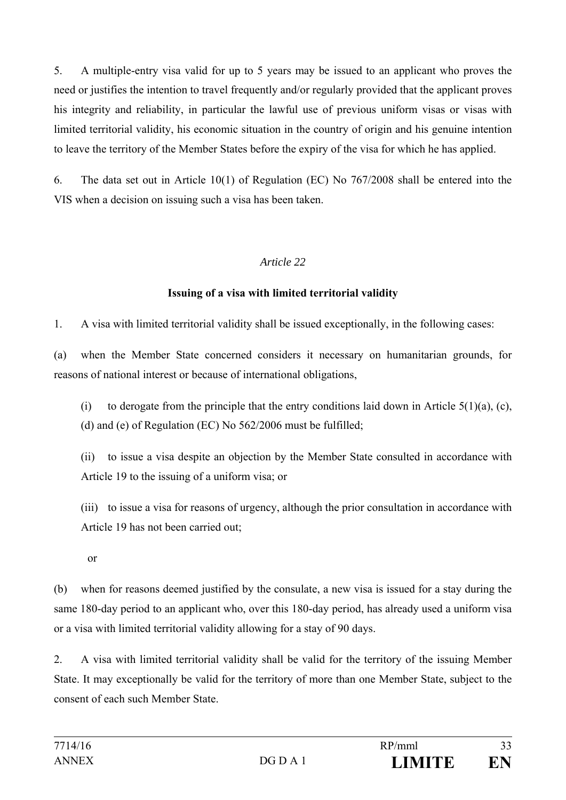5. A multiple-entry visa valid for up to 5 years may be issued to an applicant who proves the need or justifies the intention to travel frequently and/or regularly provided that the applicant proves his integrity and reliability, in particular the lawful use of previous uniform visas or visas with limited territorial validity, his economic situation in the country of origin and his genuine intention to leave the territory of the Member States before the expiry of the visa for which he has applied.

6. The data set out in Article 10(1) of Regulation (EC) No 767/2008 shall be entered into the VIS when a decision on issuing such a visa has been taken.

#### *Article 22*

#### **Issuing of a visa with limited territorial validity**

1. A visa with limited territorial validity shall be issued exceptionally, in the following cases:

(a) when the Member State concerned considers it necessary on humanitarian grounds, for reasons of national interest or because of international obligations,

(i) to derogate from the principle that the entry conditions laid down in Article  $5(1)(a)$ , (c), (d) and (e) of Regulation (EC) No 562/2006 must be fulfilled;

(ii) to issue a visa despite an objection by the Member State consulted in accordance with Article 19 to the issuing of a uniform visa; or

(iii) to issue a visa for reasons of urgency, although the prior consultation in accordance with Article 19 has not been carried out;

or

(b) when for reasons deemed justified by the consulate, a new visa is issued for a stay during the same 180-day period to an applicant who, over this 180-day period, has already used a uniform visa or a visa with limited territorial validity allowing for a stay of 90 days.

2. A visa with limited territorial validity shall be valid for the territory of the issuing Member State. It may exceptionally be valid for the territory of more than one Member State, subject to the consent of each such Member State.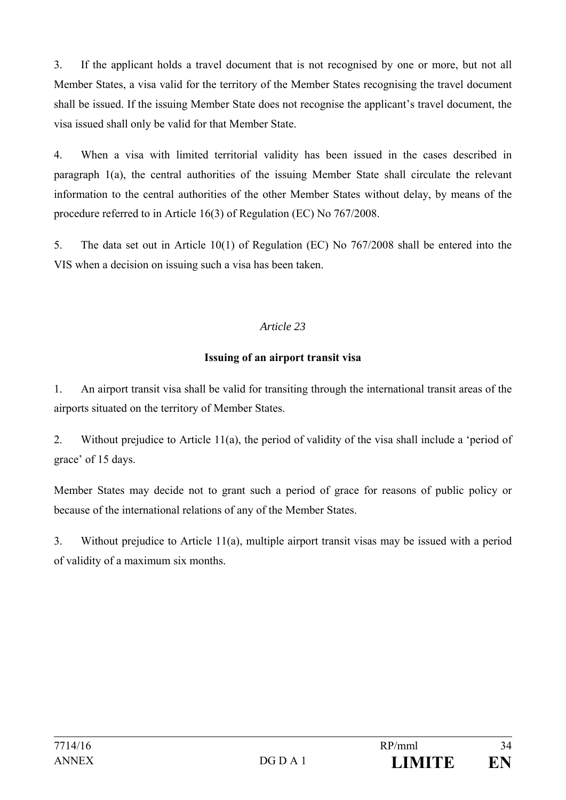3. If the applicant holds a travel document that is not recognised by one or more, but not all Member States, a visa valid for the territory of the Member States recognising the travel document shall be issued. If the issuing Member State does not recognise the applicant's travel document, the visa issued shall only be valid for that Member State.

4. When a visa with limited territorial validity has been issued in the cases described in paragraph 1(a), the central authorities of the issuing Member State shall circulate the relevant information to the central authorities of the other Member States without delay, by means of the procedure referred to in Article 16(3) of Regulation (EC) No 767/2008.

5. The data set out in Article 10(1) of Regulation (EC) No 767/2008 shall be entered into the VIS when a decision on issuing such a visa has been taken.

# *Article 23*

#### **Issuing of an airport transit visa**

1. An airport transit visa shall be valid for transiting through the international transit areas of the airports situated on the territory of Member States.

2. Without prejudice to Article 11(a), the period of validity of the visa shall include a 'period of grace' of 15 days.

Member States may decide not to grant such a period of grace for reasons of public policy or because of the international relations of any of the Member States.

3. Without prejudice to Article 11(a), multiple airport transit visas may be issued with a period of validity of a maximum six months.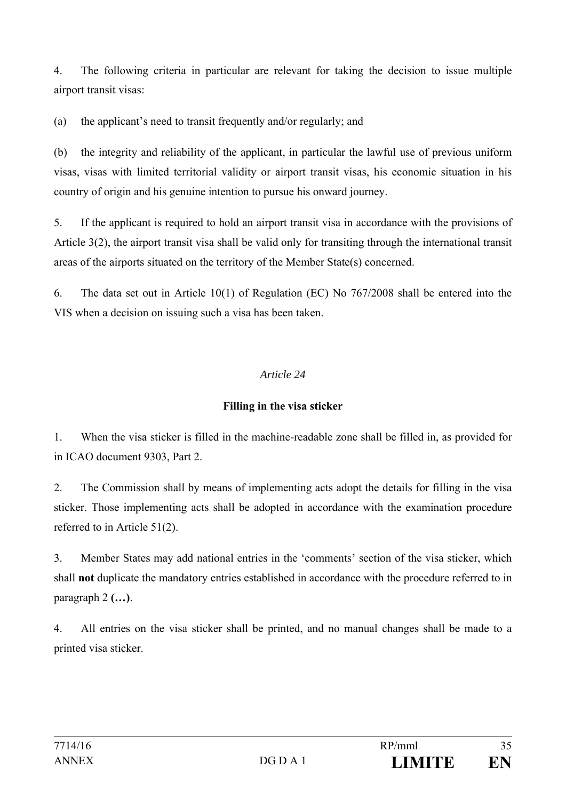4. The following criteria in particular are relevant for taking the decision to issue multiple airport transit visas:

(a) the applicant's need to transit frequently and/or regularly; and

(b) the integrity and reliability of the applicant, in particular the lawful use of previous uniform visas, visas with limited territorial validity or airport transit visas, his economic situation in his country of origin and his genuine intention to pursue his onward journey.

5. If the applicant is required to hold an airport transit visa in accordance with the provisions of Article 3(2), the airport transit visa shall be valid only for transiting through the international transit areas of the airports situated on the territory of the Member State(s) concerned.

6. The data set out in Article 10(1) of Regulation (EC) No 767/2008 shall be entered into the VIS when a decision on issuing such a visa has been taken.

# *Article 24*

# **Filling in the visa sticker**

1. When the visa sticker is filled in the machine-readable zone shall be filled in, as provided for in ICAO document 9303, Part 2.

2. The Commission shall by means of implementing acts adopt the details for filling in the visa sticker. Those implementing acts shall be adopted in accordance with the examination procedure referred to in Article 51(2).

3. Member States may add national entries in the 'comments' section of the visa sticker, which shall **not** duplicate the mandatory entries established in accordance with the procedure referred to in paragraph 2 **(…)**.

4. All entries on the visa sticker shall be printed, and no manual changes shall be made to a printed visa sticker.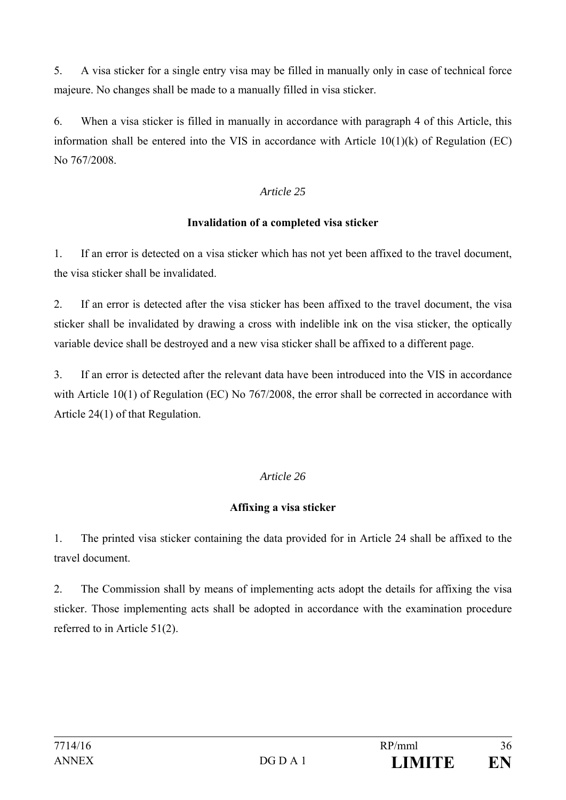5. A visa sticker for a single entry visa may be filled in manually only in case of technical force majeure. No changes shall be made to a manually filled in visa sticker.

6. When a visa sticker is filled in manually in accordance with paragraph 4 of this Article, this information shall be entered into the VIS in accordance with Article  $10(1)(k)$  of Regulation (EC) No 767/2008.

## *Article 25*

#### **Invalidation of a completed visa sticker**

1. If an error is detected on a visa sticker which has not yet been affixed to the travel document, the visa sticker shall be invalidated.

2. If an error is detected after the visa sticker has been affixed to the travel document, the visa sticker shall be invalidated by drawing a cross with indelible ink on the visa sticker, the optically variable device shall be destroyed and a new visa sticker shall be affixed to a different page.

3. If an error is detected after the relevant data have been introduced into the VIS in accordance with Article 10(1) of Regulation (EC) No 767/2008, the error shall be corrected in accordance with Article 24(1) of that Regulation.

# *Article 26*

# **Affixing a visa sticker**

1. The printed visa sticker containing the data provided for in Article 24 shall be affixed to the travel document.

2. The Commission shall by means of implementing acts adopt the details for affixing the visa sticker. Those implementing acts shall be adopted in accordance with the examination procedure referred to in Article 51(2).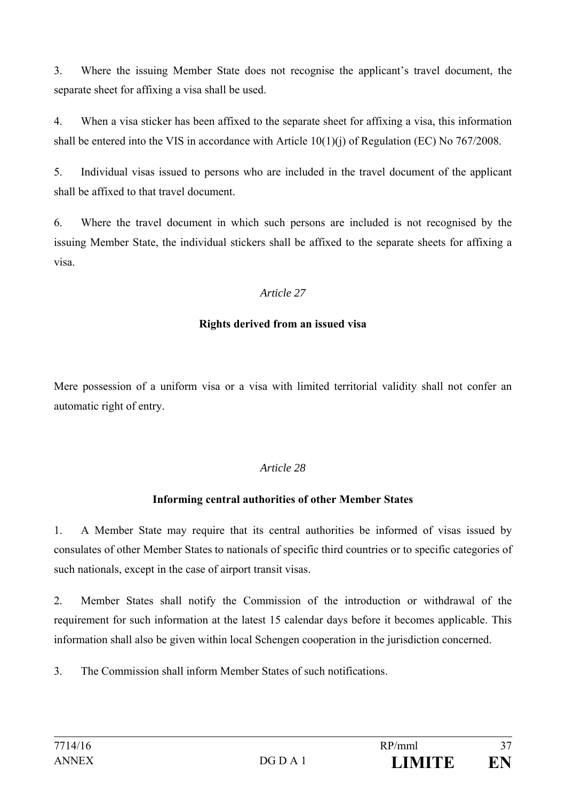3. Where the issuing Member State does not recognise the applicant's travel document, the separate sheet for affixing a visa shall be used.

4. When a visa sticker has been affixed to the separate sheet for affixing a visa, this information shall be entered into the VIS in accordance with Article  $10(1)(i)$  of Regulation (EC) No 767/2008.

5. Individual visas issued to persons who are included in the travel document of the applicant shall be affixed to that travel document.

6. Where the travel document in which such persons are included is not recognised by the issuing Member State, the individual stickers shall be affixed to the separate sheets for affixing a visa.

#### *Article 27*

#### **Rights derived from an issued visa**

Mere possession of a uniform visa or a visa with limited territorial validity shall not confer an automatic right of entry.

#### *Article 28*

#### **Informing central authorities of other Member States**

1. A Member State may require that its central authorities be informed of visas issued by consulates of other Member States to nationals of specific third countries or to specific categories of such nationals, except in the case of airport transit visas.

2. Member States shall notify the Commission of the introduction or withdrawal of the requirement for such information at the latest 15 calendar days before it becomes applicable. This information shall also be given within local Schengen cooperation in the jurisdiction concerned.

3. The Commission shall inform Member States of such notifications.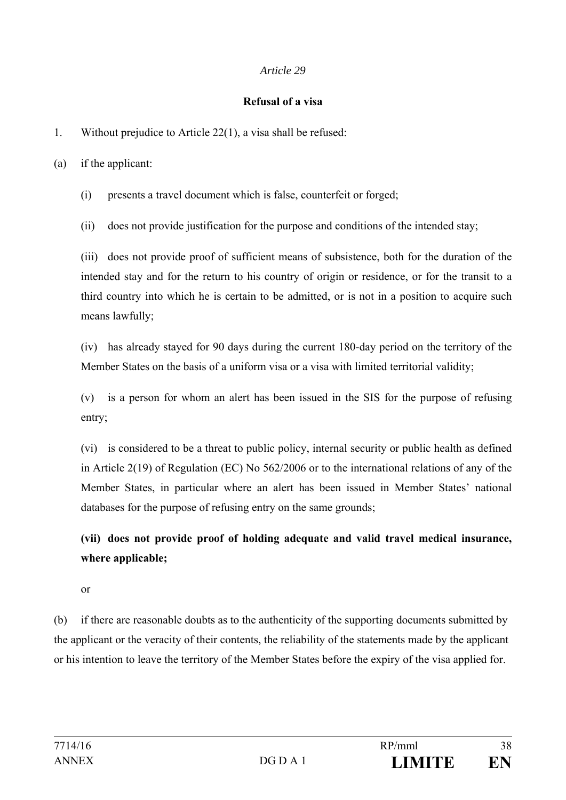#### **Refusal of a visa**

1. Without prejudice to Article 22(1), a visa shall be refused:

(a) if the applicant:

(i) presents a travel document which is false, counterfeit or forged;

(ii) does not provide justification for the purpose and conditions of the intended stay;

(iii) does not provide proof of sufficient means of subsistence, both for the duration of the intended stay and for the return to his country of origin or residence, or for the transit to a third country into which he is certain to be admitted, or is not in a position to acquire such means lawfully;

(iv) has already stayed for 90 days during the current 180-day period on the territory of the Member States on the basis of a uniform visa or a visa with limited territorial validity;

(v) is a person for whom an alert has been issued in the SIS for the purpose of refusing entry;

(vi) is considered to be a threat to public policy, internal security or public health as defined in Article 2(19) of Regulation (EC) No 562/2006 or to the international relations of any of the Member States, in particular where an alert has been issued in Member States' national databases for the purpose of refusing entry on the same grounds;

**(vii) does not provide proof of holding adequate and valid travel medical insurance, where applicable;** 

or

(b) if there are reasonable doubts as to the authenticity of the supporting documents submitted by the applicant or the veracity of their contents, the reliability of the statements made by the applicant or his intention to leave the territory of the Member States before the expiry of the visa applied for.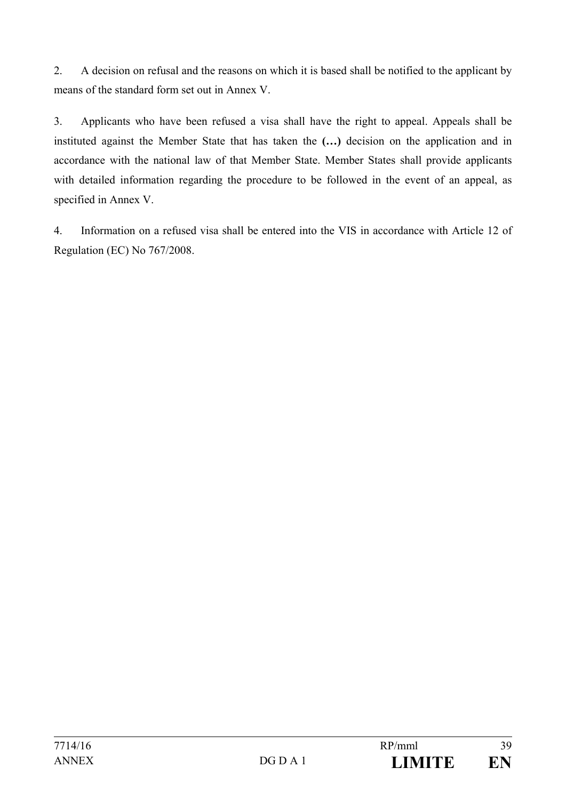2. A decision on refusal and the reasons on which it is based shall be notified to the applicant by means of the standard form set out in Annex V.

3. Applicants who have been refused a visa shall have the right to appeal. Appeals shall be instituted against the Member State that has taken the **(…)** decision on the application and in accordance with the national law of that Member State. Member States shall provide applicants with detailed information regarding the procedure to be followed in the event of an appeal, as specified in Annex V.

4. Information on a refused visa shall be entered into the VIS in accordance with Article 12 of Regulation (EC) No 767/2008.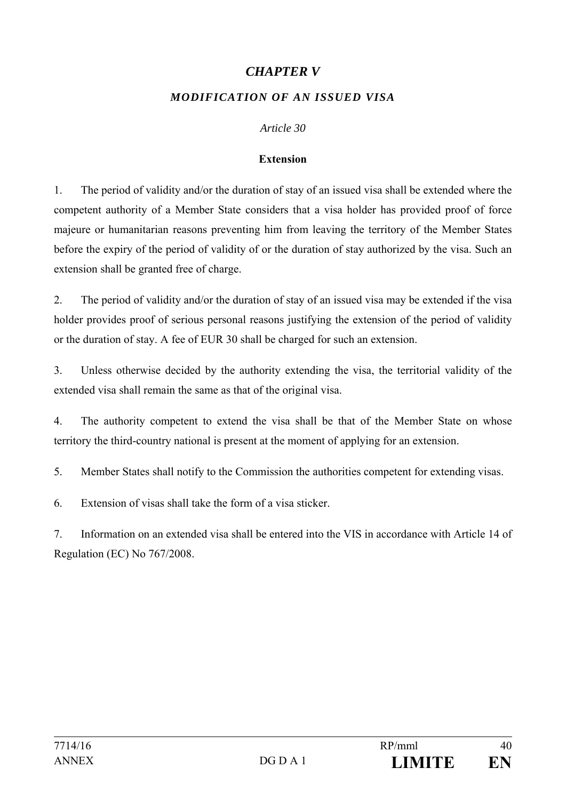## *CHAPTER V*

#### *MODIFICATION OF AN ISSUED VISA*

#### *Article 30*

#### **Extension**

1. The period of validity and/or the duration of stay of an issued visa shall be extended where the competent authority of a Member State considers that a visa holder has provided proof of force majeure or humanitarian reasons preventing him from leaving the territory of the Member States before the expiry of the period of validity of or the duration of stay authorized by the visa. Such an extension shall be granted free of charge.

2. The period of validity and/or the duration of stay of an issued visa may be extended if the visa holder provides proof of serious personal reasons justifying the extension of the period of validity or the duration of stay. A fee of EUR 30 shall be charged for such an extension.

3. Unless otherwise decided by the authority extending the visa, the territorial validity of the extended visa shall remain the same as that of the original visa.

4. The authority competent to extend the visa shall be that of the Member State on whose territory the third-country national is present at the moment of applying for an extension.

5. Member States shall notify to the Commission the authorities competent for extending visas.

6. Extension of visas shall take the form of a visa sticker.

7. Information on an extended visa shall be entered into the VIS in accordance with Article 14 of Regulation (EC) No 767/2008.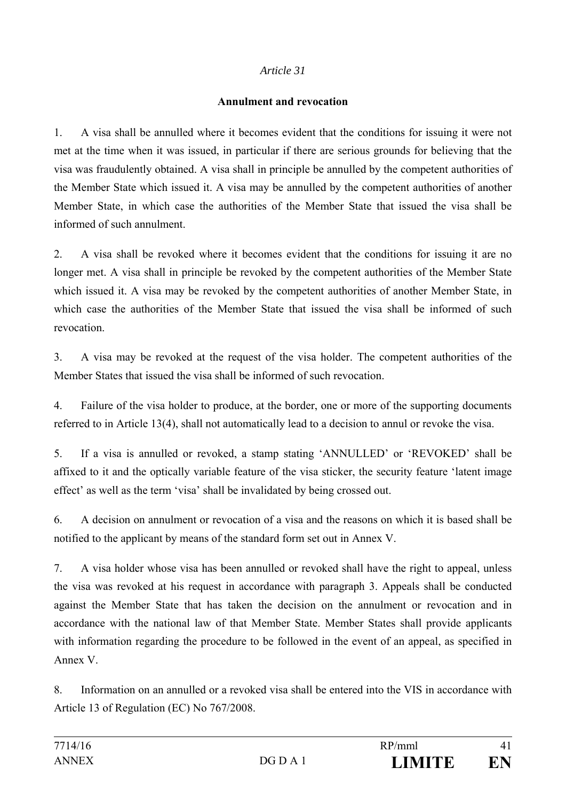#### **Annulment and revocation**

1. A visa shall be annulled where it becomes evident that the conditions for issuing it were not met at the time when it was issued, in particular if there are serious grounds for believing that the visa was fraudulently obtained. A visa shall in principle be annulled by the competent authorities of the Member State which issued it. A visa may be annulled by the competent authorities of another Member State, in which case the authorities of the Member State that issued the visa shall be informed of such annulment.

2. A visa shall be revoked where it becomes evident that the conditions for issuing it are no longer met. A visa shall in principle be revoked by the competent authorities of the Member State which issued it. A visa may be revoked by the competent authorities of another Member State, in which case the authorities of the Member State that issued the visa shall be informed of such revocation.

3. A visa may be revoked at the request of the visa holder. The competent authorities of the Member States that issued the visa shall be informed of such revocation.

4. Failure of the visa holder to produce, at the border, one or more of the supporting documents referred to in Article 13(4), shall not automatically lead to a decision to annul or revoke the visa.

5. If a visa is annulled or revoked, a stamp stating 'ANNULLED' or 'REVOKED' shall be affixed to it and the optically variable feature of the visa sticker, the security feature 'latent image effect' as well as the term 'visa' shall be invalidated by being crossed out.

6. A decision on annulment or revocation of a visa and the reasons on which it is based shall be notified to the applicant by means of the standard form set out in Annex V.

7. A visa holder whose visa has been annulled or revoked shall have the right to appeal, unless the visa was revoked at his request in accordance with paragraph 3. Appeals shall be conducted against the Member State that has taken the decision on the annulment or revocation and in accordance with the national law of that Member State. Member States shall provide applicants with information regarding the procedure to be followed in the event of an appeal, as specified in Annex V.

8. Information on an annulled or a revoked visa shall be entered into the VIS in accordance with Article 13 of Regulation (EC) No 767/2008.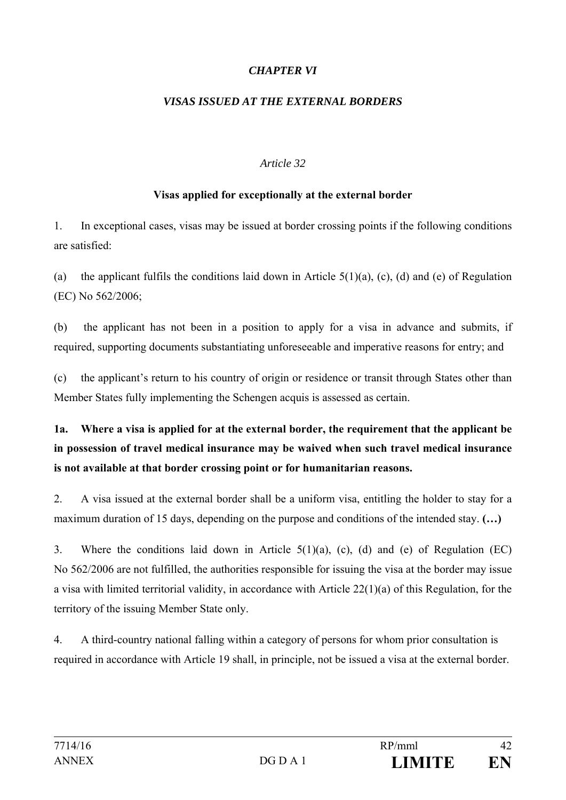#### *CHAPTER VI*

#### *VISAS ISSUED AT THE EXTERNAL BORDERS*

#### *Article 32*

#### **Visas applied for exceptionally at the external border**

1. In exceptional cases, visas may be issued at border crossing points if the following conditions are satisfied:

(a) the applicant fulfils the conditions laid down in Article  $5(1)(a)$ , (c), (d) and (e) of Regulation (EC) No 562/2006;

(b) the applicant has not been in a position to apply for a visa in advance and submits, if required, supporting documents substantiating unforeseeable and imperative reasons for entry; and

(c) the applicant's return to his country of origin or residence or transit through States other than Member States fully implementing the Schengen acquis is assessed as certain.

**1a. Where a visa is applied for at the external border, the requirement that the applicant be in possession of travel medical insurance may be waived when such travel medical insurance is not available at that border crossing point or for humanitarian reasons.** 

2. A visa issued at the external border shall be a uniform visa, entitling the holder to stay for a maximum duration of 15 days, depending on the purpose and conditions of the intended stay. **(…)**

3. Where the conditions laid down in Article 5(1)(a), (c), (d) and (e) of Regulation (EC) No 562/2006 are not fulfilled, the authorities responsible for issuing the visa at the border may issue a visa with limited territorial validity, in accordance with Article 22(1)(a) of this Regulation, for the territory of the issuing Member State only.

4. A third-country national falling within a category of persons for whom prior consultation is required in accordance with Article 19 shall, in principle, not be issued a visa at the external border.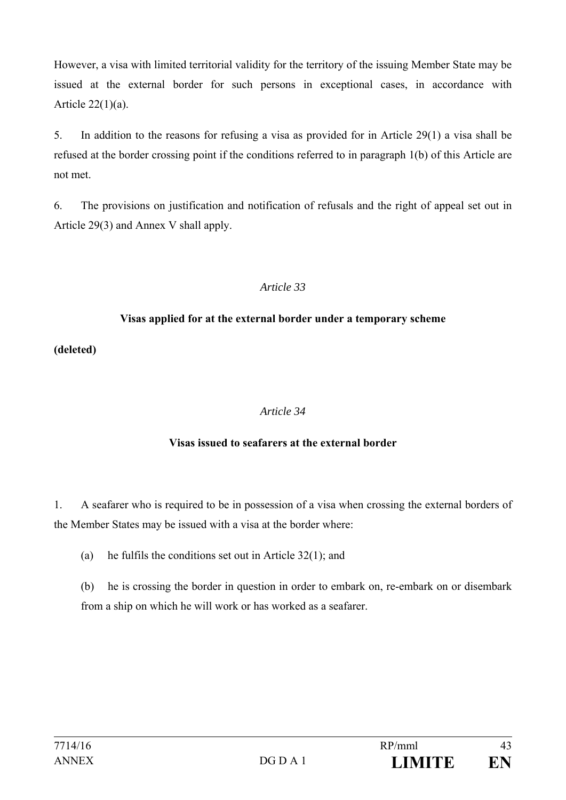However, a visa with limited territorial validity for the territory of the issuing Member State may be issued at the external border for such persons in exceptional cases, in accordance with Article 22(1)(a).

5. In addition to the reasons for refusing a visa as provided for in Article 29(1) a visa shall be refused at the border crossing point if the conditions referred to in paragraph 1(b) of this Article are not met.

6. The provisions on justification and notification of refusals and the right of appeal set out in Article 29(3) and Annex V shall apply.

#### *Article 33*

#### **Visas applied for at the external border under a temporary scheme**

**(deleted)** 

#### *Article 34*

#### **Visas issued to seafarers at the external border**

1. A seafarer who is required to be in possession of a visa when crossing the external borders of the Member States may be issued with a visa at the border where:

(a) he fulfils the conditions set out in Article 32(1); and

(b) he is crossing the border in question in order to embark on, re-embark on or disembark from a ship on which he will work or has worked as a seafarer.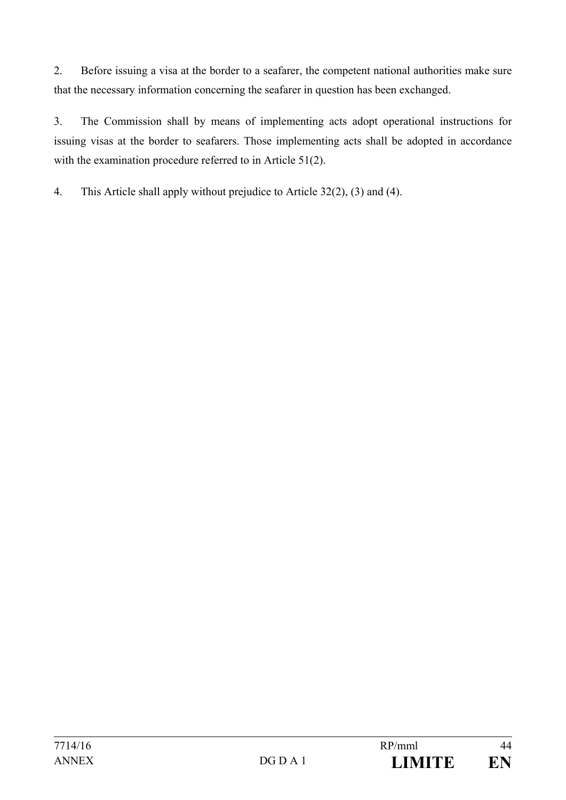2. Before issuing a visa at the border to a seafarer, the competent national authorities make sure that the necessary information concerning the seafarer in question has been exchanged.

3. The Commission shall by means of implementing acts adopt operational instructions for issuing visas at the border to seafarers. Those implementing acts shall be adopted in accordance with the examination procedure referred to in Article 51(2).

4. This Article shall apply without prejudice to Article 32(2), (3) and (4).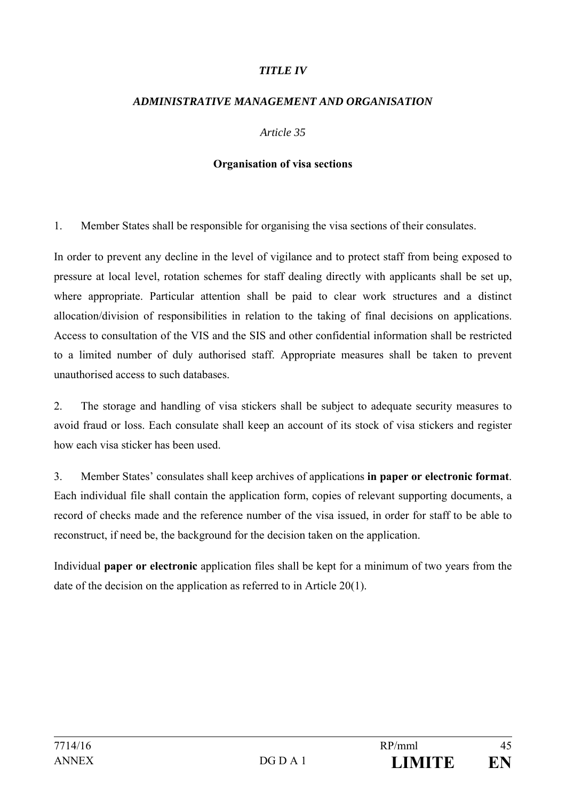#### *TITLE IV*

#### *ADMINISTRATIVE MANAGEMENT AND ORGANISATION*

#### *Article 35*

#### **Organisation of visa sections**

1. Member States shall be responsible for organising the visa sections of their consulates.

In order to prevent any decline in the level of vigilance and to protect staff from being exposed to pressure at local level, rotation schemes for staff dealing directly with applicants shall be set up, where appropriate. Particular attention shall be paid to clear work structures and a distinct allocation/division of responsibilities in relation to the taking of final decisions on applications. Access to consultation of the VIS and the SIS and other confidential information shall be restricted to a limited number of duly authorised staff. Appropriate measures shall be taken to prevent unauthorised access to such databases.

2. The storage and handling of visa stickers shall be subject to adequate security measures to avoid fraud or loss. Each consulate shall keep an account of its stock of visa stickers and register how each visa sticker has been used.

3. Member States' consulates shall keep archives of applications **in paper or electronic format**. Each individual file shall contain the application form, copies of relevant supporting documents, a record of checks made and the reference number of the visa issued, in order for staff to be able to reconstruct, if need be, the background for the decision taken on the application.

Individual **paper or electronic** application files shall be kept for a minimum of two years from the date of the decision on the application as referred to in Article 20(1).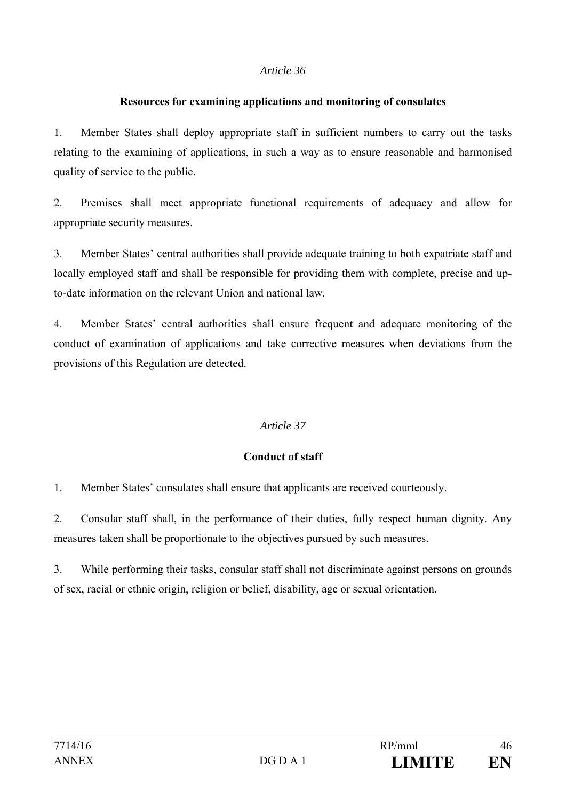#### **Resources for examining applications and monitoring of consulates**

1. Member States shall deploy appropriate staff in sufficient numbers to carry out the tasks relating to the examining of applications, in such a way as to ensure reasonable and harmonised quality of service to the public.

2. Premises shall meet appropriate functional requirements of adequacy and allow for appropriate security measures.

3. Member States' central authorities shall provide adequate training to both expatriate staff and locally employed staff and shall be responsible for providing them with complete, precise and upto-date information on the relevant Union and national law.

4. Member States' central authorities shall ensure frequent and adequate monitoring of the conduct of examination of applications and take corrective measures when deviations from the provisions of this Regulation are detected.

#### *Article 37*

#### **Conduct of staff**

1. Member States' consulates shall ensure that applicants are received courteously.

2. Consular staff shall, in the performance of their duties, fully respect human dignity. Any measures taken shall be proportionate to the objectives pursued by such measures.

3. While performing their tasks, consular staff shall not discriminate against persons on grounds of sex, racial or ethnic origin, religion or belief, disability, age or sexual orientation.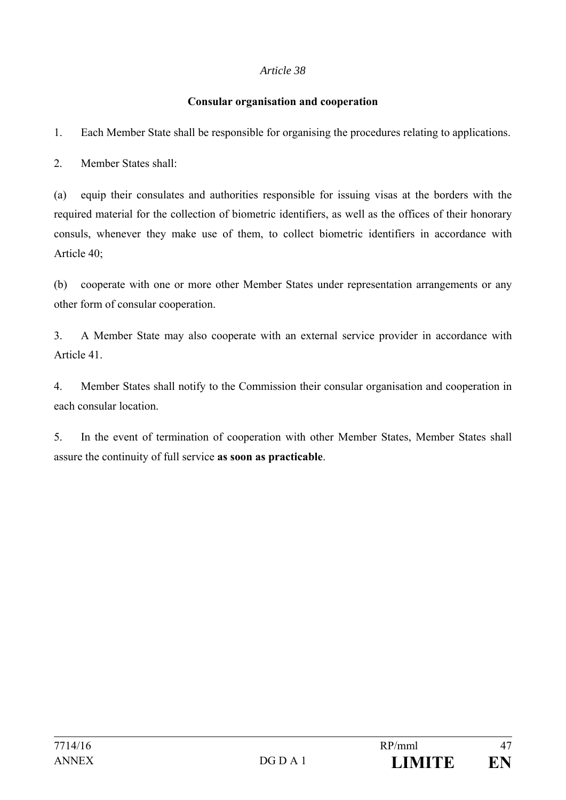#### **Consular organisation and cooperation**

1. Each Member State shall be responsible for organising the procedures relating to applications.

2. Member States shall:

(a) equip their consulates and authorities responsible for issuing visas at the borders with the required material for the collection of biometric identifiers, as well as the offices of their honorary consuls, whenever they make use of them, to collect biometric identifiers in accordance with Article 40;

(b) cooperate with one or more other Member States under representation arrangements or any other form of consular cooperation.

3. A Member State may also cooperate with an external service provider in accordance with Article 41.

4. Member States shall notify to the Commission their consular organisation and cooperation in each consular location.

5. In the event of termination of cooperation with other Member States, Member States shall assure the continuity of full service **as soon as practicable**.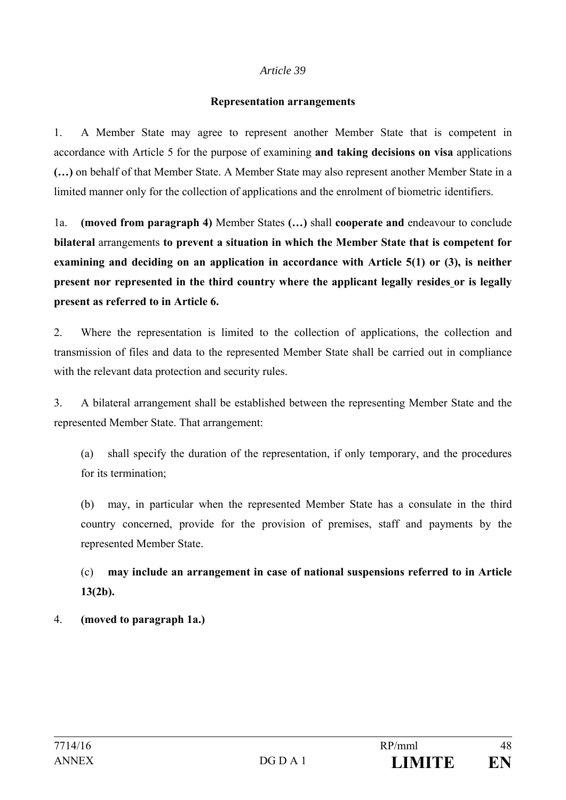#### **Representation arrangements**

1. A Member State may agree to represent another Member State that is competent in accordance with Article 5 for the purpose of examining **and taking decisions on visa** applications **(…)** on behalf of that Member State. A Member State may also represent another Member State in a limited manner only for the collection of applications and the enrolment of biometric identifiers.

1a. **(moved from paragraph 4)** Member States **(…)** shall **cooperate and** endeavour to conclude **bilateral** arrangements **to prevent a situation in which the Member State that is competent for examining and deciding on an application in accordance with Article 5(1) or (3), is neither present nor represented in the third country where the applicant legally resides or is legally present as referred to in Article 6.**

2. Where the representation is limited to the collection of applications, the collection and transmission of files and data to the represented Member State shall be carried out in compliance with the relevant data protection and security rules.

3. A bilateral arrangement shall be established between the representing Member State and the represented Member State. That arrangement:

(a) shall specify the duration of the representation, if only temporary, and the procedures for its termination;

(b) may, in particular when the represented Member State has a consulate in the third country concerned, provide for the provision of premises, staff and payments by the represented Member State.

(c) **may include an arrangement in case of national suspensions referred to in Article 13(2b).** 

#### 4. **(moved to paragraph 1a.)**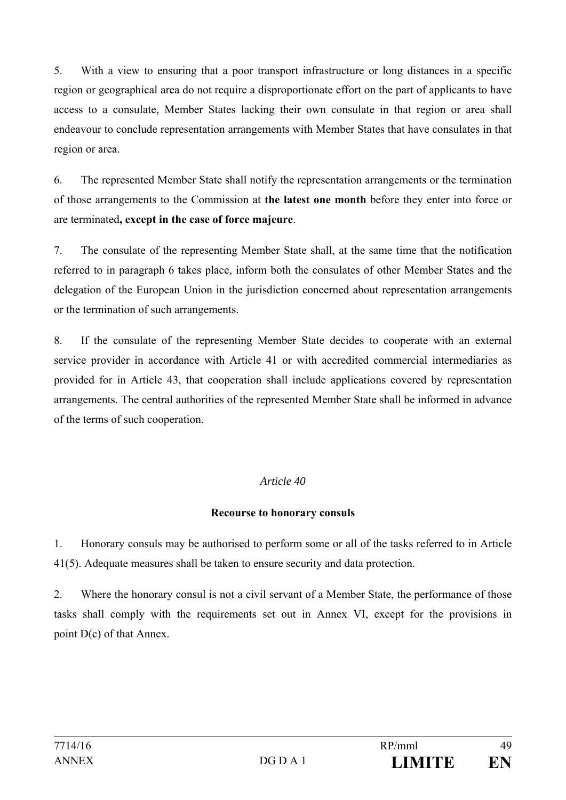5. With a view to ensuring that a poor transport infrastructure or long distances in a specific region or geographical area do not require a disproportionate effort on the part of applicants to have access to a consulate, Member States lacking their own consulate in that region or area shall endeavour to conclude representation arrangements with Member States that have consulates in that region or area.

6. The represented Member State shall notify the representation arrangements or the termination of those arrangements to the Commission at **the latest one month** before they enter into force or are terminated**, except in the case of force majeure**.

7. The consulate of the representing Member State shall, at the same time that the notification referred to in paragraph 6 takes place, inform both the consulates of other Member States and the delegation of the European Union in the jurisdiction concerned about representation arrangements or the termination of such arrangements.

8. If the consulate of the representing Member State decides to cooperate with an external service provider in accordance with Article 41 or with accredited commercial intermediaries as provided for in Article 43, that cooperation shall include applications covered by representation arrangements. The central authorities of the represented Member State shall be informed in advance of the terms of such cooperation.

#### *Article 40*

#### **Recourse to honorary consuls**

1. Honorary consuls may be authorised to perform some or all of the tasks referred to in Article 41(5). Adequate measures shall be taken to ensure security and data protection.

2. Where the honorary consul is not a civil servant of a Member State, the performance of those tasks shall comply with the requirements set out in Annex VI, except for the provisions in point D(c) of that Annex.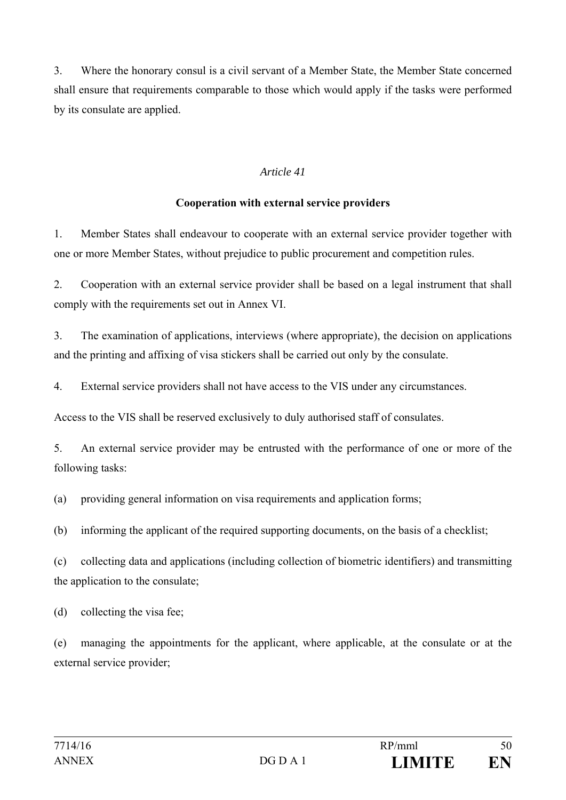3. Where the honorary consul is a civil servant of a Member State, the Member State concerned shall ensure that requirements comparable to those which would apply if the tasks were performed by its consulate are applied.

#### *Article 41*

#### **Cooperation with external service providers**

1. Member States shall endeavour to cooperate with an external service provider together with one or more Member States, without prejudice to public procurement and competition rules.

2. Cooperation with an external service provider shall be based on a legal instrument that shall comply with the requirements set out in Annex VI.

3. The examination of applications, interviews (where appropriate), the decision on applications and the printing and affixing of visa stickers shall be carried out only by the consulate.

4. External service providers shall not have access to the VIS under any circumstances.

Access to the VIS shall be reserved exclusively to duly authorised staff of consulates.

5. An external service provider may be entrusted with the performance of one or more of the following tasks:

(a) providing general information on visa requirements and application forms;

(b) informing the applicant of the required supporting documents, on the basis of a checklist;

(c) collecting data and applications (including collection of biometric identifiers) and transmitting the application to the consulate;

(d) collecting the visa fee;

(e) managing the appointments for the applicant, where applicable, at the consulate or at the external service provider;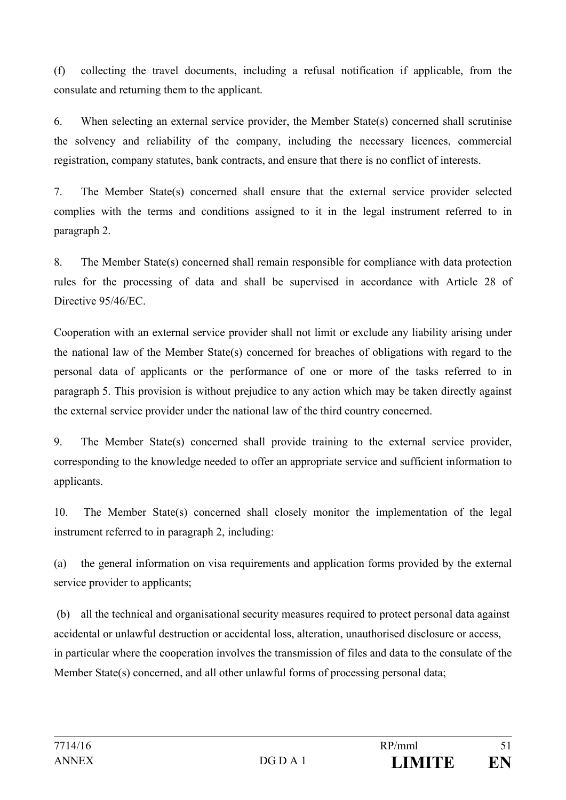(f) collecting the travel documents, including a refusal notification if applicable, from the consulate and returning them to the applicant.

6. When selecting an external service provider, the Member State(s) concerned shall scrutinise the solvency and reliability of the company, including the necessary licences, commercial registration, company statutes, bank contracts, and ensure that there is no conflict of interests.

7. The Member State(s) concerned shall ensure that the external service provider selected complies with the terms and conditions assigned to it in the legal instrument referred to in paragraph 2.

8. The Member State(s) concerned shall remain responsible for compliance with data protection rules for the processing of data and shall be supervised in accordance with Article 28 of Directive 95/46/EC.

Cooperation with an external service provider shall not limit or exclude any liability arising under the national law of the Member State(s) concerned for breaches of obligations with regard to the personal data of applicants or the performance of one or more of the tasks referred to in paragraph 5. This provision is without prejudice to any action which may be taken directly against the external service provider under the national law of the third country concerned.

9. The Member State(s) concerned shall provide training to the external service provider, corresponding to the knowledge needed to offer an appropriate service and sufficient information to applicants.

10. The Member State(s) concerned shall closely monitor the implementation of the legal instrument referred to in paragraph 2, including:

(a) the general information on visa requirements and application forms provided by the external service provider to applicants;

 (b) all the technical and organisational security measures required to protect personal data against accidental or unlawful destruction or accidental loss, alteration, unauthorised disclosure or access, in particular where the cooperation involves the transmission of files and data to the consulate of the Member State(s) concerned, and all other unlawful forms of processing personal data;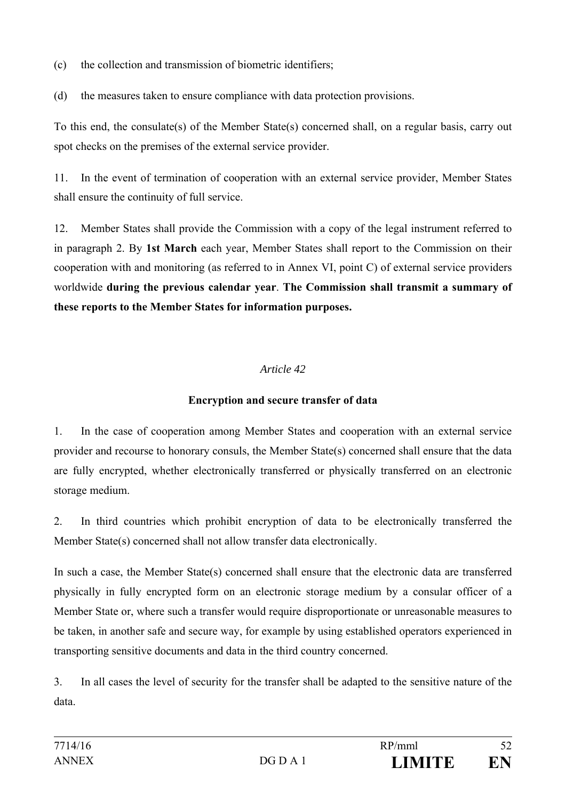(c) the collection and transmission of biometric identifiers;

(d) the measures taken to ensure compliance with data protection provisions.

To this end, the consulate(s) of the Member State(s) concerned shall, on a regular basis, carry out spot checks on the premises of the external service provider.

11. In the event of termination of cooperation with an external service provider, Member States shall ensure the continuity of full service.

12. Member States shall provide the Commission with a copy of the legal instrument referred to in paragraph 2. By **1st March** each year, Member States shall report to the Commission on their cooperation with and monitoring (as referred to in Annex VI, point C) of external service providers worldwide **during the previous calendar year**. **The Commission shall transmit a summary of these reports to the Member States for information purposes.** 

## *Article 42*

## **Encryption and secure transfer of data**

1. In the case of cooperation among Member States and cooperation with an external service provider and recourse to honorary consuls, the Member State(s) concerned shall ensure that the data are fully encrypted, whether electronically transferred or physically transferred on an electronic storage medium.

2. In third countries which prohibit encryption of data to be electronically transferred the Member State(s) concerned shall not allow transfer data electronically.

In such a case, the Member State(s) concerned shall ensure that the electronic data are transferred physically in fully encrypted form on an electronic storage medium by a consular officer of a Member State or, where such a transfer would require disproportionate or unreasonable measures to be taken, in another safe and secure way, for example by using established operators experienced in transporting sensitive documents and data in the third country concerned.

3. In all cases the level of security for the transfer shall be adapted to the sensitive nature of the data.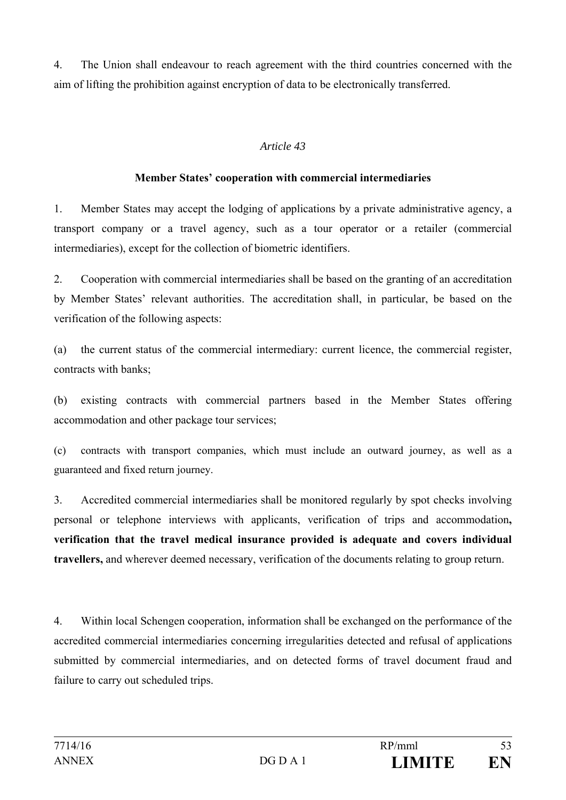4. The Union shall endeavour to reach agreement with the third countries concerned with the aim of lifting the prohibition against encryption of data to be electronically transferred.

#### *Article 43*

#### **Member States' cooperation with commercial intermediaries**

1. Member States may accept the lodging of applications by a private administrative agency, a transport company or a travel agency, such as a tour operator or a retailer (commercial intermediaries), except for the collection of biometric identifiers.

2. Cooperation with commercial intermediaries shall be based on the granting of an accreditation by Member States' relevant authorities. The accreditation shall, in particular, be based on the verification of the following aspects:

(a) the current status of the commercial intermediary: current licence, the commercial register, contracts with banks;

(b) existing contracts with commercial partners based in the Member States offering accommodation and other package tour services;

(c) contracts with transport companies, which must include an outward journey, as well as a guaranteed and fixed return journey.

3. Accredited commercial intermediaries shall be monitored regularly by spot checks involving personal or telephone interviews with applicants, verification of trips and accommodation**, verification that the travel medical insurance provided is adequate and covers individual travellers,** and wherever deemed necessary, verification of the documents relating to group return.

4. Within local Schengen cooperation, information shall be exchanged on the performance of the accredited commercial intermediaries concerning irregularities detected and refusal of applications submitted by commercial intermediaries, and on detected forms of travel document fraud and failure to carry out scheduled trips.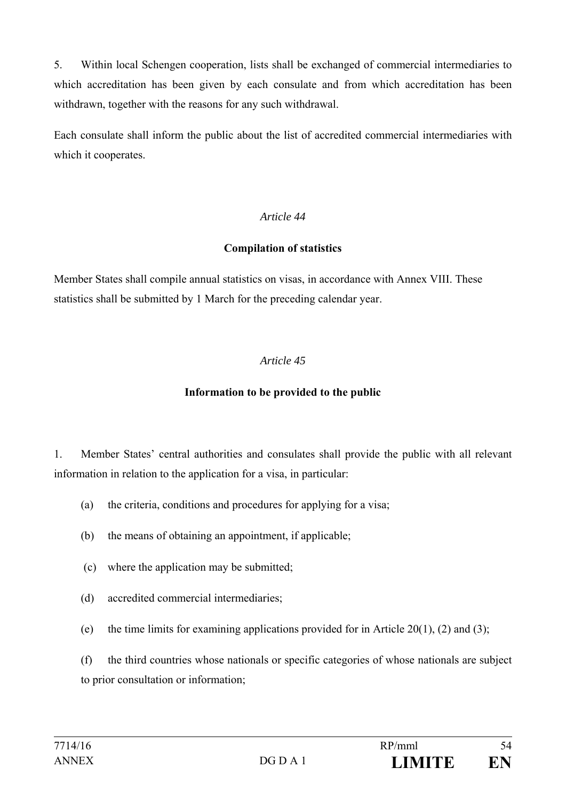5. Within local Schengen cooperation, lists shall be exchanged of commercial intermediaries to which accreditation has been given by each consulate and from which accreditation has been withdrawn, together with the reasons for any such withdrawal.

Each consulate shall inform the public about the list of accredited commercial intermediaries with which it cooperates.

#### *Article 44*

#### **Compilation of statistics**

Member States shall compile annual statistics on visas, in accordance with Annex VIII. These statistics shall be submitted by 1 March for the preceding calendar year.

#### *Article 45*

#### **Information to be provided to the public**

1. Member States' central authorities and consulates shall provide the public with all relevant information in relation to the application for a visa, in particular:

- (a) the criteria, conditions and procedures for applying for a visa;
- (b) the means of obtaining an appointment, if applicable;
- (c) where the application may be submitted;
- (d) accredited commercial intermediaries;
- (e) the time limits for examining applications provided for in Article 20(1), (2) and (3);

(f) the third countries whose nationals or specific categories of whose nationals are subject to prior consultation or information;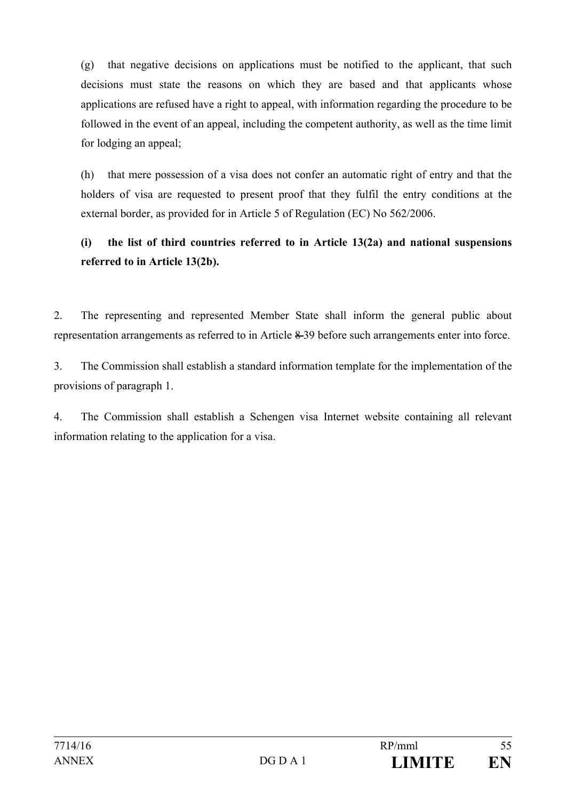(g) that negative decisions on applications must be notified to the applicant, that such decisions must state the reasons on which they are based and that applicants whose applications are refused have a right to appeal, with information regarding the procedure to be followed in the event of an appeal, including the competent authority, as well as the time limit for lodging an appeal;

(h) that mere possession of a visa does not confer an automatic right of entry and that the holders of visa are requested to present proof that they fulfil the entry conditions at the external border, as provided for in Article 5 of Regulation (EC) No 562/2006.

## **(i) the list of third countries referred to in Article 13(2a) and national suspensions referred to in Article 13(2b).**

2. The representing and represented Member State shall inform the general public about representation arrangements as referred to in Article 8 39 before such arrangements enter into force.

3. The Commission shall establish a standard information template for the implementation of the provisions of paragraph 1.

4. The Commission shall establish a Schengen visa Internet website containing all relevant information relating to the application for a visa.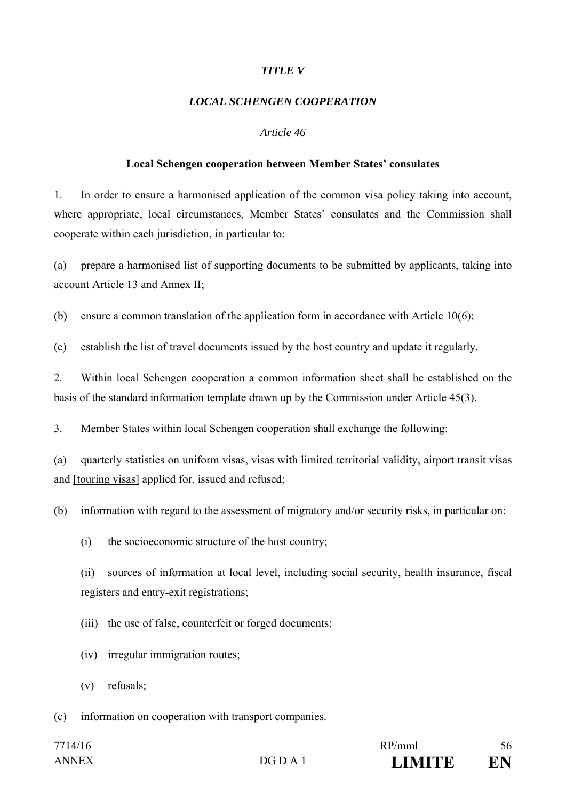#### *TITLE V*

#### *LOCAL SCHENGEN COOPERATION*

#### *Article 46*

#### **Local Schengen cooperation between Member States' consulates**

1. In order to ensure a harmonised application of the common visa policy taking into account, where appropriate, local circumstances, Member States' consulates and the Commission shall cooperate within each jurisdiction, in particular to:

(a) prepare a harmonised list of supporting documents to be submitted by applicants, taking into account Article 13 and Annex II;

(b) ensure a common translation of the application form in accordance with Article 10(6);

(c) establish the list of travel documents issued by the host country and update it regularly.

2. Within local Schengen cooperation a common information sheet shall be established on the basis of the standard information template drawn up by the Commission under Article 45(3).

3. Member States within local Schengen cooperation shall exchange the following:

(a) quarterly statistics on uniform visas, visas with limited territorial validity, airport transit visas and [touring visas] applied for, issued and refused;

(b) information with regard to the assessment of migratory and/or security risks, in particular on:

(i) the socioeconomic structure of the host country;

(ii) sources of information at local level, including social security, health insurance, fiscal registers and entry-exit registrations;

(iii) the use of false, counterfeit or forged documents;

- (iv) irregular immigration routes;
- (v) refusals;

(c) information on cooperation with transport companies.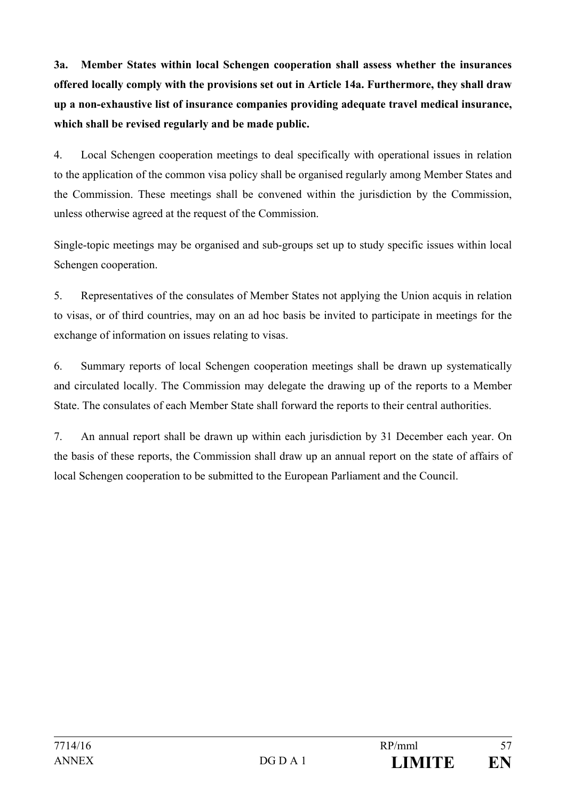**3a. Member States within local Schengen cooperation shall assess whether the insurances offered locally comply with the provisions set out in Article 14a. Furthermore, they shall draw up a non-exhaustive list of insurance companies providing adequate travel medical insurance, which shall be revised regularly and be made public.** 

4. Local Schengen cooperation meetings to deal specifically with operational issues in relation to the application of the common visa policy shall be organised regularly among Member States and the Commission. These meetings shall be convened within the jurisdiction by the Commission, unless otherwise agreed at the request of the Commission.

Single-topic meetings may be organised and sub-groups set up to study specific issues within local Schengen cooperation.

5. Representatives of the consulates of Member States not applying the Union acquis in relation to visas, or of third countries, may on an ad hoc basis be invited to participate in meetings for the exchange of information on issues relating to visas.

6. Summary reports of local Schengen cooperation meetings shall be drawn up systematically and circulated locally. The Commission may delegate the drawing up of the reports to a Member State. The consulates of each Member State shall forward the reports to their central authorities.

7. An annual report shall be drawn up within each jurisdiction by 31 December each year. On the basis of these reports, the Commission shall draw up an annual report on the state of affairs of local Schengen cooperation to be submitted to the European Parliament and the Council.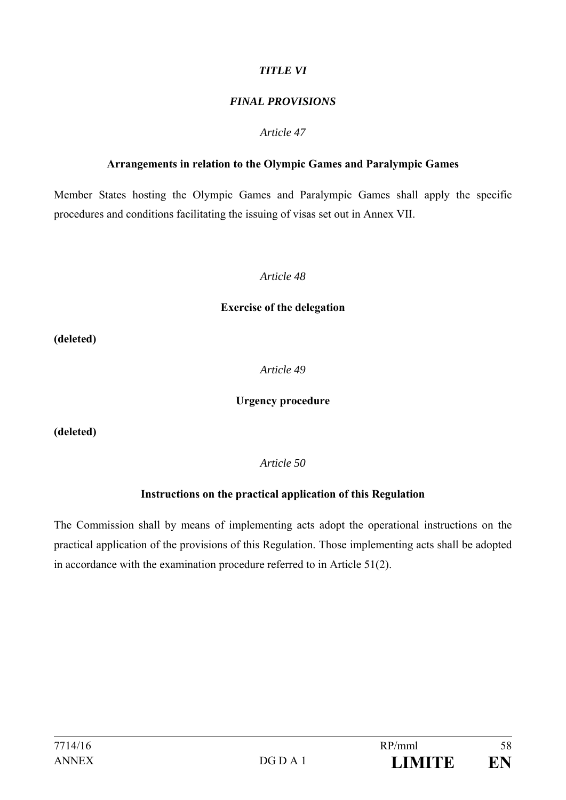#### *TITLE VI*

#### *FINAL PROVISIONS*

#### *Article 47*

#### **Arrangements in relation to the Olympic Games and Paralympic Games**

Member States hosting the Olympic Games and Paralympic Games shall apply the specific procedures and conditions facilitating the issuing of visas set out in Annex VII.

#### *Article 48*

#### **Exercise of the delegation**

**(deleted)** 

*Article 49*

#### **Urgency procedure**

**(deleted)** 

*Article 50*

#### **Instructions on the practical application of this Regulation**

The Commission shall by means of implementing acts adopt the operational instructions on the practical application of the provisions of this Regulation. Those implementing acts shall be adopted in accordance with the examination procedure referred to in Article 51(2).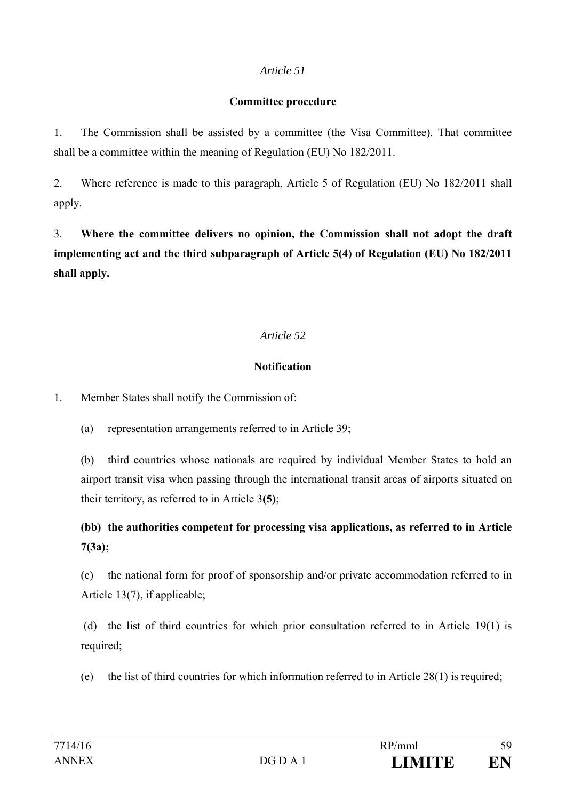#### **Committee procedure**

1. The Commission shall be assisted by a committee (the Visa Committee). That committee shall be a committee within the meaning of Regulation (EU) No 182/2011.

2. Where reference is made to this paragraph, Article 5 of Regulation (EU) No 182/2011 shall apply.

3. **Where the committee delivers no opinion, the Commission shall not adopt the draft implementing act and the third subparagraph of Article 5(4) of Regulation (EU) No 182/2011 shall apply.** 

## *Article 52*

## **Notification**

1. Member States shall notify the Commission of:

(a) representation arrangements referred to in Article 39;

(b) third countries whose nationals are required by individual Member States to hold an airport transit visa when passing through the international transit areas of airports situated on their territory, as referred to in Article 3**(5)**;

**(bb) the authorities competent for processing visa applications, as referred to in Article 7(3a);** 

(c) the national form for proof of sponsorship and/or private accommodation referred to in Article 13(7), if applicable;

 (d) the list of third countries for which prior consultation referred to in Article 19(1) is required;

(e) the list of third countries for which information referred to in Article 28(1) is required;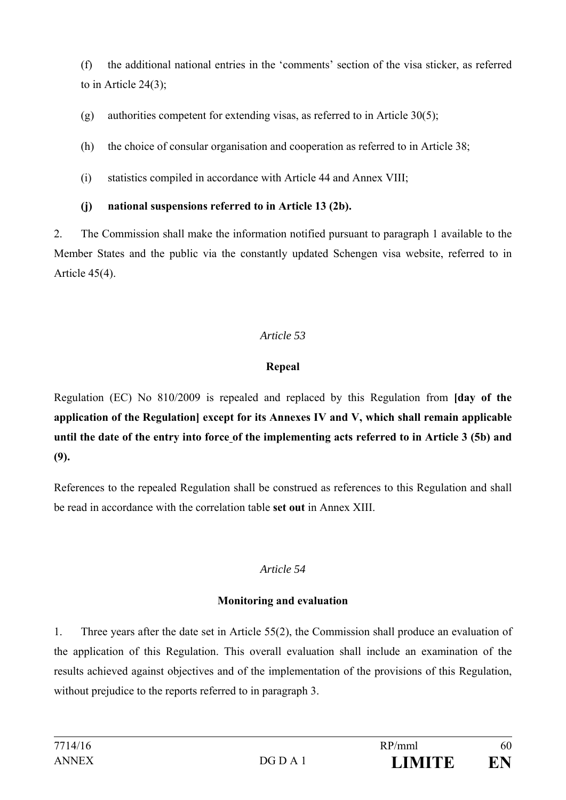(f) the additional national entries in the 'comments' section of the visa sticker, as referred to in Article  $24(3)$ ;

(g) authorities competent for extending visas, as referred to in Article 30(5);

(h) the choice of consular organisation and cooperation as referred to in Article 38;

(i) statistics compiled in accordance with Article 44 and Annex VIII;

## **(j) national suspensions referred to in Article 13 (2b).**

2. The Commission shall make the information notified pursuant to paragraph 1 available to the Member States and the public via the constantly updated Schengen visa website, referred to in Article 45(4).

## *Article 53*

## **Repeal**

Regulation (EC) No 810/2009 is repealed and replaced by this Regulation from **[day of the application of the Regulation] except for its Annexes IV and V, which shall remain applicable until the date of the entry into force of the implementing acts referred to in Article 3 (5b) and (9).**

References to the repealed Regulation shall be construed as references to this Regulation and shall be read in accordance with the correlation table **set out** in Annex XIII.

## *Article 54*

## **Monitoring and evaluation**

1. Three years after the date set in Article 55(2), the Commission shall produce an evaluation of the application of this Regulation. This overall evaluation shall include an examination of the results achieved against objectives and of the implementation of the provisions of this Regulation, without prejudice to the reports referred to in paragraph 3.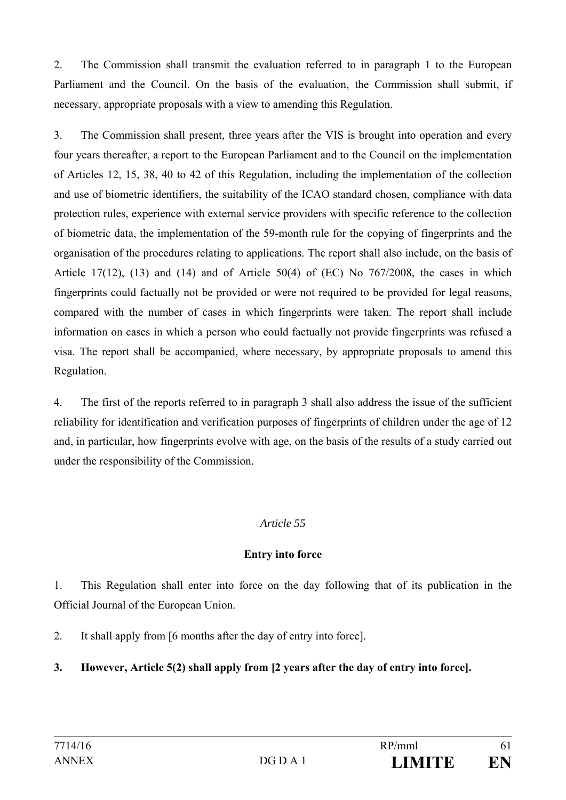2. The Commission shall transmit the evaluation referred to in paragraph 1 to the European Parliament and the Council. On the basis of the evaluation, the Commission shall submit, if necessary, appropriate proposals with a view to amending this Regulation.

3. The Commission shall present, three years after the VIS is brought into operation and every four years thereafter, a report to the European Parliament and to the Council on the implementation of Articles 12, 15, 38, 40 to 42 of this Regulation, including the implementation of the collection and use of biometric identifiers, the suitability of the ICAO standard chosen, compliance with data protection rules, experience with external service providers with specific reference to the collection of biometric data, the implementation of the 59-month rule for the copying of fingerprints and the organisation of the procedures relating to applications. The report shall also include, on the basis of Article 17(12),  $(13)$  and  $(14)$  and of Article 50(4) of  $(EC)$  No 767/2008, the cases in which fingerprints could factually not be provided or were not required to be provided for legal reasons, compared with the number of cases in which fingerprints were taken. The report shall include information on cases in which a person who could factually not provide fingerprints was refused a visa. The report shall be accompanied, where necessary, by appropriate proposals to amend this Regulation.

4. The first of the reports referred to in paragraph 3 shall also address the issue of the sufficient reliability for identification and verification purposes of fingerprints of children under the age of 12 and, in particular, how fingerprints evolve with age, on the basis of the results of a study carried out under the responsibility of the Commission.

#### *Article 55*

#### **Entry into force**

1. This Regulation shall enter into force on the day following that of its publication in the Official Journal of the European Union.

2. It shall apply from [6 months after the day of entry into force].

## **3. However, Article 5(2) shall apply from [2 years after the day of entry into force].**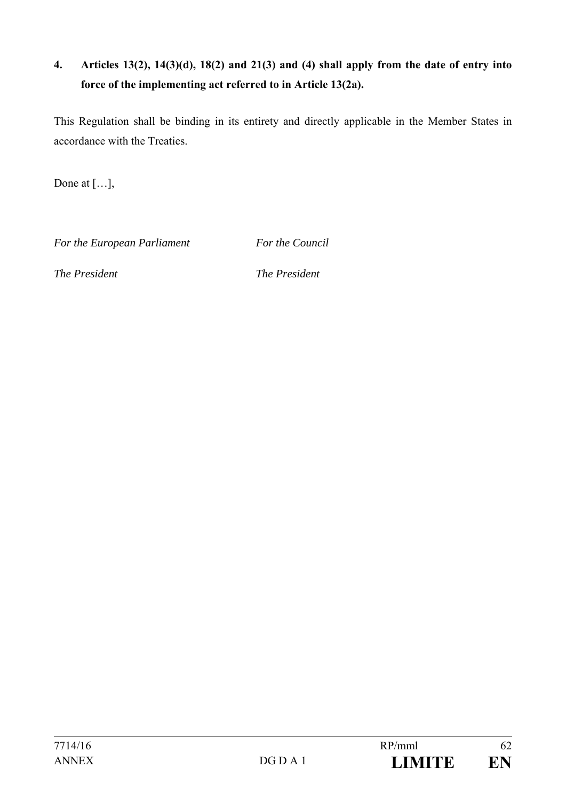## **4. Articles 13(2), 14(3)(d), 18(2) and 21(3) and (4) shall apply from the date of entry into force of the implementing act referred to in Article 13(2a).**

This Regulation shall be binding in its entirety and directly applicable in the Member States in accordance with the Treaties.

Done at […],

For the European Parliament For the Council

*The President The President*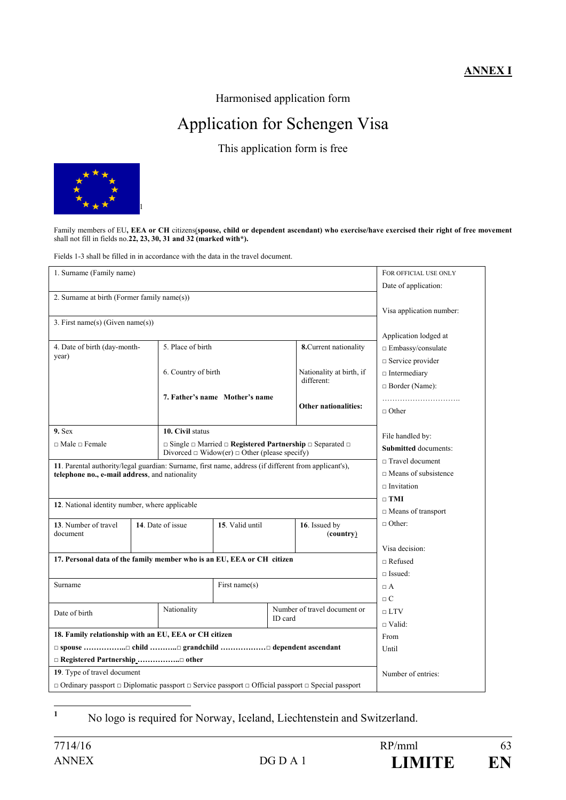#### **ANNEX I**

Harmonised application form

# Application for Schengen Visa

This application form is free



Family members of EU**, EEA or CH** citizens(**spouse, child or dependent ascendant) who exercise/have exercised their right of free movement** shall not fill in fields no.**22, 23, 30, 31 and 32 (marked with\*).**

Fields 1-3 shall be filled in in accordance with the data in the travel document.

| 1. Surname (Family name)                                                                                                                               | FOR OFFICIAL USE ONLY    |                     |                                                                                                                                                      |                              |                             |                             |  |  |  |
|--------------------------------------------------------------------------------------------------------------------------------------------------------|--------------------------|---------------------|------------------------------------------------------------------------------------------------------------------------------------------------------|------------------------------|-----------------------------|-----------------------------|--|--|--|
|                                                                                                                                                        | Date of application:     |                     |                                                                                                                                                      |                              |                             |                             |  |  |  |
| 2. Surname at birth (Former family name(s))                                                                                                            |                          |                     |                                                                                                                                                      |                              |                             |                             |  |  |  |
|                                                                                                                                                        | Visa application number: |                     |                                                                                                                                                      |                              |                             |                             |  |  |  |
| 3. First name(s) (Given name(s))                                                                                                                       |                          |                     |                                                                                                                                                      |                              |                             |                             |  |  |  |
|                                                                                                                                                        | Application lodged at    |                     |                                                                                                                                                      |                              |                             |                             |  |  |  |
| 4. Date of birth (day-month-                                                                                                                           |                          | 5. Place of birth   |                                                                                                                                                      |                              | 8. Current nationality      | $\Box$ Embassy/consulate    |  |  |  |
| year)                                                                                                                                                  |                          |                     |                                                                                                                                                      |                              |                             | $\Box$ Service provider     |  |  |  |
|                                                                                                                                                        |                          | 6. Country of birth |                                                                                                                                                      |                              | Nationality at birth, if    | $\Box$ Intermediary         |  |  |  |
|                                                                                                                                                        |                          |                     |                                                                                                                                                      | different:                   | $\Box$ Border (Name):       |                             |  |  |  |
|                                                                                                                                                        |                          |                     | 7. Father's name Mother's name                                                                                                                       |                              |                             |                             |  |  |  |
|                                                                                                                                                        |                          |                     |                                                                                                                                                      |                              | <b>Other nationalities:</b> | $\Box$ Other                |  |  |  |
|                                                                                                                                                        |                          |                     |                                                                                                                                                      |                              |                             |                             |  |  |  |
| $9.$ Sex                                                                                                                                               |                          | 10. Civil status    |                                                                                                                                                      |                              |                             | File handled by:            |  |  |  |
| $\Box$ Male $\Box$ Female                                                                                                                              |                          |                     | $\Box$ Single $\Box$ Married $\Box$ <b>Registered Partnership</b> $\Box$ Separated $\Box$<br>Divorced $\Box$ Widow(er) $\Box$ Other (please specify) | <b>Submitted</b> documents:  |                             |                             |  |  |  |
|                                                                                                                                                        |                          |                     |                                                                                                                                                      |                              |                             | $\Box$ Travel document      |  |  |  |
| 11. Parental authority/legal guardian: Surname, first name, address (if different from applicant's),<br>telephone no., e-mail address, and nationality |                          |                     |                                                                                                                                                      |                              |                             | $\Box$ Means of subsistence |  |  |  |
|                                                                                                                                                        |                          |                     |                                                                                                                                                      |                              |                             | $\Box$ Invitation           |  |  |  |
|                                                                                                                                                        |                          |                     |                                                                                                                                                      |                              |                             | $\Box$ TMI                  |  |  |  |
| 12. National identity number, where applicable                                                                                                         |                          |                     |                                                                                                                                                      |                              |                             | $\Box$ Means of transport   |  |  |  |
| 13. Number of travel                                                                                                                                   |                          | 14. Date of issue   | 15. Valid until                                                                                                                                      | 16. Issued by                |                             | $\Box$ Other:               |  |  |  |
| document                                                                                                                                               |                          |                     |                                                                                                                                                      |                              | (country)                   |                             |  |  |  |
|                                                                                                                                                        |                          |                     |                                                                                                                                                      |                              |                             | Visa decision:              |  |  |  |
| 17. Personal data of the family member who is an EU, EEA or CH citizen                                                                                 |                          |                     |                                                                                                                                                      |                              |                             | $\Box$ Refused              |  |  |  |
|                                                                                                                                                        |                          |                     |                                                                                                                                                      |                              |                             | $\Box$ Issued:              |  |  |  |
| Surname                                                                                                                                                |                          | First name $(s)$    |                                                                                                                                                      |                              |                             | $\Box$ A                    |  |  |  |
|                                                                                                                                                        |                          |                     |                                                                                                                                                      |                              |                             | $\Box$ C                    |  |  |  |
| Date of birth                                                                                                                                          |                          | Nationality         |                                                                                                                                                      | Number of travel document or |                             | $\sqcap$ LTV                |  |  |  |
|                                                                                                                                                        |                          | ID card             |                                                                                                                                                      |                              |                             | $\Box$ Valid:               |  |  |  |
| 18. Family relationship with an EU, EEA or CH citizen                                                                                                  | From                     |                     |                                                                                                                                                      |                              |                             |                             |  |  |  |
|                                                                                                                                                        | Until                    |                     |                                                                                                                                                      |                              |                             |                             |  |  |  |
| □ Registered Partnership □ other                                                                                                                       |                          |                     |                                                                                                                                                      |                              |                             |                             |  |  |  |
| 19. Type of travel document                                                                                                                            | Number of entries:       |                     |                                                                                                                                                      |                              |                             |                             |  |  |  |
| $\Box$ Ordinary passport $\Box$ Diplomatic passport $\Box$ Service passport $\Box$ Official passport $\Box$ Special passport                           |                          |                     |                                                                                                                                                      |                              |                             |                             |  |  |  |

No logo is required for Norway, Iceland, Liechtenstein and Switzerland.

**1**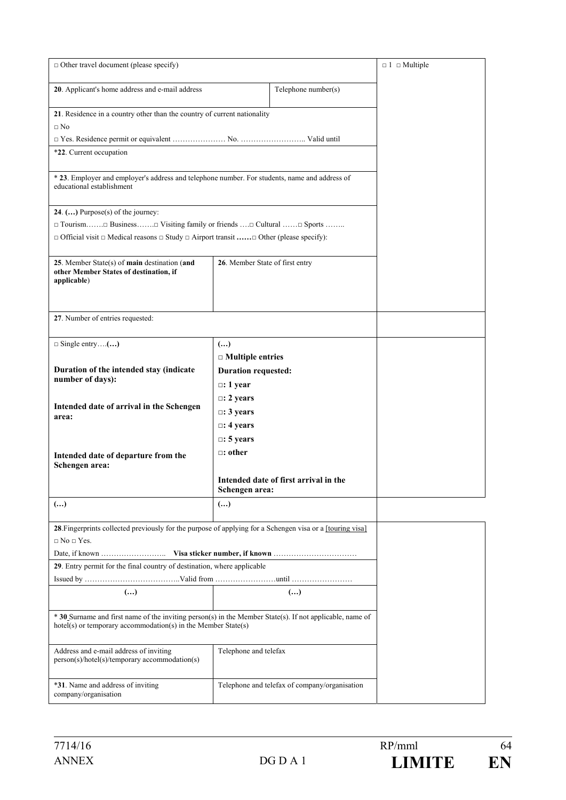| $\Box$ Other travel document (please specify)                                                                                                                             | $\Box$ 1 $\Box$ Multiple            |                                               |  |  |  |  |
|---------------------------------------------------------------------------------------------------------------------------------------------------------------------------|-------------------------------------|-----------------------------------------------|--|--|--|--|
| 20. Applicant's home address and e-mail address                                                                                                                           |                                     |                                               |  |  |  |  |
| 21. Residence in a country other than the country of current nationality<br>$\Box$ No                                                                                     |                                     |                                               |  |  |  |  |
|                                                                                                                                                                           |                                     |                                               |  |  |  |  |
| *22. Current occupation                                                                                                                                                   |                                     |                                               |  |  |  |  |
| * 23. Employer and employer's address and telephone number. For students, name and address of<br>educational establishment                                                |                                     |                                               |  |  |  |  |
| 24. $()$ Purpose(s) of the journey:                                                                                                                                       |                                     |                                               |  |  |  |  |
| $\Box$ Tourism $\Box$ Business $\Box$ Visiting family or friends $\Box$ Cultural $\Box$ Sports                                                                            |                                     |                                               |  |  |  |  |
| $\Box$ Official visit $\Box$ Medical reasons $\Box$ Study $\Box$ Airport transit $\Box$ Other (please specify):                                                           |                                     |                                               |  |  |  |  |
| 25. Member State(s) of main destination (and<br>other Member States of destination, if<br>applicable)                                                                     | 26. Member State of first entry     |                                               |  |  |  |  |
| 27. Number of entries requested:                                                                                                                                          |                                     |                                               |  |  |  |  |
| $\Box$ Single entry()                                                                                                                                                     | $\left( \ldots \right)$             |                                               |  |  |  |  |
|                                                                                                                                                                           | $\Box$ Multiple entries             |                                               |  |  |  |  |
| Duration of the intended stay (indicate                                                                                                                                   | <b>Duration requested:</b>          |                                               |  |  |  |  |
| number of days):                                                                                                                                                          |                                     |                                               |  |  |  |  |
|                                                                                                                                                                           | $\Box$ : 1 year<br>$\Box$ : 2 years |                                               |  |  |  |  |
| Intended date of arrival in the Schengen                                                                                                                                  | $\Box$ : 3 years                    |                                               |  |  |  |  |
| area:                                                                                                                                                                     | $\Box$ : 4 years                    |                                               |  |  |  |  |
|                                                                                                                                                                           |                                     |                                               |  |  |  |  |
|                                                                                                                                                                           | $\Box$ : 5 years                    |                                               |  |  |  |  |
| Intended date of departure from the<br>Schengen area:                                                                                                                     | $\Box$ : other                      |                                               |  |  |  |  |
|                                                                                                                                                                           | Schengen area:                      | Intended date of first arrival in the         |  |  |  |  |
| ()                                                                                                                                                                        | $\left( \ldots \right)$             |                                               |  |  |  |  |
| 28. Fingerprints collected previously for the purpose of applying for a Schengen visa or a [touring visa]<br>$\Box$ No $\Box$ Yes.                                        |                                     |                                               |  |  |  |  |
|                                                                                                                                                                           |                                     |                                               |  |  |  |  |
| 29. Entry permit for the final country of destination, where applicable                                                                                                   |                                     |                                               |  |  |  |  |
|                                                                                                                                                                           |                                     |                                               |  |  |  |  |
| $(\ldots)$                                                                                                                                                                | $(\ldots)$                          |                                               |  |  |  |  |
| * 30 Surname and first name of the inviting person(s) in the Member State(s). If not applicable, name of<br>hotel(s) or temporary accommodation(s) in the Member State(s) |                                     |                                               |  |  |  |  |
| Address and e-mail address of inviting<br>person(s)/hotel(s)/temporary accommodation(s)                                                                                   | Telephone and telefax               |                                               |  |  |  |  |
| *31. Name and address of inviting<br>company/organisation                                                                                                                 |                                     | Telephone and telefax of company/organisation |  |  |  |  |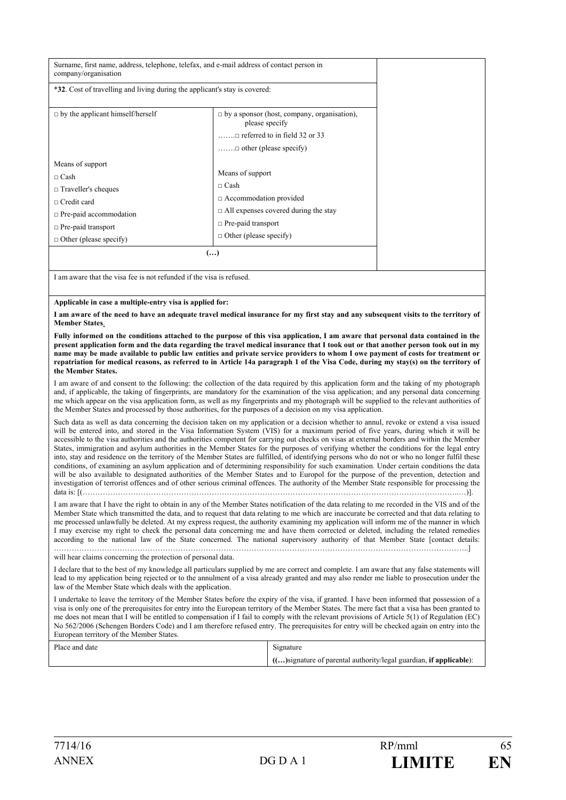| Surname, first name, address, telephone, telefax, and e-mail address of contact person in<br>company/organisation                                                                                                                                                                                 |                                                                                                                                                                                 |  |  |  |  |  |  |
|---------------------------------------------------------------------------------------------------------------------------------------------------------------------------------------------------------------------------------------------------------------------------------------------------|---------------------------------------------------------------------------------------------------------------------------------------------------------------------------------|--|--|--|--|--|--|
| *32. Cost of travelling and living during the applicant's stay is covered:                                                                                                                                                                                                                        |                                                                                                                                                                                 |  |  |  |  |  |  |
| $\Box$ by the applicant himself/herself                                                                                                                                                                                                                                                           | $\Box$ by a sponsor (host, company, organisation),<br>please specify<br>$\dots$ referred to in field 32 or 33<br>$\dots \dots \square$ other (please specify)                   |  |  |  |  |  |  |
| Means of support<br>$\Box$ Cash<br>$\Box$ Traveller's cheques<br>$\sqcap$ Credit card<br>$\Box$ Pre-paid accommodation<br>$\Box$ Pre-paid transport<br>$\Box$ Other (please specify)                                                                                                              | Means of support<br>$\sqcap$ Cash<br>$\Box$ Accommodation provided<br>$\Box$ All expenses covered during the stay<br>$\Box$ Pre-paid transport<br>$\Box$ Other (please specify) |  |  |  |  |  |  |
| $(\ldots)$                                                                                                                                                                                                                                                                                        |                                                                                                                                                                                 |  |  |  |  |  |  |
| I am aware that the visa fee is not refunded if the visa is refused.                                                                                                                                                                                                                              |                                                                                                                                                                                 |  |  |  |  |  |  |
| Applicable in case a multiple-entry visa is applied for:                                                                                                                                                                                                                                          |                                                                                                                                                                                 |  |  |  |  |  |  |
| I am aware of the need to have an adequate travel medical insurance for my first stay and any subsequent visits to the territory of<br><b>Member States.</b><br>Fully informed on the conditions attached to the nurnose of this visa annlication. I am aware that nersonal data contained in the |                                                                                                                                                                                 |  |  |  |  |  |  |

Fully informed on the conditions attached to the purpose of this visa application, I am aware that **present application form and the data regarding the travel medical insurance that I took out or that another person took out in my name may be made available to public law entities and private service providers to whom I owe payment of costs for treatment or repatriation for medical reasons, as referred to in Article 14a paragraph 1 of the Visa Code, during my stay(s) on the territory of the Member States.** 

I am aware of and consent to the following: the collection of the data required by this application form and the taking of my photograph and, if applicable, the taking of fingerprints, are mandatory for the examination of the visa application; and any personal data concerning me which appear on the visa application form, as well as my fingerprints and my photograph will be supplied to the relevant authorities of the Member States and processed by those authorities, for the purposes of a decision on my visa application.

Such data as well as data concerning the decision taken on my application or a decision whether to annul, revoke or extend a visa issued will be entered into, and stored in the Visa Information System (VIS) for a maximum period of five years, during which it will be accessible to the visa authorities and the authorities competent for carrying out checks on visas at external borders and within the Member States, immigration and asylum authorities in the Member States for the purposes of verifying whether the conditions for the legal entry into, stay and residence on the territory of the Member States are fulfilled, of identifying persons who do not or who no longer fulfil these conditions, of examining an asylum application and of determining responsibility for such examination. Under certain conditions the data will be also available to designated authorities of the Member States and to Europol for the purpose of the prevention, detection and investigation of terrorist offences and of other serious criminal offences. The authority of the Member State responsible for processing the data is: [(…………………………………………………………………………………………………………………………………..…)].

I am aware that I have the right to obtain in any of the Member States notification of the data relating to me recorded in the VIS and of the Member State which transmitted the data, and to request that data relating to me which are inaccurate be corrected and that data relating to me processed unlawfully be deleted. At my express request, the authority examining my application will inform me of the manner in which I may exercise my right to check the personal data concerning me and have them corrected or deleted, including the related remedies according to the national law of the State concerned. The national supervisory authority of that Member State [contact details: ………………………………………………………………………………………………………………………………………………..]

will hear claims concerning the protection of personal data.

I declare that to the best of my knowledge all particulars supplied by me are correct and complete. I am aware that any false statements will lead to my application being rejected or to the annulment of a visa already granted and may also render me liable to prosecution under the law of the Member State which deals with the application.

I undertake to leave the territory of the Member States before the expiry of the visa, if granted. I have been informed that possession of a visa is only one of the prerequisites for entry into the European territory of the Member States. The mere fact that a visa has been granted to me does not mean that I will be entitled to compensation if I fail to comply with the relevant provisions of Article 5(1) of Regulation (EC) No 562/2006 (Schengen Borders Code) and I am therefore refused entry. The prerequisites for entry will be checked again on entry into the European territory of the Member States.

| Place and date | Signature                                                          |  |  |  |  |
|----------------|--------------------------------------------------------------------|--|--|--|--|
|                | () signature of parental authority/legal guardian, if applicable): |  |  |  |  |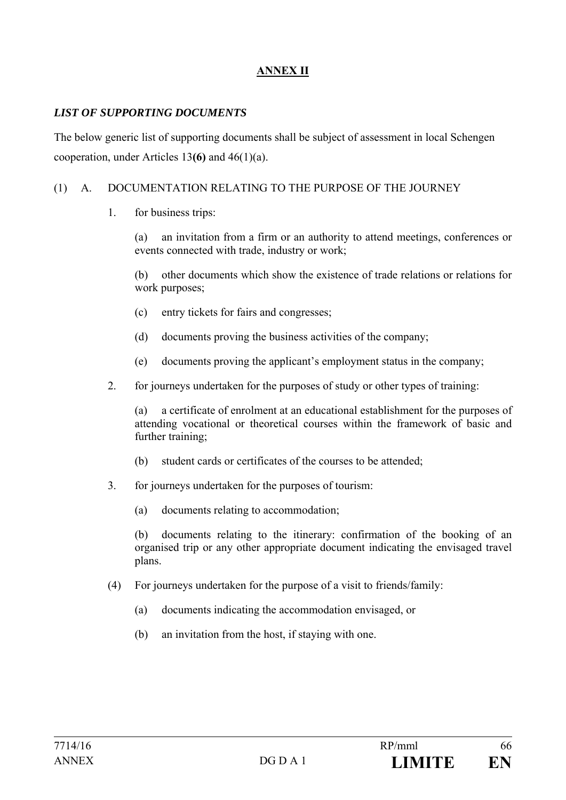## **ANNEX II**

#### *LIST OF SUPPORTING DOCUMENTS*

The below generic list of supporting documents shall be subject of assessment in local Schengen cooperation, under Articles 13**(6)** and 46(1)(a).

#### (1) A. DOCUMENTATION RELATING TO THE PURPOSE OF THE JOURNEY

1. for business trips:

 (a) an invitation from a firm or an authority to attend meetings, conferences or events connected with trade, industry or work;

 (b) other documents which show the existence of trade relations or relations for work purposes;

- (c) entry tickets for fairs and congresses;
- (d) documents proving the business activities of the company;
- (e) documents proving the applicant's employment status in the company;
- 2. for journeys undertaken for the purposes of study or other types of training:

 (a) a certificate of enrolment at an educational establishment for the purposes of attending vocational or theoretical courses within the framework of basic and further training;

- (b) student cards or certificates of the courses to be attended;
- 3. for journeys undertaken for the purposes of tourism:
	- (a) documents relating to accommodation;

 (b) documents relating to the itinerary: confirmation of the booking of an organised trip or any other appropriate document indicating the envisaged travel plans.

- (4) For journeys undertaken for the purpose of a visit to friends/family:
	- (a) documents indicating the accommodation envisaged, or
	- (b) an invitation from the host, if staying with one.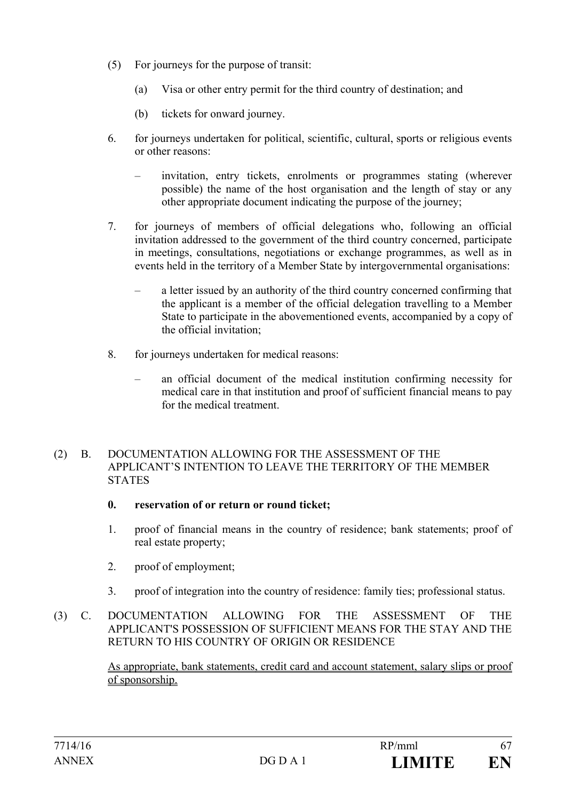- (5) For journeys for the purpose of transit:
	- (a) Visa or other entry permit for the third country of destination; and
	- (b) tickets for onward journey.
- 6. for journeys undertaken for political, scientific, cultural, sports or religious events or other reasons:
	- invitation, entry tickets, enrolments or programmes stating (wherever possible) the name of the host organisation and the length of stay or any other appropriate document indicating the purpose of the journey;
- 7. for journeys of members of official delegations who, following an official invitation addressed to the government of the third country concerned, participate in meetings, consultations, negotiations or exchange programmes, as well as in events held in the territory of a Member State by intergovernmental organisations:
	- a letter issued by an authority of the third country concerned confirming that the applicant is a member of the official delegation travelling to a Member State to participate in the abovementioned events, accompanied by a copy of the official invitation;
- 8. for journeys undertaken for medical reasons:
	- an official document of the medical institution confirming necessity for medical care in that institution and proof of sufficient financial means to pay for the medical treatment.

#### (2) B. DOCUMENTATION ALLOWING FOR THE ASSESSMENT OF THE APPLICANT'S INTENTION TO LEAVE THE TERRITORY OF THE MEMBER **STATES**

- **0. reservation of or return or round ticket;**
- 1. proof of financial means in the country of residence; bank statements; proof of real estate property;
- 2. proof of employment;
- 3. proof of integration into the country of residence: family ties; professional status.
- (3) C. DOCUMENTATION ALLOWING FOR THE ASSESSMENT OF THE APPLICANT'S POSSESSION OF SUFFICIENT MEANS FOR THE STAY AND THE RETURN TO HIS COUNTRY OF ORIGIN OR RESIDENCE

As appropriate, bank statements, credit card and account statement, salary slips or proof of sponsorship.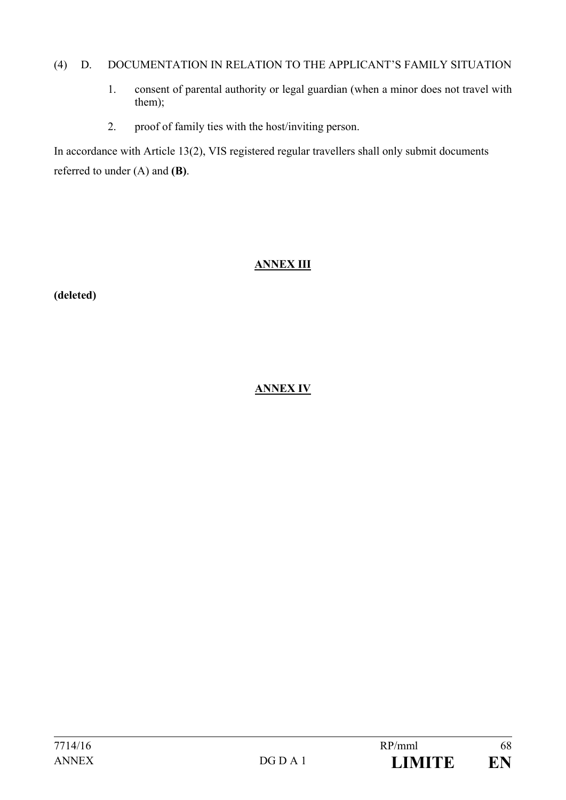#### (4) D. DOCUMENTATION IN RELATION TO THE APPLICANT'S FAMILY SITUATION

- 1. consent of parental authority or legal guardian (when a minor does not travel with them);
- 2. proof of family ties with the host/inviting person.

In accordance with Article 13(2), VIS registered regular travellers shall only submit documents referred to under (A) and **(B)**.

## **ANNEX III**

**(deleted)** 

## **ANNEX IV**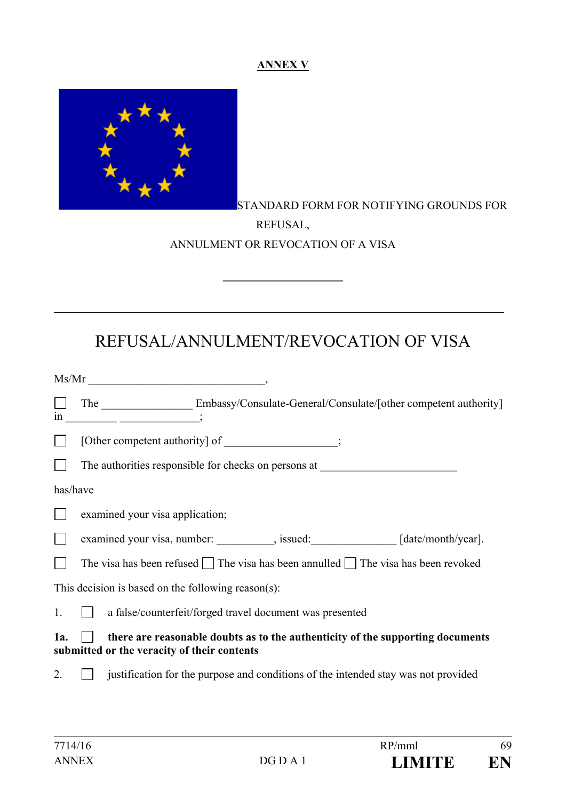#### **ANNEX V**



## STANDARD FORM FOR NOTIFYING GROUNDS FOR REFUSAL, ANNULMENT OR REVOCATION OF A VISA

# REFUSAL/ANNULMENT/REVOCATION OF VISA

 $\_$ 

\_\_\_\_\_\_\_\_\_\_\_\_\_\_\_\_\_\_\_\_\_\_\_\_\_\_\_\_\_\_\_\_\_\_\_\_\_\_\_\_\_\_\_\_\_\_\_\_\_\_\_\_\_\_\_\_\_\_\_\_\_\_\_\_\_\_\_\_\_\_\_\_\_\_\_\_\_\_\_

|          | Ms/Mr                                                                                                                                                                                                                                                                                                                                                                              |
|----------|------------------------------------------------------------------------------------------------------------------------------------------------------------------------------------------------------------------------------------------------------------------------------------------------------------------------------------------------------------------------------------|
|          | The Embassy/Consulate-General/Consulate/[other competent authority]<br>$\frac{1}{10}$ $\frac{1}{10}$ $\frac{1}{10}$ $\frac{1}{10}$ $\frac{1}{10}$ $\frac{1}{10}$ $\frac{1}{10}$ $\frac{1}{10}$ $\frac{1}{10}$ $\frac{1}{10}$ $\frac{1}{10}$ $\frac{1}{10}$ $\frac{1}{10}$ $\frac{1}{10}$ $\frac{1}{10}$ $\frac{1}{10}$ $\frac{1}{10}$ $\frac{1}{10}$ $\frac{1}{10}$ $\frac{1}{10}$ |
|          | [Other competent authority] of ________________;                                                                                                                                                                                                                                                                                                                                   |
|          | The authorities responsible for checks on persons at ____________________________                                                                                                                                                                                                                                                                                                  |
| has/have |                                                                                                                                                                                                                                                                                                                                                                                    |
|          | examined your visa application;                                                                                                                                                                                                                                                                                                                                                    |
|          | examined your visa, number: _________, issued: ______________ [date/month/year].                                                                                                                                                                                                                                                                                                   |
|          | The visa has been refused $\Box$ The visa has been annulled $\Box$ The visa has been revoked                                                                                                                                                                                                                                                                                       |
|          | This decision is based on the following reason(s):                                                                                                                                                                                                                                                                                                                                 |
| 1.       | a false/counterfeit/forged travel document was presented                                                                                                                                                                                                                                                                                                                           |
| 1a.      | there are reasonable doubts as to the authenticity of the supporting documents<br>submitted or the veracity of their contents                                                                                                                                                                                                                                                      |
| 2.       | justification for the purpose and conditions of the intended stay was not provided                                                                                                                                                                                                                                                                                                 |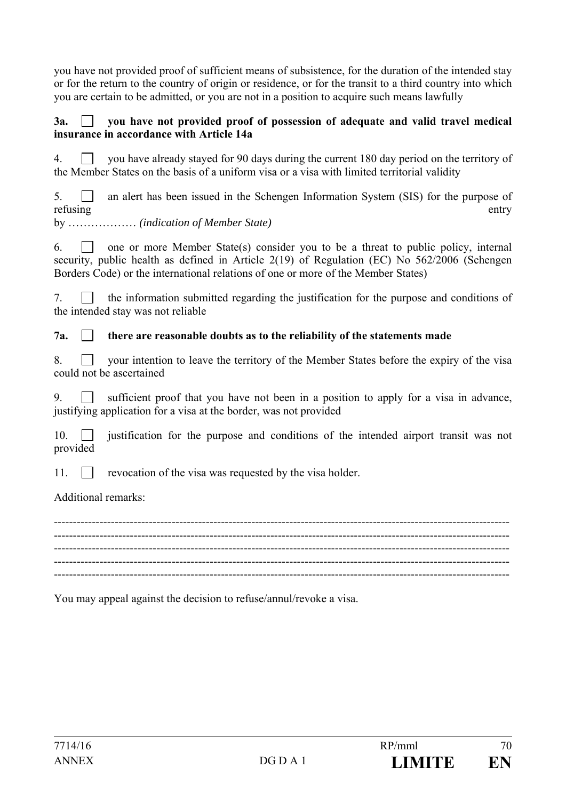you have not provided proof of sufficient means of subsistence, for the duration of the intended stay or for the return to the country of origin or residence, or for the transit to a third country into which you are certain to be admitted, or you are not in a position to acquire such means lawfully

#### 3a.  $\Box$  vou have not provided proof of possession of adequate and valid travel medical **insurance in accordance with Article 14a**

4.  $\Box$  you have already stayed for 90 days during the current 180 day period on the territory of the Member States on the basis of a uniform visa or a visa with limited territorial validity

 $5.$  an alert has been issued in the Schengen Information System (SIS) for the purpose of refusing entry

by ……………… *(indication of Member State)* 

6.  $\Box$  one or more Member State(s) consider you to be a threat to public policy, internal security, public health as defined in Article 2(19) of Regulation (EC) No 562/2006 (Schengen Borders Code) or the international relations of one or more of the Member States)

 $7.$  T the information submitted regarding the justification for the purpose and conditions of the intended stay was not reliable

#### **7a. there are reasonable doubts as to the reliability of the statements made**

|  |                          |  |  | 8. • your intention to leave the territory of the Member States before the expiry of the visa |  |  |  |  |
|--|--------------------------|--|--|-----------------------------------------------------------------------------------------------|--|--|--|--|
|  | could not be ascertained |  |  |                                                                                               |  |  |  |  |

9. sufficient proof that you have not been in a position to apply for a visa in advance, justifying application for a visa at the border, was not provided

10.  $\Box$  iustification for the purpose and conditions of the intended airport transit was not provided

11.  $\Box$  revocation of the visa was requested by the visa holder.

Additional remarks:

------------------------------------------------------------------------------------------------------------------------ ------------------------------------------------------------------------------------------------------------------------ ------------------------------------------------------------------------------------------------------------------------ ------------------------------------------------------------------------------------------------------------------------ ------------------------------------------------------------------------------------------------------------------------

You may appeal against the decision to refuse/annul/revoke a visa.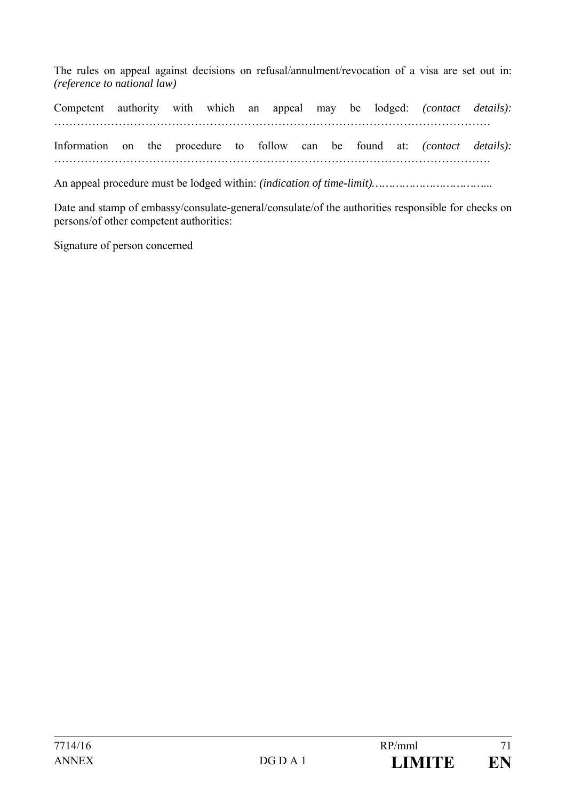The rules on appeal against decisions on refusal/annulment/revocation of a visa are set out in: *(reference to national law)* 

Competent authority with which an appeal may be lodged: *(contact details):* ……………………………………………………………………………………………………. Information on the procedure to follow can be found at: *(contact details):* …………………………………………………………………………………………………….

An appeal procedure must be lodged within: *(indication of time-limit)……………………………*...

Date and stamp of embassy/consulate-general/consulate/of the authorities responsible for checks on persons/of other competent authorities:

Signature of person concerned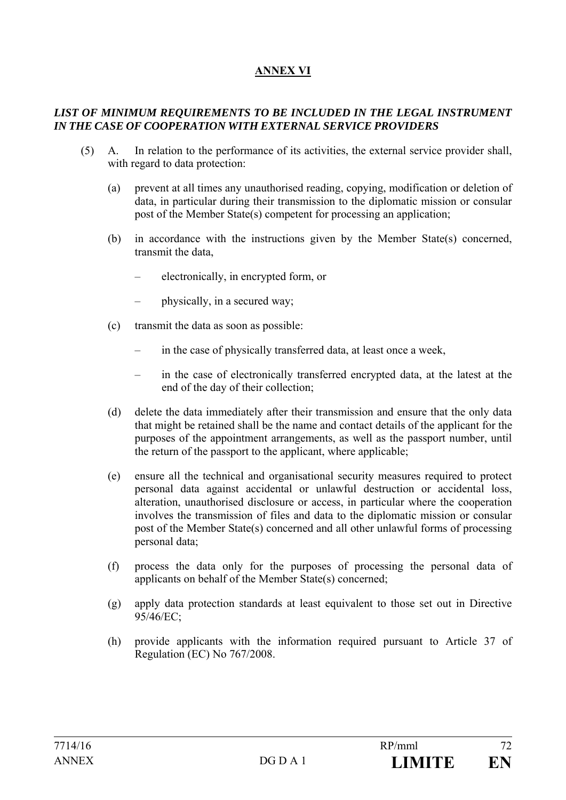## **ANNEX VI**

#### *LIST OF MINIMUM REQUIREMENTS TO BE INCLUDED IN THE LEGAL INSTRUMENT IN THE CASE OF COOPERATION WITH EXTERNAL SERVICE PROVIDERS*

- (5) A. In relation to the performance of its activities, the external service provider shall, with regard to data protection:
	- (a) prevent at all times any unauthorised reading, copying, modification or deletion of data, in particular during their transmission to the diplomatic mission or consular post of the Member State(s) competent for processing an application;
	- (b) in accordance with the instructions given by the Member State(s) concerned, transmit the data,
		- electronically, in encrypted form, or
		- physically, in a secured way;
	- (c) transmit the data as soon as possible:
		- in the case of physically transferred data, at least once a week,
		- in the case of electronically transferred encrypted data, at the latest at the end of the day of their collection;
	- (d) delete the data immediately after their transmission and ensure that the only data that might be retained shall be the name and contact details of the applicant for the purposes of the appointment arrangements, as well as the passport number, until the return of the passport to the applicant, where applicable;
	- (e) ensure all the technical and organisational security measures required to protect personal data against accidental or unlawful destruction or accidental loss, alteration, unauthorised disclosure or access, in particular where the cooperation involves the transmission of files and data to the diplomatic mission or consular post of the Member State(s) concerned and all other unlawful forms of processing personal data;
	- (f) process the data only for the purposes of processing the personal data of applicants on behalf of the Member State(s) concerned;
	- (g) apply data protection standards at least equivalent to those set out in Directive 95/46/EC;
	- (h) provide applicants with the information required pursuant to Article 37 of Regulation (EC) No 767/2008.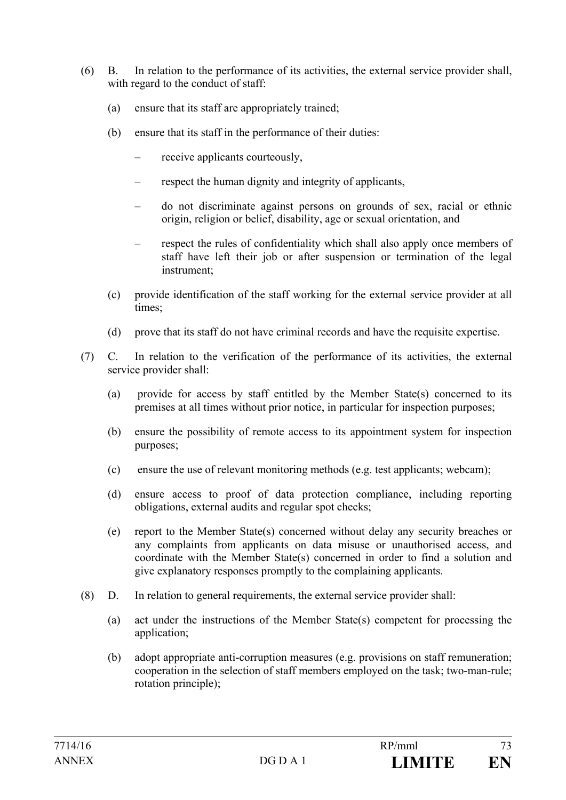- (6) B. In relation to the performance of its activities, the external service provider shall, with regard to the conduct of staff:
	- (a) ensure that its staff are appropriately trained;
	- (b) ensure that its staff in the performance of their duties:
		- receive applicants courteously,
		- respect the human dignity and integrity of applicants,
		- do not discriminate against persons on grounds of sex, racial or ethnic origin, religion or belief, disability, age or sexual orientation, and
		- respect the rules of confidentiality which shall also apply once members of staff have left their job or after suspension or termination of the legal instrument;
	- (c) provide identification of the staff working for the external service provider at all times;
	- (d) prove that its staff do not have criminal records and have the requisite expertise.
- (7) C. In relation to the verification of the performance of its activities, the external service provider shall:
	- (a) provide for access by staff entitled by the Member State(s) concerned to its premises at all times without prior notice, in particular for inspection purposes;
	- (b) ensure the possibility of remote access to its appointment system for inspection purposes;
	- (c) ensure the use of relevant monitoring methods (e.g. test applicants; webcam);
	- (d) ensure access to proof of data protection compliance, including reporting obligations, external audits and regular spot checks;
	- (e) report to the Member State(s) concerned without delay any security breaches or any complaints from applicants on data misuse or unauthorised access, and coordinate with the Member State(s) concerned in order to find a solution and give explanatory responses promptly to the complaining applicants.
- (8) D. In relation to general requirements, the external service provider shall:
	- (a) act under the instructions of the Member State(s) competent for processing the application;
	- (b) adopt appropriate anti-corruption measures (e.g. provisions on staff remuneration; cooperation in the selection of staff members employed on the task; two-man-rule; rotation principle);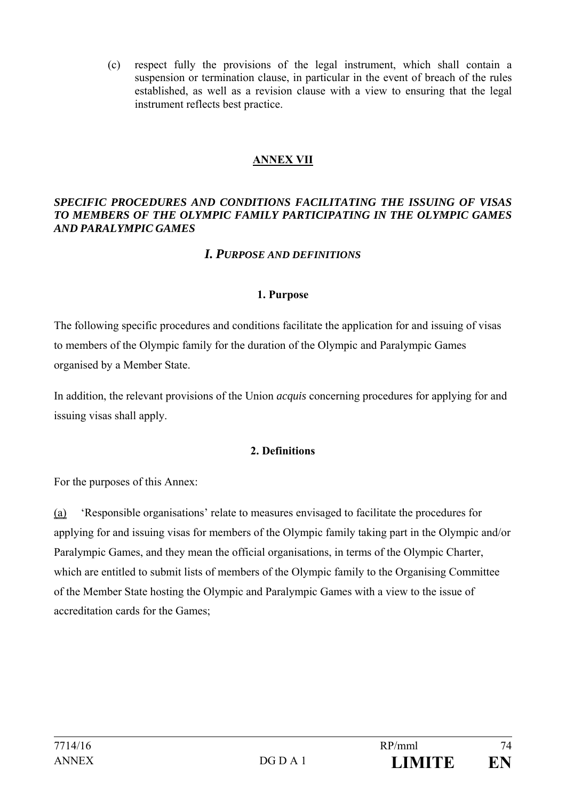(c) respect fully the provisions of the legal instrument, which shall contain a suspension or termination clause, in particular in the event of breach of the rules established, as well as a revision clause with a view to ensuring that the legal instrument reflects best practice.

### **ANNEX VII**

#### *SPECIFIC PROCEDURES AND CONDITIONS FACILITATING THE ISSUING OF VISAS TO MEMBERS OF THE OLYMPIC FAMILY PARTICIPATING IN THE OLYMPIC GAMES AND PARALYMPIC GAMES*

### *I. PURPOSE AND DEFINITIONS*

#### **1. Purpose**

The following specific procedures and conditions facilitate the application for and issuing of visas to members of the Olympic family for the duration of the Olympic and Paralympic Games organised by a Member State.

In addition, the relevant provisions of the Union *acquis* concerning procedures for applying for and issuing visas shall apply.

### **2. Definitions**

For the purposes of this Annex:

(a) 'Responsible organisations' relate to measures envisaged to facilitate the procedures for applying for and issuing visas for members of the Olympic family taking part in the Olympic and/or Paralympic Games, and they mean the official organisations, in terms of the Olympic Charter, which are entitled to submit lists of members of the Olympic family to the Organising Committee of the Member State hosting the Olympic and Paralympic Games with a view to the issue of accreditation cards for the Games;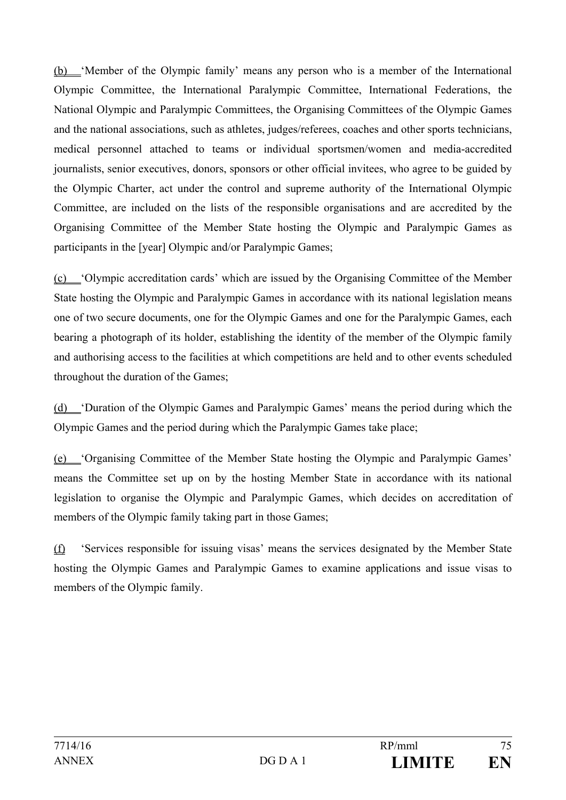(b) 'Member of the Olympic family' means any person who is a member of the International Olympic Committee, the International Paralympic Committee, International Federations, the National Olympic and Paralympic Committees, the Organising Committees of the Olympic Games and the national associations, such as athletes, judges/referees, coaches and other sports technicians, medical personnel attached to teams or individual sportsmen/women and media-accredited journalists, senior executives, donors, sponsors or other official invitees, who agree to be guided by the Olympic Charter, act under the control and supreme authority of the International Olympic Committee, are included on the lists of the responsible organisations and are accredited by the Organising Committee of the Member State hosting the Olympic and Paralympic Games as participants in the [year] Olympic and/or Paralympic Games;

(c) 'Olympic accreditation cards' which are issued by the Organising Committee of the Member State hosting the Olympic and Paralympic Games in accordance with its national legislation means one of two secure documents, one for the Olympic Games and one for the Paralympic Games, each bearing a photograph of its holder, establishing the identity of the member of the Olympic family and authorising access to the facilities at which competitions are held and to other events scheduled throughout the duration of the Games;

(d) 'Duration of the Olympic Games and Paralympic Games' means the period during which the Olympic Games and the period during which the Paralympic Games take place;

(e) 'Organising Committee of the Member State hosting the Olympic and Paralympic Games' means the Committee set up on by the hosting Member State in accordance with its national legislation to organise the Olympic and Paralympic Games, which decides on accreditation of members of the Olympic family taking part in those Games:

(f) 'Services responsible for issuing visas' means the services designated by the Member State hosting the Olympic Games and Paralympic Games to examine applications and issue visas to members of the Olympic family.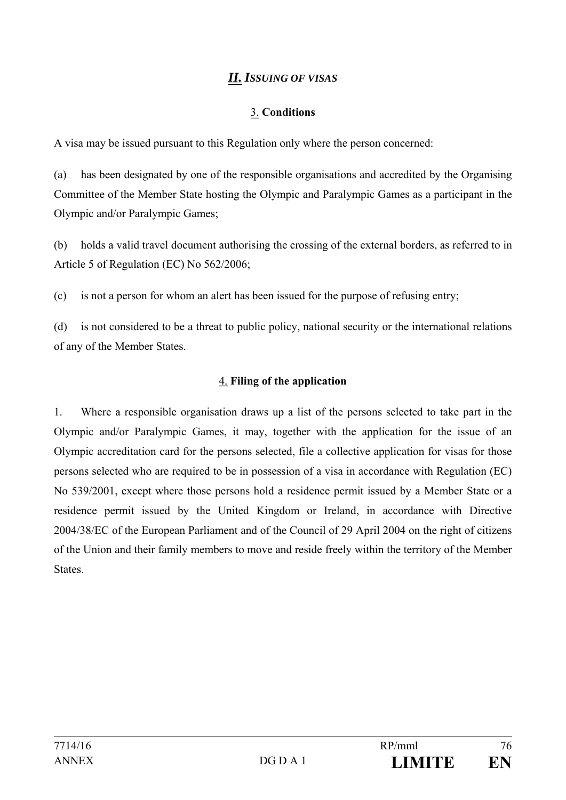# *II. ISSUING OF VISAS*

### 3. **Conditions**

A visa may be issued pursuant to this Regulation only where the person concerned:

(a) has been designated by one of the responsible organisations and accredited by the Organising Committee of the Member State hosting the Olympic and Paralympic Games as a participant in the Olympic and/or Paralympic Games;

(b) holds a valid travel document authorising the crossing of the external borders, as referred to in Article 5 of Regulation (EC) No 562/2006;

(c) is not a person for whom an alert has been issued for the purpose of refusing entry;

(d) is not considered to be a threat to public policy, national security or the international relations of any of the Member States.

### 4. **Filing of the application**

1. Where a responsible organisation draws up a list of the persons selected to take part in the Olympic and/or Paralympic Games, it may, together with the application for the issue of an Olympic accreditation card for the persons selected, file a collective application for visas for those persons selected who are required to be in possession of a visa in accordance with Regulation (EC) No 539/2001, except where those persons hold a residence permit issued by a Member State or a residence permit issued by the United Kingdom or Ireland, in accordance with Directive 2004/38/EC of the European Parliament and of the Council of 29 April 2004 on the right of citizens of the Union and their family members to move and reside freely within the territory of the Member **States**.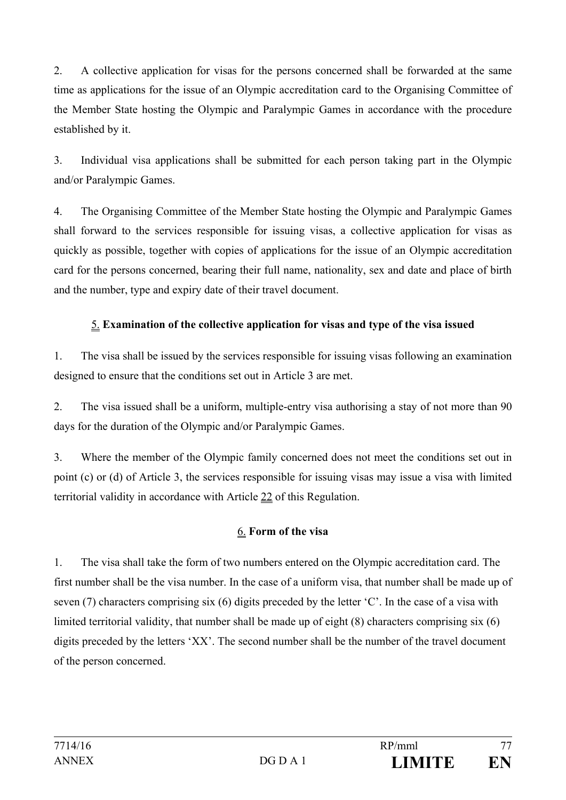2. A collective application for visas for the persons concerned shall be forwarded at the same time as applications for the issue of an Olympic accreditation card to the Organising Committee of the Member State hosting the Olympic and Paralympic Games in accordance with the procedure established by it.

3. Individual visa applications shall be submitted for each person taking part in the Olympic and/or Paralympic Games.

4. The Organising Committee of the Member State hosting the Olympic and Paralympic Games shall forward to the services responsible for issuing visas, a collective application for visas as quickly as possible, together with copies of applications for the issue of an Olympic accreditation card for the persons concerned, bearing their full name, nationality, sex and date and place of birth and the number, type and expiry date of their travel document.

## 5. **Examination of the collective application for visas and type of the visa issued**

1. The visa shall be issued by the services responsible for issuing visas following an examination designed to ensure that the conditions set out in Article 3 are met.

2. The visa issued shall be a uniform, multiple-entry visa authorising a stay of not more than 90 days for the duration of the Olympic and/or Paralympic Games.

3. Where the member of the Olympic family concerned does not meet the conditions set out in point (c) or (d) of Article 3, the services responsible for issuing visas may issue a visa with limited territorial validity in accordance with Article 22 of this Regulation.

## 6. **Form of the visa**

1. The visa shall take the form of two numbers entered on the Olympic accreditation card. The first number shall be the visa number. In the case of a uniform visa, that number shall be made up of seven (7) characters comprising six (6) digits preceded by the letter 'C'. In the case of a visa with limited territorial validity, that number shall be made up of eight (8) characters comprising six (6) digits preceded by the letters 'XX'. The second number shall be the number of the travel document of the person concerned.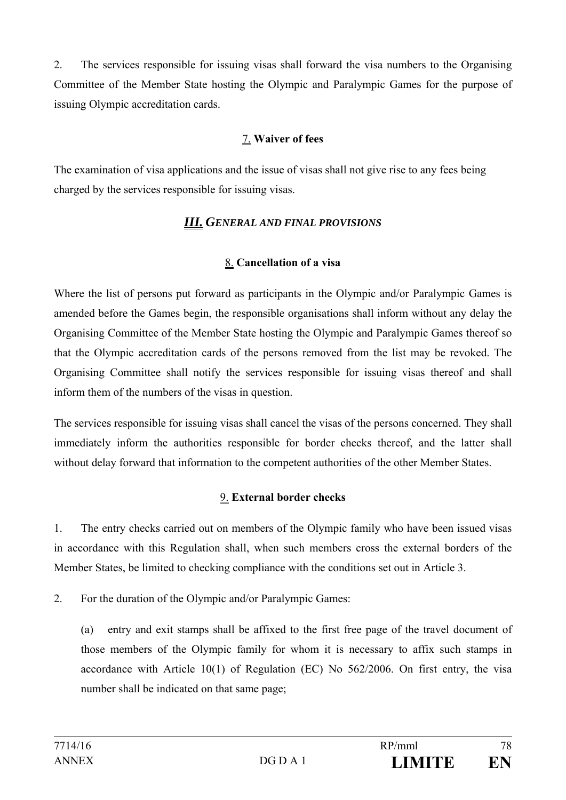2. The services responsible for issuing visas shall forward the visa numbers to the Organising Committee of the Member State hosting the Olympic and Paralympic Games for the purpose of issuing Olympic accreditation cards.

## 7. **Waiver of fees**

The examination of visa applications and the issue of visas shall not give rise to any fees being charged by the services responsible for issuing visas.

## *III. GENERAL AND FINAL PROVISIONS*

## 8. **Cancellation of a visa**

Where the list of persons put forward as participants in the Olympic and/or Paralympic Games is amended before the Games begin, the responsible organisations shall inform without any delay the Organising Committee of the Member State hosting the Olympic and Paralympic Games thereof so that the Olympic accreditation cards of the persons removed from the list may be revoked. The Organising Committee shall notify the services responsible for issuing visas thereof and shall inform them of the numbers of the visas in question.

The services responsible for issuing visas shall cancel the visas of the persons concerned. They shall immediately inform the authorities responsible for border checks thereof, and the latter shall without delay forward that information to the competent authorities of the other Member States.

## 9. **External border checks**

1. The entry checks carried out on members of the Olympic family who have been issued visas in accordance with this Regulation shall, when such members cross the external borders of the Member States, be limited to checking compliance with the conditions set out in Article 3.

2. For the duration of the Olympic and/or Paralympic Games:

(a) entry and exit stamps shall be affixed to the first free page of the travel document of those members of the Olympic family for whom it is necessary to affix such stamps in accordance with Article 10(1) of Regulation (EC) No 562/2006. On first entry, the visa number shall be indicated on that same page;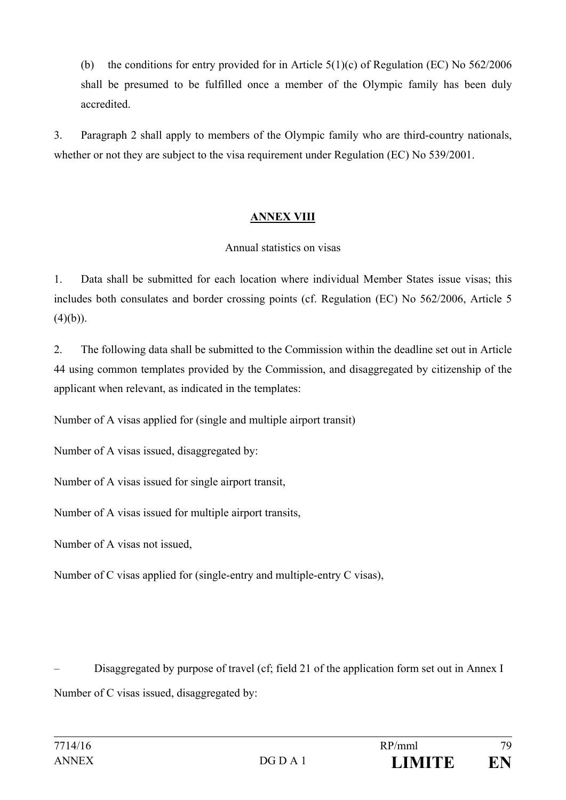(b) the conditions for entry provided for in Article 5(1)(c) of Regulation (EC) No 562/2006 shall be presumed to be fulfilled once a member of the Olympic family has been duly accredited.

3. Paragraph 2 shall apply to members of the Olympic family who are third-country nationals, whether or not they are subject to the visa requirement under Regulation (EC) No 539/2001.

### **ANNEX VIII**

### Annual statistics on visas

1. Data shall be submitted for each location where individual Member States issue visas; this includes both consulates and border crossing points (cf. Regulation (EC) No 562/2006, Article 5  $(4)(b)$ ).

2. The following data shall be submitted to the Commission within the deadline set out in Article 44 using common templates provided by the Commission, and disaggregated by citizenship of the applicant when relevant, as indicated in the templates:

Number of A visas applied for (single and multiple airport transit)

Number of A visas issued, disaggregated by:

Number of A visas issued for single airport transit,

Number of A visas issued for multiple airport transits,

Number of A visas not issued,

Number of C visas applied for (single-entry and multiple-entry C visas),

– Disaggregated by purpose of travel (cf; field 21 of the application form set out in Annex I Number of C visas issued, disaggregated by: